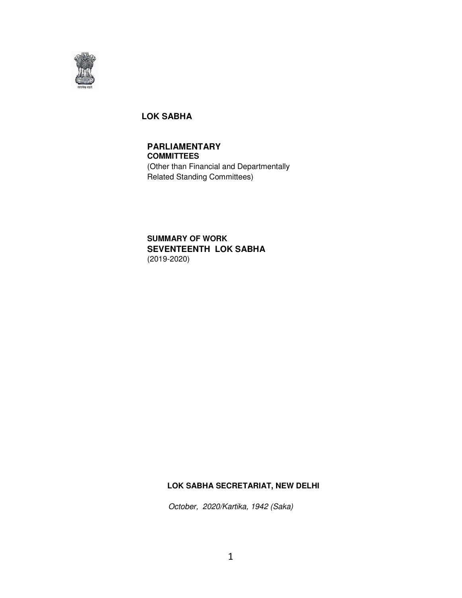

## **LOK SABHA**

# **PARLIAMENTARY**

**COMMITTEES**  (Other than Financial and Departmentally Related Standing Committees)

## **SUMMARY OF WORK SEVENTEENTH LOK SABHA**  (2019-2020)

## **LOK SABHA SECRETARIAT, NEW DELHI**

October, 2020/Kartika, 1942 (Saka)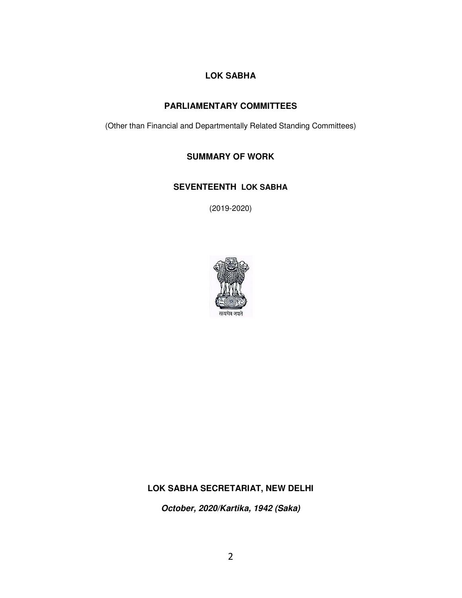# **LOK SABHA**

## **PARLIAMENTARY COMMITTEES**

(Other than Financial and Departmentally Related Standing Committees)

## **SUMMARY OF WORK**

## **SEVENTEENTH LOK SABHA**

(2019-2020)



# **LOK SABHA SECRETARIAT, NEW DELHI**

**October, 2020/Kartika, 1942 (Saka)**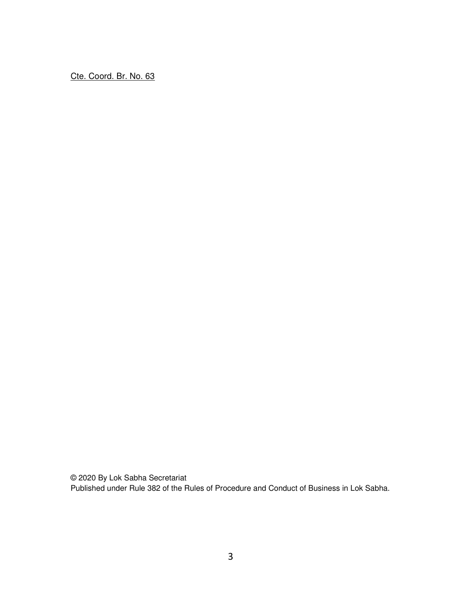Cte. Coord. Br. No. 63

© 2020 By Lok Sabha Secretariat Published under Rule 382 of the Rules of Procedure and Conduct of Business in Lok Sabha.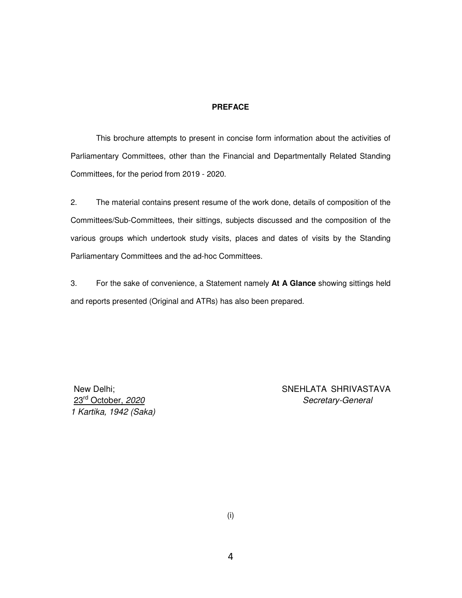#### **PREFACE**

 This brochure attempts to present in concise form information about the activities of Parliamentary Committees, other than the Financial and Departmentally Related Standing Committees, for the period from 2019 - 2020.

2. The material contains present resume of the work done, details of composition of the Committees/Sub-Committees, their sittings, subjects discussed and the composition of the various groups which undertook study visits, places and dates of visits by the Standing Parliamentary Committees and the ad-hoc Committees.

3. For the sake of convenience, a Statement namely **At A Glance** showing sittings held and reports presented (Original and ATRs) has also been prepared.

1 Kartika, 1942 (Saka)

New Delhi: SNEHLATA SHRIVASTAVA 23<sup>rd</sup> October, 2020 **Secretary-General** 

(i)

4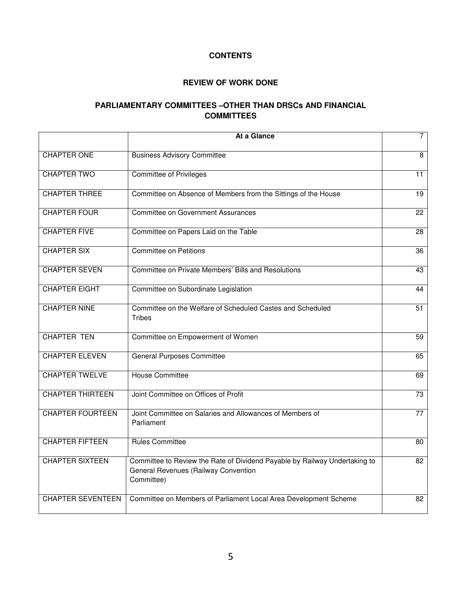## **CONTENTS**

#### **REVIEW OF WORK DONE**

## **PARLIAMENTARY COMMITTEES –OTHER THAN DRSCs AND FINANCIAL COMMITTEES**

|                          | At a Glance                                                                                                                      | $\overline{7}$  |
|--------------------------|----------------------------------------------------------------------------------------------------------------------------------|-----------------|
| <b>CHAPTER ONE</b>       | <b>Business Advisory Committee</b>                                                                                               | $\overline{8}$  |
| <b>CHAPTER TWO</b>       | <b>Committee of Privileges</b>                                                                                                   | $\overline{11}$ |
| <b>CHAPTER THREE</b>     | Committee on Absence of Members from the Sittings of the House                                                                   | 19              |
| <b>CHAPTER FOUR</b>      | <b>Committee on Government Assurances</b>                                                                                        | 22              |
| <b>CHAPTER FIVE</b>      | Committee on Papers Laid on the Table                                                                                            | 28              |
| <b>CHAPTER SIX</b>       | <b>Committee on Petitions</b>                                                                                                    | 36              |
| <b>CHAPTER SEVEN</b>     | Committee on Private Members' Bills and Resolutions                                                                              | 43              |
| <b>CHAPTER EIGHT</b>     | Committee on Subordinate Legislation                                                                                             | 44              |
| <b>CHAPTER NINE</b>      | Committee on the Welfare of Scheduled Castes and Scheduled<br><b>Tribes</b>                                                      | $\overline{51}$ |
| <b>CHAPTER TEN</b>       | Committee on Empowerment of Women                                                                                                | 59              |
| <b>CHAPTER ELEVEN</b>    | <b>General Purposes Committee</b>                                                                                                | 65              |
| <b>CHAPTER TWELVE</b>    | <b>House Committee</b>                                                                                                           | 69              |
| <b>CHAPTER THIRTEEN</b>  | Joint Committee on Offices of Profit                                                                                             | 73              |
| <b>CHAPTER FOURTEEN</b>  | Joint Committee on Salaries and Allowances of Members of<br>Parliament                                                           | $\overline{77}$ |
| <b>CHAPTER FIFTEEN</b>   | <b>Rules Committee</b>                                                                                                           | 80              |
| <b>CHAPTER SIXTEEN</b>   | Committee to Review the Rate of Dividend Payable by Railway Undertaking to<br>General Revenues (Railway Convention<br>Committee) | 82              |
| <b>CHAPTER SEVENTEEN</b> | Committee on Members of Parliament Local Area Development Scheme                                                                 | 82              |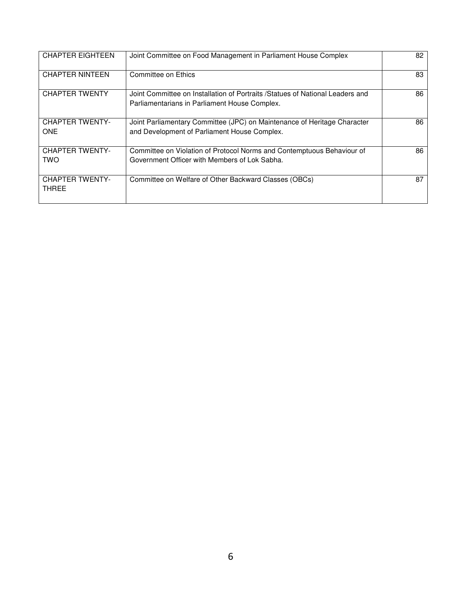| <b>CHAPTER EIGHTEEN</b>              | Joint Committee on Food Management in Parliament House Complex                                                                  | 82 |
|--------------------------------------|---------------------------------------------------------------------------------------------------------------------------------|----|
| <b>CHAPTER NINTEEN</b>               | Committee on Ethics                                                                                                             | 83 |
| <b>CHAPTER TWENTY</b>                | Joint Committee on Installation of Portraits / Statues of National Leaders and<br>Parliamentarians in Parliament House Complex. | 86 |
| <b>CHAPTER TWENTY-</b><br><b>ONE</b> | Joint Parliamentary Committee (JPC) on Maintenance of Heritage Character<br>and Development of Parliament House Complex.        | 86 |
| <b>CHAPTER TWENTY-</b><br>TWO        | Committee on Violation of Protocol Norms and Contemptuous Behaviour of<br>Government Officer with Members of Lok Sabha.         | 86 |
| <b>CHAPTER TWENTY-</b><br>THREE      | Committee on Welfare of Other Backward Classes (OBCs)                                                                           | 87 |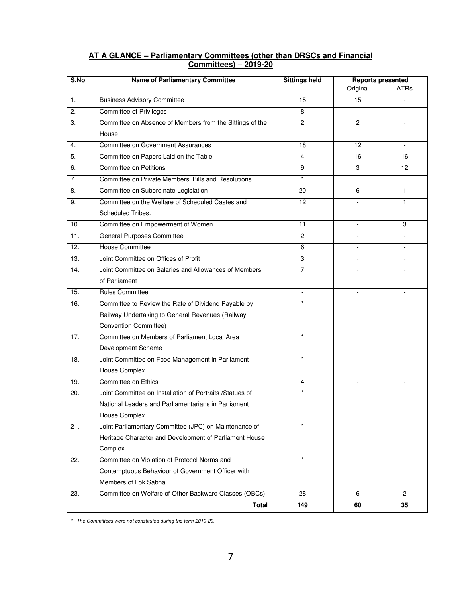| S.No | <b>Name of Parliamentary Committee</b>                   | <b>Sittings held</b> | <b>Reports presented</b> |                |
|------|----------------------------------------------------------|----------------------|--------------------------|----------------|
|      |                                                          |                      | Original                 | <b>ATRs</b>    |
| 1.   | <b>Business Advisory Committee</b>                       | 15                   | 15                       |                |
| 2.   | <b>Committee of Privileges</b>                           | 8                    | $\blacksquare$           |                |
| 3.   | Committee on Absence of Members from the Sittings of the | $\overline{c}$       | $\overline{c}$           |                |
|      | House                                                    |                      |                          |                |
| 4.   | <b>Committee on Government Assurances</b>                | 18                   | 12                       |                |
| 5.   | Committee on Papers Laid on the Table                    | 4                    | 16                       | 16             |
| 6.   | <b>Committee on Petitions</b>                            | 9                    | 3                        | 12             |
| 7.   | Committee on Private Members' Bills and Resolutions      | $\star$              |                          |                |
| 8.   | Committee on Subordinate Legislation                     | 20                   | 6                        | 1              |
| 9.   | Committee on the Welfare of Scheduled Castes and         | 12                   |                          | 1              |
|      | Scheduled Tribes.                                        |                      |                          |                |
| 10.  | Committee on Empowerment of Women                        | 11                   | $\blacksquare$           | 3              |
| 11.  | <b>General Purposes Committee</b>                        | $\overline{c}$       |                          |                |
| 12.  | <b>House Committee</b>                                   | 6                    | $\overline{a}$           |                |
| 13.  | Joint Committee on Offices of Profit                     | 3                    |                          |                |
| 14.  | Joint Committee on Salaries and Allowances of Members    | 7                    |                          |                |
|      | of Parliament                                            |                      |                          |                |
| 15.  | <b>Rules Committee</b>                                   | $\overline{a}$       | $\overline{a}$           | $\blacksquare$ |
| 16.  | Committee to Review the Rate of Dividend Payable by      |                      |                          |                |
|      | Railway Undertaking to General Revenues (Railway         |                      |                          |                |
|      | Convention Committee)                                    |                      |                          |                |
| 17.  | Committee on Members of Parliament Local Area            | $\star$              |                          |                |
|      | Development Scheme                                       |                      |                          |                |
| 18.  | Joint Committee on Food Management in Parliament         | $\star$              |                          |                |
|      | House Complex                                            |                      |                          |                |
| 19.  | Committee on Ethics                                      | 4                    |                          |                |
| 20.  | Joint Committee on Installation of Portraits /Statues of | $\star$              |                          |                |
|      | National Leaders and Parliamentarians in Parliament      |                      |                          |                |
|      | House Complex                                            |                      |                          |                |
| 21.  | Joint Parliamentary Committee (JPC) on Maintenance of    | $\star$              |                          |                |
|      | Heritage Character and Development of Parliament House   |                      |                          |                |
|      | Complex.                                                 |                      |                          |                |
| 22.  | Committee on Violation of Protocol Norms and             | $\star$              |                          |                |
|      | Contemptuous Behaviour of Government Officer with        |                      |                          |                |
|      | Members of Lok Sabha.                                    |                      |                          |                |
| 23.  | Committee on Welfare of Other Backward Classes (OBCs)    | 28                   | 6                        | $\overline{c}$ |
|      | <b>Total</b>                                             | 149                  | 60                       | 35             |

## **AT A GLANCE – Parliamentary Committees (other than DRSCs and Financial Committees) – 2019-20**

\* The Committees were not constituted during the term 2019-20.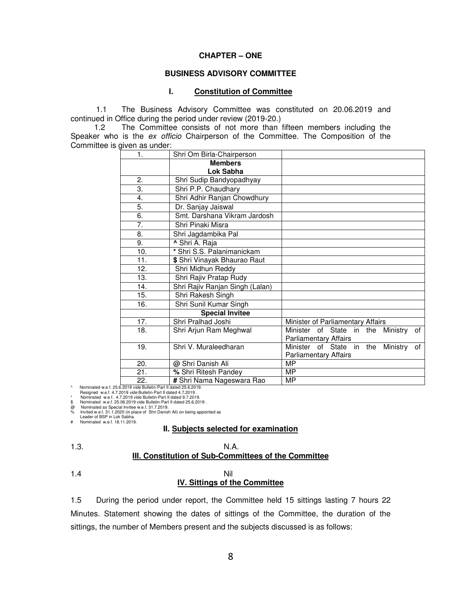#### **CHAPTER – ONE**

#### **BUSINESS ADVISORY COMMITTEE**

#### **I. Constitution of Committee**

1.1 The Business Advisory Committee was constituted on 20.06.2019 and continued in Office during the period under review (2019-20.)

1.2 The Committee consists of not more than fifteen members including the Speaker who is the ex officio Chairperson of the Committee. The Composition of the Committee is given as under:

| 1.  | Shri Om Birla-Chairperson       |                                                     |
|-----|---------------------------------|-----------------------------------------------------|
|     | <b>Members</b>                  |                                                     |
|     | Lok Sabha                       |                                                     |
| 2.  | Shri Sudip Bandyopadhyay        |                                                     |
| 3.  | Shri P.P. Chaudhary             |                                                     |
| 4.  | Shri Adhir Ranjan Chowdhury     |                                                     |
| 5.  | Dr. Sanjay Jaiswal              |                                                     |
| 6.  | Smt. Darshana Vikram Jardosh    |                                                     |
| 7.  | Shri Pinaki Misra               |                                                     |
| 8.  | Shri Jagdambika Pal             |                                                     |
| 9.  | Shri A. Raja                    |                                                     |
| 10. | * Shri S.S. Palanimanickam      |                                                     |
| 11. | \$ Shri Vinayak Bhaurao Raut    |                                                     |
| 12. | Shri Midhun Reddy               |                                                     |
| 13. | Shri Rajiv Pratap Rudy          |                                                     |
| 14. | Shri Rajiv Ranjan Singh (Lalan) |                                                     |
| 15. | Shri Rakesh Singh               |                                                     |
| 16. | Shri Sunil Kumar Singh          |                                                     |
|     | <b>Special Invitee</b>          |                                                     |
| 17. | Shri Pralhad Joshi              | Minister of Parliamentary Affairs                   |
| 18. | Shri Arjun Ram Meghwal          | of<br>Minister of State in<br>Ministry<br>the       |
|     |                                 | <b>Parliamentary Affairs</b>                        |
| 19. | Shri V. Muraleedharan           | Minister<br>of State<br>Ministry<br>in<br>the<br>οf |
|     |                                 | <b>Parliamentary Affairs</b>                        |
| 20. | @ Shri Danish Ali               | MP                                                  |
| 21. | % Shri Ritesh Pandey            | MР                                                  |
| 22. | # Shri Nama Nageswara Rao       | MP                                                  |

Nominated w.e.f. 25.6.2019 vide Bulletin-Part II dated 25.6.2019.

Resigned w.e.f. 4.7.2019 vide Bulletin-Part II dated 4.7.2019 . \* Nominated w.e.f. 4.7.2019 vide Bulletin-Part II dated 9.7.2019.

\$ Nominated w.e.f. 25.06.2019 vide Bulletin-Part II dated 25.6.2019

@ Nominated as Special Invitee w.e.f. 31.7.2019. % Invited w.e.f. 31.1.2020 (in place of Shri Danish Ali) on being appointed as Leader of BSP in Lok Sabha.

# Nominated w.e.f. 18.11.2019.

#### **II. Subjects selected for examination**

| ×                  |
|--------------------|
| ۰,<br>×<br>×<br>۰, |

#### 1.3. N.A. **III. Constitution of Sub-Committees of the Committee**

#### 1.4 Nil **IV. Sittings of the Committee**

1.5 During the period under report, the Committee held 15 sittings lasting 7 hours 22 Minutes. Statement showing the dates of sittings of the Committee, the duration of the sittings, the number of Members present and the subjects discussed is as follows: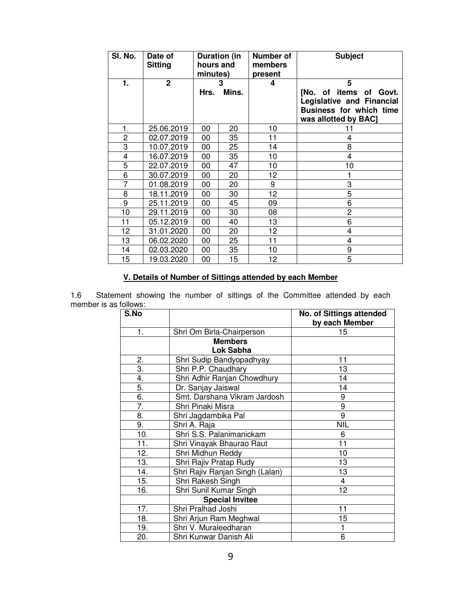| SI. No.        | Date of<br><b>Sitting</b> | Duration (in<br>hours and<br>minutes) |    | Number of<br>members<br>present | <b>Subject</b>                                                                                                |
|----------------|---------------------------|---------------------------------------|----|---------------------------------|---------------------------------------------------------------------------------------------------------------|
| 1.             | $\mathbf{2}$              |                                       | 3  | 4                               | 5                                                                                                             |
|                |                           | Mins.<br>Hrs.                         |    |                                 | [No. of items of Govt.<br>Legislative and Financial<br><b>Business for which time</b><br>was allotted by BAC] |
| 1.             | 25.06.2019                | 00                                    | 20 | 10                              | 11                                                                                                            |
| $\overline{c}$ | 02.07.2019                | 00                                    | 35 | 11                              | 4                                                                                                             |
| 3              | 10.07.2019                | 00                                    | 25 | 14                              | 8                                                                                                             |
| 4              | 16.07.2019                | 00                                    | 35 | 10                              | 4                                                                                                             |
| 5              | 22.07.2019                | 00                                    | 47 | 10                              | 10                                                                                                            |
| 6              | 30.07.2019                | 00                                    | 20 | 12                              |                                                                                                               |
| $\overline{7}$ | 01.08.2019                | 00                                    | 20 | 9                               | 3                                                                                                             |
| 8              | 18.11.2019                | 00                                    | 30 | 12                              | 5                                                                                                             |
| 9              | 25.11.2019                | 00                                    | 45 | 09                              | 6                                                                                                             |
| 10             | 29.11.2019                | 00                                    | 30 | 08                              | $\overline{c}$                                                                                                |
| 11             | 05.12.2019                | 00                                    | 40 | 13                              | 6                                                                                                             |
| 12             | 31.01.2020                | 00                                    | 20 | 12                              | 4                                                                                                             |
| 13             | 06.02.2020                | 00                                    | 25 | 11                              | 4                                                                                                             |
| 14             | 02.03.2020                | 00                                    | 35 | 10                              | 9                                                                                                             |
| 15             | 19.03.2020                | 00                                    | 15 | 12                              | 5                                                                                                             |

## **V. Details of Number of Sittings attended by each Member**

1.6 Statement showing the number of sittings of the Committee attended by each member is as follows:

| S.No |                                 | <b>No. of Sittings attended</b><br>by each Member |
|------|---------------------------------|---------------------------------------------------|
| 1.   | Shri Om Birla-Chairperson       | 15                                                |
|      | <b>Members</b>                  |                                                   |
|      | Lok Sabha                       |                                                   |
| 2.   | Shri Sudip Bandyopadhyay        | 11                                                |
| 3.   | Shri P.P. Chaudhary             | 13                                                |
| 4.   | Shri Adhir Ranjan Chowdhury     | 14                                                |
| 5.   | Dr. Sanjay Jaiswal              | 14                                                |
| 6.   | Smt. Darshana Vikram Jardosh    | 9                                                 |
| 7.   | Shri Pinaki Misra               | 9                                                 |
| 8.   | Shri Jagdambika Pal             | 9                                                 |
| 9.   | Shri A. Raja                    | <b>NIL</b>                                        |
| 10.  | Shri S.S. Palanimanickam        | 6                                                 |
| 11.  | Shri Vinayak Bhaurao Raut       | 11                                                |
| 12.  | Shri Midhun Reddy               | 10                                                |
| 13.  | Shri Rajiv Pratap Rudy          | 13                                                |
| 14.  | Shri Rajiv Ranjan Singh (Lalan) | 13                                                |
| 15.  | Shri Rakesh Singh               | 4                                                 |
| 16.  | Shri Sunil Kumar Singh          | 12                                                |
|      | <b>Special Invitee</b>          |                                                   |
| 17.  | Shri Pralhad Joshi              | 11                                                |
| 18.  | Shri Arjun Ram Meghwal          | 15                                                |
| 19.  | Shri V. Muraleedharan           |                                                   |
| 20.  | Shri Kunwar Danish Ali          | 6                                                 |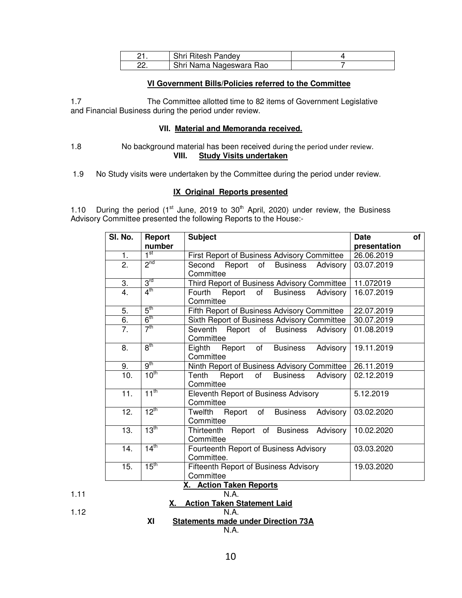| Shri Ritesh Pandey      |  |
|-------------------------|--|
| Shri Nama Nageswara Rao |  |

#### **VI Government Bills/Policies referred to the Committee**

1.7 The Committee allotted time to 82 items of Government Legislative and Financial Business during the period under review.

#### **VII. Material and Memoranda received.**

1.8 No background material has been received during the period under review. **VIII. Study Visits undertaken**

1.9 No Study visits were undertaken by the Committee during the period under review.

#### **IX Original Reports presented**

1.10 During the period ( $1<sup>st</sup>$  June, 2019 to  $30<sup>th</sup>$  April, 2020) under review, the Business Advisory Committee presented the following Reports to the House:-

| SI. No.          | Report           | <b>Subject</b>                                           | <b>Date</b>  | of |
|------------------|------------------|----------------------------------------------------------|--------------|----|
|                  | number           |                                                          | presentation |    |
| 1.               | $1^{\rm st}$     | First Report of Business Advisory Committee              | 26.06.2019   |    |
| 2.               | 2 <sup>nd</sup>  | Second Report of Business Advisory                       | 03.07.2019   |    |
|                  |                  | Committee                                                |              |    |
| 3.               | 3 <sup>rd</sup>  | Third Report of Business Advisory Committee              | 11.072019    |    |
| $\overline{4}$ . | $4^{\text{th}}$  | Fourth<br>Report of<br><b>Business</b><br>Advisory       | 16.07.2019   |    |
|                  |                  | Committee                                                |              |    |
| 5.               | $5^{\text{th}}$  | Fifth Report of Business Advisory Committee              | 22.07.2019   |    |
| 6.               | $6^{\text{th}}$  | Sixth Report of Business Advisory Committee              | 30.07.2019   |    |
| 7.               | 7 <sup>th</sup>  | Seventh Report of Business Advisory                      | 01.08.2019   |    |
|                  |                  | Committee                                                |              |    |
| 8.               | $8^{\text{th}}$  | Eighth Report of<br><b>Business</b><br>Advisory          | 19.11.2019   |    |
|                  |                  | Committee                                                |              |    |
| 9.               | $q^{th}$         | Ninth Report of Business Advisory Committee   26.11.2019 |              |    |
| 10.              | 10 <sup>th</sup> | Tenth<br>Report of Business<br>Advisory                  | 02.12.2019   |    |
|                  |                  | Committee                                                |              |    |
| 11.              | $11^{\text{th}}$ | Eleventh Report of Business Advisory                     | 5.12.2019    |    |
|                  |                  | Committee                                                |              |    |
| 12.              | $12^{th}$        | Twelfth Report of Business<br>Advisory                   | 03.02.2020   |    |
|                  |                  | Committee                                                |              |    |
| 13.              | 13 <sup>th</sup> | Report of Business Advisory<br>Thirteenth                | 10.02.2020   |    |
|                  |                  | Committee                                                |              |    |
| 14.              | $14^{\text{th}}$ | Fourteenth Report of Business Advisory                   | 03.03.2020   |    |
|                  |                  | Committee.                                               |              |    |
| 15.              | $15^{\text{th}}$ | Fifteenth Report of Business Advisory                    | 19.03.2020   |    |
|                  |                  | Committee                                                |              |    |

#### **X. Action Taken Reports** 1.11 N.A.

**X. Action Taken Statement Laid**

$$
1.12\phantom{0}
$$

1.12 N.A.

## **XI Statements made under Direction 73A**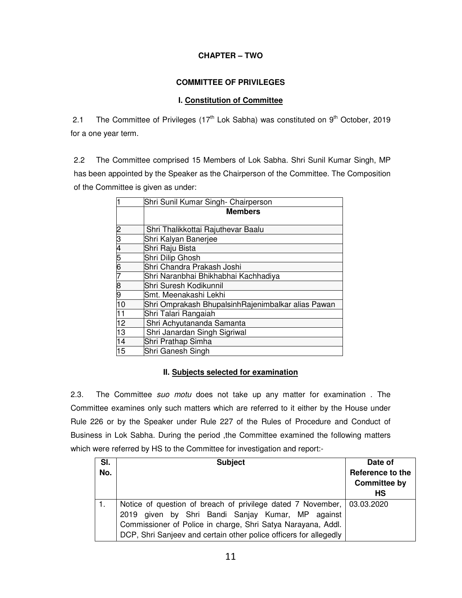## **CHAPTER – TWO**

## **COMMITTEE OF PRIVILEGES**

## **I. Constitution of Committee**

2.1 The Committee of Privileges ( $17<sup>th</sup>$  Lok Sabha) was constituted on  $9<sup>th</sup>$  October, 2019 for a one year term.

2.2 The Committee comprised 15 Members of Lok Sabha. Shri Sunil Kumar Singh, MP has been appointed by the Speaker as the Chairperson of the Committee. The Composition of the Committee is given as under:

|                 | Shri Sunil Kumar Singh- Chairperson                |
|-----------------|----------------------------------------------------|
|                 | <b>Members</b>                                     |
| $\overline{c}$  | Shri Thalikkottai Rajuthevar Baalu                 |
| معا حد          | Shri Kalyan Banerjee                               |
|                 | Shri Raju Bista                                    |
| $\frac{5}{7}$   | Shri Dilip Ghosh                                   |
|                 | Shri Chandra Prakash Joshi                         |
|                 | Shri Naranbhai Bhikhabhai Kachhadiya               |
| 8               | Shri Suresh Kodikunnil                             |
| 9               | Smt. Meenakashi Lekhi                              |
| 10              | Shri Omprakash BhupalsinhRajenimbalkar alias Pawan |
| $\overline{11}$ | Shri Talari Rangaiah                               |
| $\overline{12}$ | Shri Achyutananda Samanta                          |
| 13              | Shri Janardan Singh Sigriwal                       |
| 14              | Shri Prathap Simha                                 |
| 15              | Shri Ganesh Singh                                  |

## **II. Subjects selected for examination**

2.3. The Committee suo motu does not take up any matter for examination . The Committee examines only such matters which are referred to it either by the House under Rule 226 or by the Speaker under Rule 227 of the Rules of Procedure and Conduct of Business in Lok Sabha. During the period ,the Committee examined the following matters which were referred by HS to the Committee for investigation and report:-

| SI.<br>No. | <b>Subject</b>                                                                                                                                                                                                                                                   | Date of<br>Reference to the<br><b>Committee by</b><br>HS |
|------------|------------------------------------------------------------------------------------------------------------------------------------------------------------------------------------------------------------------------------------------------------------------|----------------------------------------------------------|
|            | Notice of question of breach of privilege dated 7 November, 03.03.2020<br>2019 given by Shri Bandi Sanjay Kumar, MP against<br>Commissioner of Police in charge, Shri Satya Narayana, Addl.<br>DCP, Shri Sanjeev and certain other police officers for allegedly |                                                          |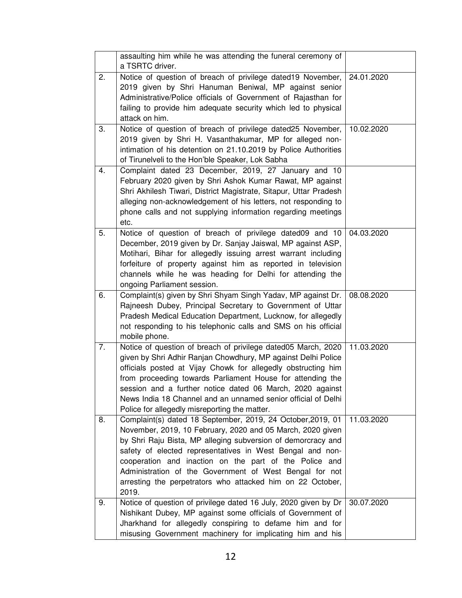|    | assaulting him while he was attending the funeral ceremony of<br>a TSRTC driver.                                                                                                                                                                                                                                                                                                                                                                   |            |
|----|----------------------------------------------------------------------------------------------------------------------------------------------------------------------------------------------------------------------------------------------------------------------------------------------------------------------------------------------------------------------------------------------------------------------------------------------------|------------|
| 2. | Notice of question of breach of privilege dated19 November,<br>2019 given by Shri Hanuman Beniwal, MP against senior<br>Administrative/Police officials of Government of Rajasthan for<br>failing to provide him adequate security which led to physical<br>attack on him.                                                                                                                                                                         | 24.01.2020 |
| 3. | Notice of question of breach of privilege dated25 November,<br>2019 given by Shri H. Vasanthakumar, MP for alleged non-<br>intimation of his detention on 21.10.2019 by Police Authorities<br>of Tirunelveli to the Hon'ble Speaker, Lok Sabha                                                                                                                                                                                                     | 10.02.2020 |
| 4. | Complaint dated 23 December, 2019, 27 January and 10<br>February 2020 given by Shri Ashok Kumar Rawat, MP against<br>Shri Akhilesh Tiwari, District Magistrate, Sitapur, Uttar Pradesh<br>alleging non-acknowledgement of his letters, not responding to<br>phone calls and not supplying information regarding meetings<br>etc.                                                                                                                   |            |
| 5. | Notice of question of breach of privilege dated09 and 10<br>December, 2019 given by Dr. Sanjay Jaiswal, MP against ASP,<br>Motihari, Bihar for allegedly issuing arrest warrant including<br>forfeiture of property against him as reported in television<br>channels while he was heading for Delhi for attending the<br>ongoing Parliament session.                                                                                              | 04.03.2020 |
| 6. | Complaint(s) given by Shri Shyam Singh Yadav, MP against Dr.<br>Rajneesh Dubey, Principal Secretary to Government of Uttar<br>Pradesh Medical Education Department, Lucknow, for allegedly<br>not responding to his telephonic calls and SMS on his official<br>mobile phone.                                                                                                                                                                      | 08.08.2020 |
| 7. | Notice of question of breach of privilege dated05 March, 2020<br>given by Shri Adhir Ranjan Chowdhury, MP against Delhi Police<br>officials posted at Vijay Chowk for allegedly obstructing him<br>from proceeding towards Parliament House for attending the<br>session and a further notice dated 06 March, 2020 against<br>News India 18 Channel and an unnamed senior official of Delhi<br>Police for allegedly misreporting the matter.       | 11.03.2020 |
| 8. | Complaint(s) dated 18 September, 2019, 24 October, 2019, 01<br>November, 2019, 10 February, 2020 and 05 March, 2020 given<br>by Shri Raju Bista, MP alleging subversion of demorcracy and<br>safety of elected representatives in West Bengal and non-<br>cooperation and inaction on the part of the Police and<br>Administration of the Government of West Bengal for not<br>arresting the perpetrators who attacked him on 22 October,<br>2019. | 11.03.2020 |
| 9. | Notice of question of privilege dated 16 July, 2020 given by Dr<br>Nishikant Dubey, MP against some officials of Government of<br>Jharkhand for allegedly conspiring to defame him and for<br>misusing Government machinery for implicating him and his                                                                                                                                                                                            | 30.07.2020 |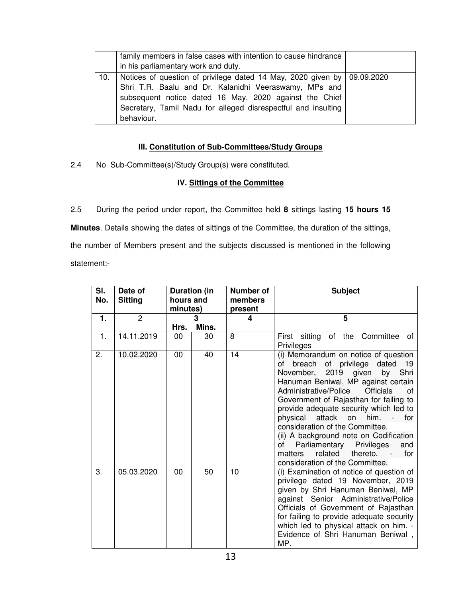|     | family members in false cases with intention to cause hindrance<br>in his parliamentary work and duty.                                                                                                                                                                      |  |
|-----|-----------------------------------------------------------------------------------------------------------------------------------------------------------------------------------------------------------------------------------------------------------------------------|--|
| 10. | Notices of question of privilege dated 14 May, 2020 given by   09.09.2020<br>Shri T.R. Baalu and Dr. Kalanidhi Veeraswamy, MPs and<br>subsequent notice dated 16 May, 2020 against the Chief<br>Secretary, Tamil Nadu for alleged disrespectful and insulting<br>behaviour. |  |

## **III. Constitution of Sub-Committees/Study Groups**

2.4 No Sub-Committee(s)/Study Group(s) were constituted.

## **IV. Sittings of the Committee**

2.5 During the period under report, the Committee held **8** sittings lasting **15 hours 15 Minutes**. Details showing the dates of sittings of the Committee, the duration of the sittings, the number of Members present and the subjects discussed is mentioned in the following statement:-

| SI.<br>No.     | Date of<br><b>Sitting</b> | <b>Duration (in</b><br>hours and<br>minutes) |            |    |                                                                                                                                                                                                                                                                                                                                                                                                                                                                                                                                                   | <b>Number of</b><br>members<br>present | <b>Subject</b> |
|----------------|---------------------------|----------------------------------------------|------------|----|---------------------------------------------------------------------------------------------------------------------------------------------------------------------------------------------------------------------------------------------------------------------------------------------------------------------------------------------------------------------------------------------------------------------------------------------------------------------------------------------------------------------------------------------------|----------------------------------------|----------------|
| 1.             | 2                         | Hrs.                                         | 3<br>Mins. | 4  | 5                                                                                                                                                                                                                                                                                                                                                                                                                                                                                                                                                 |                                        |                |
| $\mathbf{1}$ . | 14.11.2019                | 00                                           | 30         | 8  | First sitting of the Committee of<br>Privileges                                                                                                                                                                                                                                                                                                                                                                                                                                                                                                   |                                        |                |
| 2.             | 10.02.2020                | 00                                           | 40         | 14 | (i) Memorandum on notice of question<br>of privilege dated<br>breach<br>of<br>19<br>November, 2019 given<br>Shri<br>by<br>Hanuman Beniwal, MP against certain<br>Administrative/Police<br><b>Officials</b><br>οf<br>Government of Rajasthan for failing to<br>provide adequate security which led to<br>attack<br>on him.<br>physical<br>for<br>consideration of the Committee.<br>(ii) A background note on Codification<br>Parliamentary<br>Privileges<br>of<br>and<br>related<br>thereto.<br>for<br>matters<br>consideration of the Committee. |                                        |                |
| 3.             | 05.03.2020                | 00                                           | 50         | 10 | (i) Examination of notice of question of<br>privilege dated 19 November, 2019<br>given by Shri Hanuman Beniwal, MP<br>against Senior Administrative/Police<br>Officials of Government of Rajasthan<br>for failing to provide adequate security<br>which led to physical attack on him. -<br>Evidence of Shri Hanuman Beniwal,<br>MP.                                                                                                                                                                                                              |                                        |                |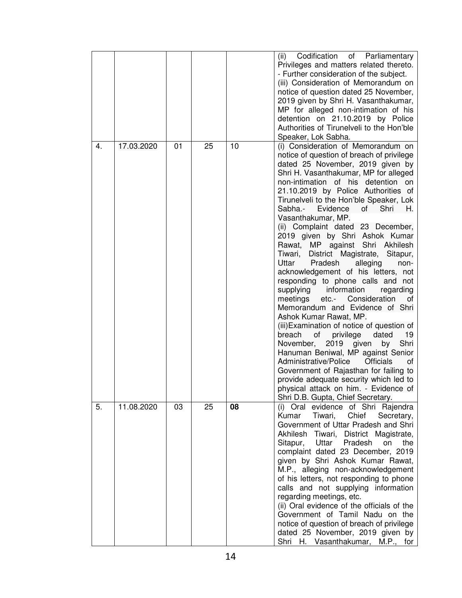| 4. | 17.03.2020 | 01 | 25 | 10 | Codification<br>of Parliamentary<br>(ii)<br>Privileges and matters related thereto.<br>- Further consideration of the subject.<br>(iii) Consideration of Memorandum on<br>notice of question dated 25 November,<br>2019 given by Shri H. Vasanthakumar,<br>MP for alleged non-intimation of his<br>detention on 21.10.2019 by Police<br>Authorities of Tirunelveli to the Hon'ble<br>Speaker, Lok Sabha.<br>(i) Consideration of Memorandum on<br>notice of question of breach of privilege<br>dated 25 November, 2019 given by<br>Shri H. Vasanthakumar, MP for alleged<br>non-intimation of his detention on<br>21.10.2019 by Police Authorities of<br>Tirunelveli to the Hon'ble Speaker, Lok<br>Sabha.-<br>Evidence<br>of<br>Shri<br>Η.<br>Vasanthakumar, MP.<br>(ii) Complaint dated 23 December,<br>2019 given by Shri Ashok Kumar<br>MP against Shri Akhilesh<br>Rawat,<br>Tiwari,<br>District Magistrate,<br>Sitapur,<br>Uttar<br>Pradesh<br>alleging<br>non-<br>acknowledgement of his letters, not<br>responding to phone calls and not<br>supplying<br>information<br>regarding<br>etc.- Consideration<br>meetings<br>of<br>Memorandum and Evidence of Shri<br>Ashok Kumar Rawat, MP.<br>(iii) Examination of notice of question of<br>breach<br>privilege<br>of<br>dated<br>19<br>Shri<br>2019 given<br>by<br>November,<br>Hanuman Beniwal, MP against Senior<br>Administrative/Police<br><b>Officials</b><br>of<br>Government of Rajasthan for failing to<br>provide adequate security which led to<br>physical attack on him. - Evidence of |
|----|------------|----|----|----|-----------------------------------------------------------------------------------------------------------------------------------------------------------------------------------------------------------------------------------------------------------------------------------------------------------------------------------------------------------------------------------------------------------------------------------------------------------------------------------------------------------------------------------------------------------------------------------------------------------------------------------------------------------------------------------------------------------------------------------------------------------------------------------------------------------------------------------------------------------------------------------------------------------------------------------------------------------------------------------------------------------------------------------------------------------------------------------------------------------------------------------------------------------------------------------------------------------------------------------------------------------------------------------------------------------------------------------------------------------------------------------------------------------------------------------------------------------------------------------------------------------------------------------------------------------|
| 5. | 11.08.2020 | 03 | 25 | 08 | Shri D.B. Gupta, Chief Secretary.<br>(i) Oral evidence of Shri Rajendra<br>Chief<br>Kumar Tiwari,<br>Secretary,<br>Government of Uttar Pradesh and Shri<br>Akhilesh Tiwari, District Magistrate,<br>Sitapur, Uttar<br>Pradesh<br>the<br>on<br>complaint dated 23 December, 2019<br>given by Shri Ashok Kumar Rawat,<br>M.P., alleging non-acknowledgement<br>of his letters, not responding to phone<br>calls and not supplying information<br>regarding meetings, etc.<br>(ii) Oral evidence of the officials of the<br>Government of Tamil Nadu on the<br>notice of question of breach of privilege<br>dated 25 November, 2019 given by<br>Shri H. Vasanthakumar, M.P., for                                                                                                                                                                                                                                                                                                                                                                                                                                                                                                                                                                                                                                                                                                                                                                                                                                                                             |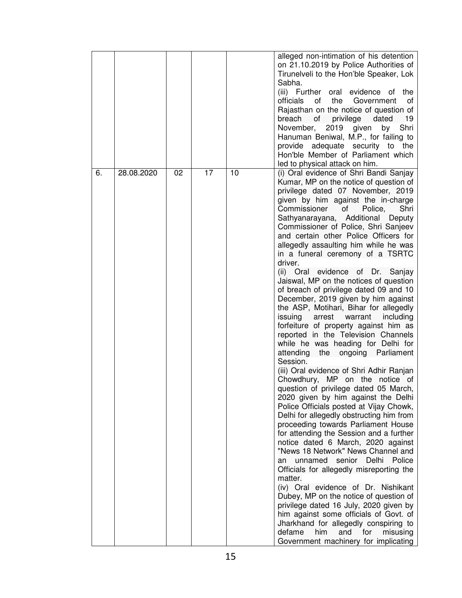|    |            |    |    |    | alleged non-intimation of his detention<br>on 21.10.2019 by Police Authorities of<br>Tirunelveli to the Hon'ble Speaker, Lok<br>Sabha.<br>(iii) Further oral<br>evidence<br>0f<br>the<br>officials<br>the<br>Government<br>οf<br>οt<br>Rajasthan on the notice of question of<br>breach<br>privilege<br>οf<br>dated<br>19<br>November,<br>Shri<br>2019<br>given<br>by<br>Hanuman Beniwal, M.P., for failing to<br>provide adequate security to the<br>Hon'ble Member of Parliament which<br>led to physical attack on him.                                                                                                                                                                                                                                                                                                                                                                                                                                                                                                                                                                                                                                                                                                                                                                                                                                                                                                                                                                                                                                                                                                                                           |
|----|------------|----|----|----|----------------------------------------------------------------------------------------------------------------------------------------------------------------------------------------------------------------------------------------------------------------------------------------------------------------------------------------------------------------------------------------------------------------------------------------------------------------------------------------------------------------------------------------------------------------------------------------------------------------------------------------------------------------------------------------------------------------------------------------------------------------------------------------------------------------------------------------------------------------------------------------------------------------------------------------------------------------------------------------------------------------------------------------------------------------------------------------------------------------------------------------------------------------------------------------------------------------------------------------------------------------------------------------------------------------------------------------------------------------------------------------------------------------------------------------------------------------------------------------------------------------------------------------------------------------------------------------------------------------------------------------------------------------------|
| 6. | 28.08.2020 | 02 | 17 | 10 | (i) Oral evidence of Shri Bandi Sanjay<br>Kumar, MP on the notice of question of<br>privilege dated 07 November, 2019<br>given by him against the in-charge<br>Commissioner<br>οf<br>Police,<br>Shri<br>Additional<br>Sathyanarayana,<br>Deputy<br>Commissioner of Police, Shri Sanjeev<br>and certain other Police Officers for<br>allegedly assaulting him while he was<br>in a funeral ceremony of a TSRTC<br>driver.<br>(ii) Oral evidence of Dr. Sanjay<br>Jaiswal, MP on the notices of question<br>of breach of privilege dated 09 and 10<br>December, 2019 given by him against<br>the ASP, Motihari, Bihar for allegedly<br>issuing<br>arrest warrant<br>including<br>forfeiture of property against him as<br>reported in the Television Channels<br>while he was heading for Delhi for<br>the ongoing Parliament<br>attending<br>Session.<br>(iii) Oral evidence of Shri Adhir Ranjan<br>Chowdhury, MP on the notice of<br>question of privilege dated 05 March,<br>2020 given by him against the Delhi<br>Police Officials posted at Vijay Chowk,<br>Delhi for allegedly obstructing him from<br>proceeding towards Parliament House<br>for attending the Session and a further<br>notice dated 6 March, 2020 against<br>"News 18 Network" News Channel and<br>unnamed senior Delhi Police<br>an<br>Officials for allegedly misreporting the<br>matter.<br>(iv) Oral evidence of Dr. Nishikant<br>Dubey, MP on the notice of question of<br>privilege dated 16 July, 2020 given by<br>him against some officials of Govt. of<br>Jharkhand for allegedly conspiring to<br>defame<br>him<br>and<br>for<br>misusing<br>Government machinery for implicating |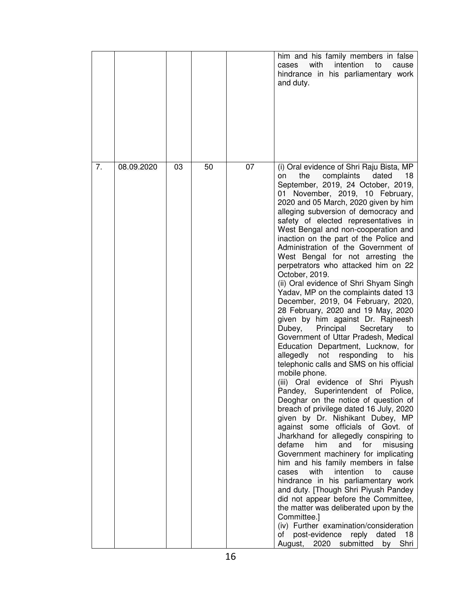|    |            |    |    |    | him and his family members in false<br>with<br>intention<br>cases<br>to<br>cause<br>hindrance in his parliamentary work<br>and duty.                                                                                                                                                                                                                                                                                                                                                                                                                                                                                                                                                                                                                                                                                                                                                                                                                                                                                                                                                                                                                                                                                                                                                                                                                                                                                                                                                                                                                                                                                                                                                                                               |
|----|------------|----|----|----|------------------------------------------------------------------------------------------------------------------------------------------------------------------------------------------------------------------------------------------------------------------------------------------------------------------------------------------------------------------------------------------------------------------------------------------------------------------------------------------------------------------------------------------------------------------------------------------------------------------------------------------------------------------------------------------------------------------------------------------------------------------------------------------------------------------------------------------------------------------------------------------------------------------------------------------------------------------------------------------------------------------------------------------------------------------------------------------------------------------------------------------------------------------------------------------------------------------------------------------------------------------------------------------------------------------------------------------------------------------------------------------------------------------------------------------------------------------------------------------------------------------------------------------------------------------------------------------------------------------------------------------------------------------------------------------------------------------------------------|
| 7. | 08.09.2020 | 03 | 50 | 07 | (i) Oral evidence of Shri Raju Bista, MP<br>18<br>the<br>complaints<br>dated<br>on<br>September, 2019, 24 October, 2019,<br>November, 2019, 10 February,<br>01<br>2020 and 05 March, 2020 given by him<br>alleging subversion of democracy and<br>safety of elected representatives in<br>West Bengal and non-cooperation and<br>inaction on the part of the Police and<br>Administration of the Government of<br>West Bengal for not arresting the<br>perpetrators who attacked him on 22<br>October, 2019.<br>(ii) Oral evidence of Shri Shyam Singh<br>Yadav, MP on the complaints dated 13<br>December, 2019, 04 February, 2020,<br>28 February, 2020 and 19 May, 2020<br>given by him against Dr. Rajneesh<br>Dubey,<br>Principal<br>Secretary<br>to<br>Government of Uttar Pradesh, Medical<br>Education Department, Lucknow, for<br>not responding<br>allegedly<br>to<br>his<br>telephonic calls and SMS on his official<br>mobile phone.<br>Oral evidence of Shri Piyush<br>(iii)<br>Pandey, Superintendent of Police,<br>Deoghar on the notice of question of<br>breach of privilege dated 16 July, 2020<br>given by Dr. Nishikant Dubey, MP<br>against some officials of Govt. of<br>Jharkhand for allegedly conspiring to<br>defame<br>him<br>and<br>misusing<br>for<br>Government machinery for implicating<br>him and his family members in false<br>intention<br>with<br>cases<br>to<br>cause<br>hindrance in his parliamentary work<br>and duty. [Though Shri Piyush Pandey<br>did not appear before the Committee,<br>the matter was deliberated upon by the<br>Committee.]<br>(iv) Further examination/consideration<br>post-evidence<br>reply<br>dated<br>οf<br>18<br>Shri<br>August,<br>2020<br>submitted<br>by |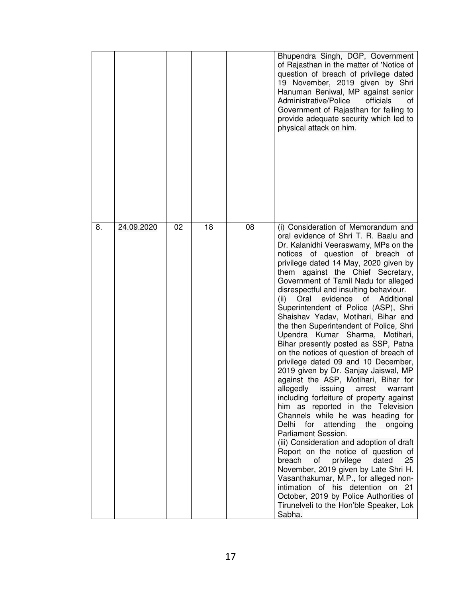|    |            |    |    |    | Bhupendra Singh, DGP, Government<br>of Rajasthan in the matter of 'Notice of<br>question of breach of privilege dated<br>19 November, 2019 given by Shri<br>Hanuman Beniwal, MP against senior<br>Administrative/Police<br>officials<br>οt<br>Government of Rajasthan for failing to<br>provide adequate security which led to<br>physical attack on him.                                                                                                                                                                                                                                                                                                                                                                                                                                                                                                                                                                                                                                                                                                                                                                                                                                                                                                                                                                   |
|----|------------|----|----|----|-----------------------------------------------------------------------------------------------------------------------------------------------------------------------------------------------------------------------------------------------------------------------------------------------------------------------------------------------------------------------------------------------------------------------------------------------------------------------------------------------------------------------------------------------------------------------------------------------------------------------------------------------------------------------------------------------------------------------------------------------------------------------------------------------------------------------------------------------------------------------------------------------------------------------------------------------------------------------------------------------------------------------------------------------------------------------------------------------------------------------------------------------------------------------------------------------------------------------------------------------------------------------------------------------------------------------------|
| 8. | 24.09.2020 | 02 | 18 | 08 | (i) Consideration of Memorandum and<br>oral evidence of Shri T. R. Baalu and<br>Dr. Kalanidhi Veeraswamy, MPs on the<br>notices of question of breach<br>ot<br>privilege dated 14 May, 2020 given by<br>them against the Chief Secretary,<br>Government of Tamil Nadu for alleged<br>disrespectful and insulting behaviour.<br>Oral evidence<br>of Additional<br>(ii)<br>Superintendent of Police (ASP), Shri<br>Shaishav Yadav, Motihari, Bihar and<br>the then Superintendent of Police, Shri<br>Upendra Kumar Sharma, Motihari,<br>Bihar presently posted as SSP, Patna<br>on the notices of question of breach of<br>privilege dated 09 and 10 December,<br>2019 given by Dr. Sanjay Jaiswal, MP<br>against the ASP, Motihari, Bihar for<br>allegedly issuing arrest warrant<br>including forfeiture of property against<br>him as reported in the Television<br>Channels while he was heading for<br>for attending the<br>Delhi<br>ongoing<br>Parliament Session.<br>(iii) Consideration and adoption of draft<br>Report on the notice of question of<br>breach<br>of<br>privilege<br>25<br>dated<br>November, 2019 given by Late Shri H.<br>Vasanthakumar, M.P., for alleged non-<br>intimation of his detention on 21<br>October, 2019 by Police Authorities of<br>Tirunelveli to the Hon'ble Speaker, Lok<br>Sabha. |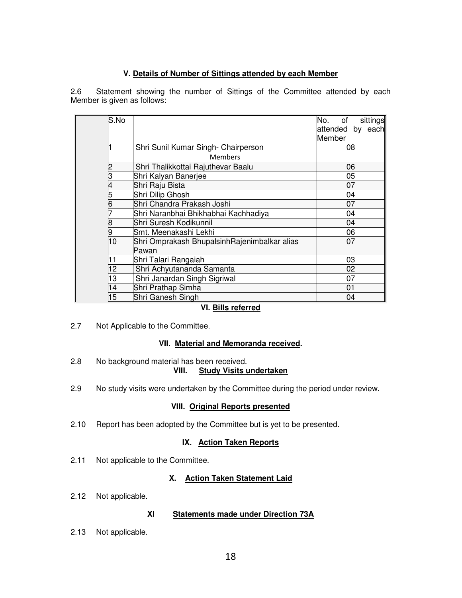#### **V. Details of Number of Sittings attended by each Member**

2.6 Statement showing the number of Sittings of the Committee attended by each Member is given as follows:

| lS.No          |                                              | sittings<br>No.<br>of |  |  |  |  |
|----------------|----------------------------------------------|-----------------------|--|--|--|--|
|                |                                              | attended by each      |  |  |  |  |
|                |                                              | Member                |  |  |  |  |
|                | Shri Sunil Kumar Singh- Chairperson          | 08                    |  |  |  |  |
|                | <b>Members</b>                               |                       |  |  |  |  |
| $\overline{c}$ | Shri Thalikkottai Rajuthevar Baalu           | 06                    |  |  |  |  |
| 3              | Shri Kalyan Banerjee                         | 05                    |  |  |  |  |
| 4              | Shri Raju Bista                              | 07                    |  |  |  |  |
| 5              | Shri Dilip Ghosh                             | 04                    |  |  |  |  |
| 6              | Shri Chandra Prakash Joshi                   | 07                    |  |  |  |  |
| 7              | Shri Naranbhai Bhikhabhai Kachhadiya         | 04                    |  |  |  |  |
| 8              | Shri Suresh Kodikunnil<br>04                 |                       |  |  |  |  |
| 9              | Smt. Meenakashi Lekhi<br>06                  |                       |  |  |  |  |
| 10             | Shri Omprakash BhupalsinhRajenimbalkar alias | 07                    |  |  |  |  |
|                | Pawan                                        |                       |  |  |  |  |
| 11             | Shri Talari Rangaiah<br>03                   |                       |  |  |  |  |
| 12             | Shri Achyutananda Samanta<br>02              |                       |  |  |  |  |
| 13             | Shri Janardan Singh Sigriwal<br>07           |                       |  |  |  |  |
| 14             | Shri Prathap Simha                           | 01                    |  |  |  |  |
| 15             | Shri Ganesh Singh                            | 04                    |  |  |  |  |

## **VI. Bills referred**

2.7 Not Applicable to the Committee.

#### **VII. Material and Memoranda received.**

- 2.8 No background material has been received.<br>VIII. Study Visits u **Study Visits undertaken**
- 2.9 No study visits were undertaken by the Committee during the period under review.

## **VIII. Original Reports presented**

2.10 Report has been adopted by the Committee but is yet to be presented.

## **IX. Action Taken Reports**

2.11 Not applicable to the Committee.

## **X. Action Taken Statement Laid**

2.12 Not applicable.

#### **XI Statements made under Direction 73A**

2.13 Not applicable.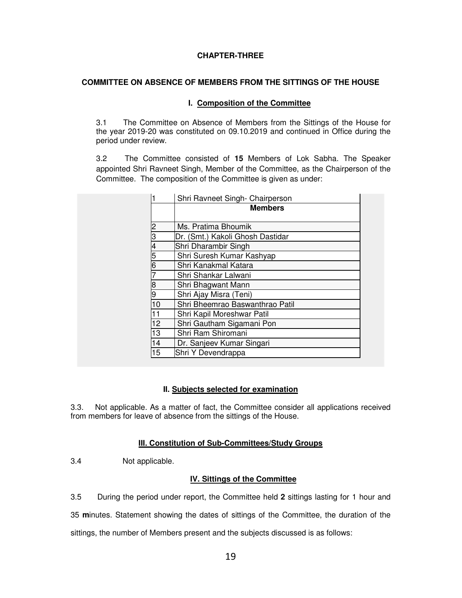#### **CHAPTER-THREE**

#### **COMMITTEE ON ABSENCE OF MEMBERS FROM THE SITTINGS OF THE HOUSE**

#### **I. Composition of the Committee**

3.1The Committee on Absence of Members from the Sittings of the House for the year 2019-20 was constituted on 09.10.2019 and continued in Office during the period under review.

3.2 The Committee consisted of **15** Members of Lok Sabha. The Speaker appointed Shri Ravneet Singh, Member of the Committee, as the Chairperson of the Committee. The composition of the Committee is given as under:

|    | Shri Ravneet Singh- Chairperson  |  |
|----|----------------------------------|--|
|    | <b>Members</b>                   |  |
| 2  | Ms. Pratima Bhoumik              |  |
| 3  | Dr. (Smt.) Kakoli Ghosh Dastidar |  |
| 4  | Shri Dharambir Singh             |  |
| 5  | Shri Suresh Kumar Kashyap        |  |
| 6  | Shri Kanakmal Katara             |  |
|    | Shri Shankar Lalwani             |  |
| 8  | Shri Bhagwant Mann               |  |
| 9  | Shri Ajay Misra (Teni)           |  |
| 10 | Shri Bheemrao Baswanthrao Patil  |  |
| 11 | Shri Kapil Moreshwar Patil       |  |
| 12 | Shri Gautham Sigamani Pon        |  |
| 13 | Shri Ram Shiromani               |  |
| 14 | Dr. Sanjeev Kumar Singari        |  |
| 15 | Shri Y Devendrappa               |  |

#### **II. Subjects selected for examination**

3.3. Not applicable. As a matter of fact, the Committee consider all applications received from members for leave of absence from the sittings of the House.

#### **III. Constitution of Sub-Committees/Study Groups**

3.4 Not applicable.

#### **IV. Sittings of the Committee**

3.5 During the period under report, the Committee held **2** sittings lasting for 1 hour and

35 **m**inutes. Statement showing the dates of sittings of the Committee, the duration of the

sittings, the number of Members present and the subjects discussed is as follows: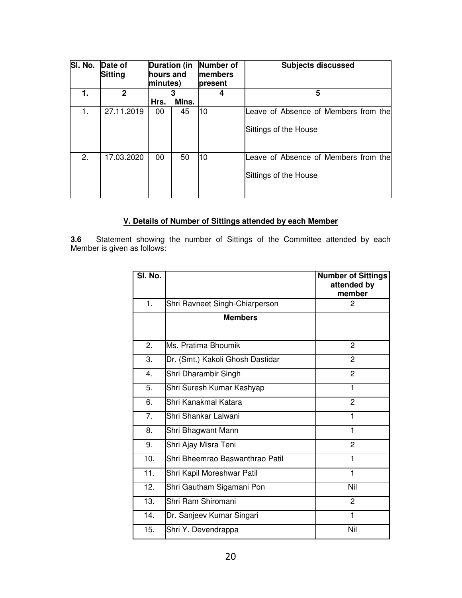| SI. No. | Date of<br><b>Sitting</b> | <b>Duration (in</b><br>hours and<br>minutes) |       | Number of<br><b>Imembers</b><br><b>present</b> | <b>Subjects discussed</b>                                     |
|---------|---------------------------|----------------------------------------------|-------|------------------------------------------------|---------------------------------------------------------------|
| 1.      | $\mathbf{2}$              |                                              | 3     |                                                | 5                                                             |
|         |                           | Hrs.                                         | Mins. |                                                |                                                               |
| 1.      | 27.11.2019                | 00                                           | 45    | l10                                            | Leave of Absence of Members from the<br>Sittings of the House |
| 2.      | 17.03.2020                | 00                                           | 50    | 10                                             | Leave of Absence of Members from the<br>Sittings of the House |

# **V. Details of Number of Sittings attended by each Member**

**3.6** Statement showing the number of Sittings of the Committee attended by each Member is given as follows:

| SI. No. |                                  | <b>Number of Sittings</b><br>attended by<br>member |
|---------|----------------------------------|----------------------------------------------------|
| 1.      | Shri Ravneet Singh-Chiarperson   | 2                                                  |
|         | <b>Members</b>                   |                                                    |
| 2.      | Ms. Pratima Bhoumik              | $\overline{c}$                                     |
| 3.      | Dr. (Smt.) Kakoli Ghosh Dastidar | $\overline{2}$                                     |
| 4.      | Shri Dharambir Singh             | 2                                                  |
| 5.      | Shri Suresh Kumar Kashyap        | 1                                                  |
| 6.      | Shri Kanakmal Katara             | $\overline{2}$                                     |
| 7.      | Shri Shankar Lalwani             | 1                                                  |
| 8.      | Shri Bhagwant Mann               | 1                                                  |
| 9.      | Shri Ajay Misra Teni             | 2                                                  |
| 10.     | Shri Bheemrao Baswanthrao Patil  | 1                                                  |
| 11.     | Shri Kapil Moreshwar Patil       | 1                                                  |
| 12.     | Shri Gautham Sigamani Pon        | Nil                                                |
| 13.     | Shri Ram Shiromani               | 2                                                  |
| 14.     | Dr. Sanjeev Kumar Singari        | 1                                                  |
| 15.     | Shri Y. Devendrappa              | Nil                                                |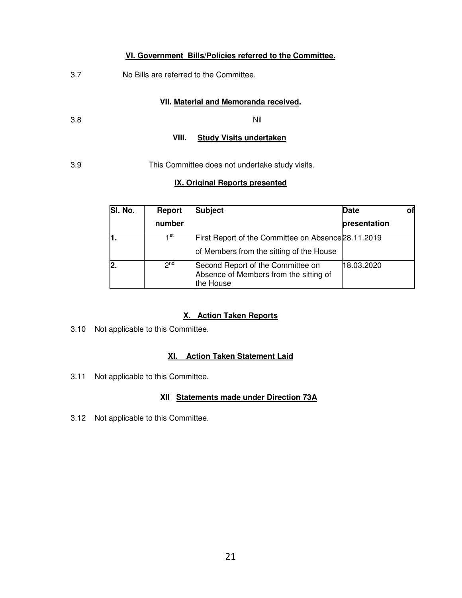#### **VI. Government Bills/Policies referred to the Committee.**

3.7 No Bills are referred to the Committee.

#### **VII. Material and Memoranda received.**

3.8 Nil

#### **VIII. Study Visits undertaken**

3.9 This Committee does not undertake study visits.

#### **IX. Original Reports presented**

| SI. No. | Report          | <b>Subject</b>                                                                           | Date         |  |
|---------|-----------------|------------------------------------------------------------------------------------------|--------------|--|
|         | number          |                                                                                          | presentation |  |
|         | ⊣st             | First Report of the Committee on Absence 28.11.2019                                      |              |  |
|         |                 | of Members from the sitting of the House                                                 |              |  |
|         | 2 <sub>nd</sub> | Second Report of the Committee on<br>Absence of Members from the sitting of<br>the House | 18.03.2020   |  |

#### **X. Action Taken Reports**

3.10 Not applicable to this Committee.

#### **XI. Action Taken Statement Laid**

3.11Not applicable to this Committee.

#### **XII Statements made under Direction 73A**

3.12Not applicable to this Committee.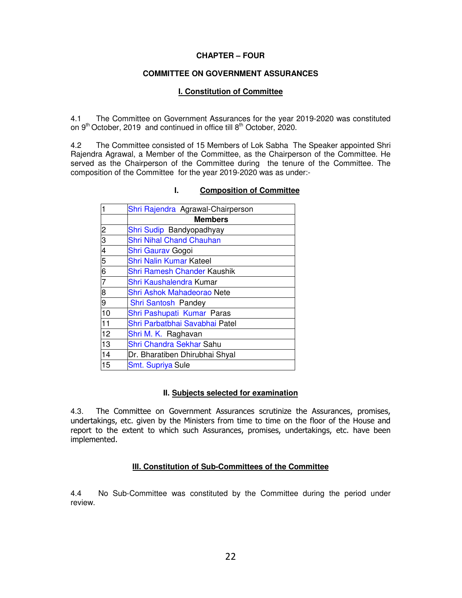#### **CHAPTER – FOUR**

#### **COMMITTEE ON GOVERNMENT ASSURANCES**

#### **I. Constitution of Committee**

4.1 The Committee on Government Assurances for the year 2019-2020 was constituted on  $9<sup>th</sup>$  October, 2019 and continued in office till  $8<sup>th</sup>$  October, 2020.

4.2 The Committee consisted of 15 Members of Lok Sabha The Speaker appointed Shri Rajendra Agrawal, a Member of the Committee, as the Chairperson of the Committee. He served as the Chairperson of the Committee during the tenure of the Committee. The composition of the Committee for the year 2019-2020 was as under:-

| 1              | Shri Rajendra Agrawal-Chairperson  |
|----------------|------------------------------------|
|                | <b>Members</b>                     |
| 2              | Shri Sudip Bandyopadhyay           |
| 3              | <b>Shri Nihal Chand Chauhan</b>    |
| $\overline{4}$ | Shri Gaurav Gogoi                  |
| 5              | <b>Shri Nalin Kumar Kateel</b>     |
| 6              | <b>Shri Ramesh Chander Kaushik</b> |
| 7              | Shri Kaushalendra Kumar            |
| 8              | <b>Shri Ashok Mahadeorao Nete</b>  |
| 9              | Shri Santosh Pandey                |
| 10             | Shri Pashupati Kumar Paras         |
| 11             | Shri Parbatbhai Savabhai Patel     |
| 12             | Shri M. K. Raghavan                |
| 13             | Shri Chandra Sekhar Sahu           |
| 14             | Dr. Bharatiben Dhirubhai Shyal     |
| 15             | Smt. Supriya Sule                  |

#### **I. Composition of Committee**

#### **II. Subjects selected for examination**

4.3. The Committee on Government Assurances scrutinize the Assurances, promises, undertakings, etc. given by the Ministers from time to time on the floor of the House and report to the extent to which such Assurances, promises, undertakings, etc. have been implemented.

#### **III. Constitution of Sub-Committees of the Committee**

4.4 No Sub-Committee was constituted by the Committee during the period under review.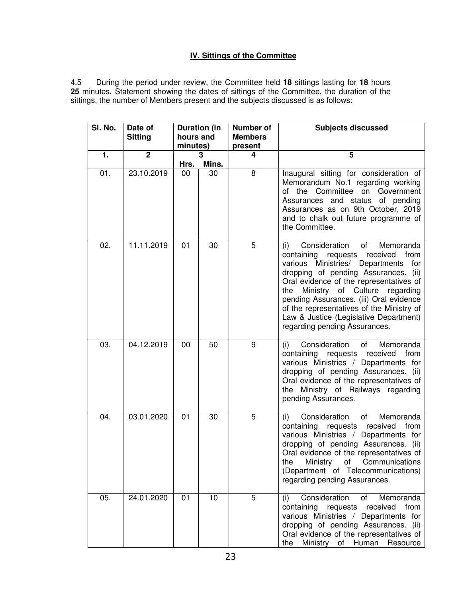## **IV. Sittings of the Committee**

4.5 During the period under review, the Committee held **18** sittings lasting for **18** hours **25** minutes. Statement showing the dates of sittings of the Committee, the duration of the sittings, the number of Members present and the subjects discussed is as follows:

| SI. No.       | Date of<br><b>Sitting</b> | <b>Duration (in</b><br>hours and<br>minutes) |       | <b>Number of</b><br><b>Members</b><br>present | <b>Subjects discussed</b>                                                                                                                                                                                                                                                                                                                                                                                               |  |
|---------------|---------------------------|----------------------------------------------|-------|-----------------------------------------------|-------------------------------------------------------------------------------------------------------------------------------------------------------------------------------------------------------------------------------------------------------------------------------------------------------------------------------------------------------------------------------------------------------------------------|--|
| $\mathbf 1$ . | $\overline{2}$            |                                              | 3     | 4                                             | 5                                                                                                                                                                                                                                                                                                                                                                                                                       |  |
|               |                           | Hrs.                                         | Mins. |                                               |                                                                                                                                                                                                                                                                                                                                                                                                                         |  |
| 01.           | 23.10.2019                | 00                                           | 30    | 8                                             | Inaugural sitting for consideration of<br>Memorandum No.1 regarding working<br>of the Committee on Government<br>Assurances and status of pending<br>Assurances as on 9th October, 2019<br>and to chalk out future programme of<br>the Committee.                                                                                                                                                                       |  |
| 02.           | 11.11.2019                | 01                                           | 30    | 5                                             | Consideration of<br>Memoranda<br>(i)<br>containing requests<br>received from<br>various Ministries/ Departments<br>for<br>dropping of pending Assurances. (ii)<br>Oral evidence of the representatives of<br>Ministry of Culture<br>regarding<br>the<br>pending Assurances. (iii) Oral evidence<br>of the representatives of the Ministry of<br>Law & Justice (Legislative Department)<br>regarding pending Assurances. |  |
| 03.           | 04.12.2019                | 00                                           | 50    | 9                                             | Consideration<br>Memoranda<br>of<br>(i)<br>containing requests<br>received<br>from<br>various Ministries / Departments for<br>dropping of pending Assurances. (ii)<br>Oral evidence of the representatives of<br>the Ministry of Railways regarding<br>pending Assurances.                                                                                                                                              |  |
| 04.           | 03.01.2020                | 01                                           | 30    | 5                                             | Consideration<br>Memoranda<br>of<br>(i)<br>containing<br>received<br>from<br>requests<br>various Ministries / Departments for<br>dropping of pending Assurances. (ii)<br>Oral evidence of the representatives of<br>the<br>Ministry<br>οf<br>Communications<br>(Department of Telecommunications)<br>regarding pending Assurances.                                                                                      |  |
| 05.           | 24.01.2020                | 01                                           | 10    | 5                                             | Consideration<br>Memoranda<br>of<br>(i)<br>containing<br>from<br>requests<br>received<br>various Ministries / Departments for<br>dropping of pending Assurances. (ii)<br>Oral evidence of the representatives of<br>Ministry of Human<br>the<br>Resource                                                                                                                                                                |  |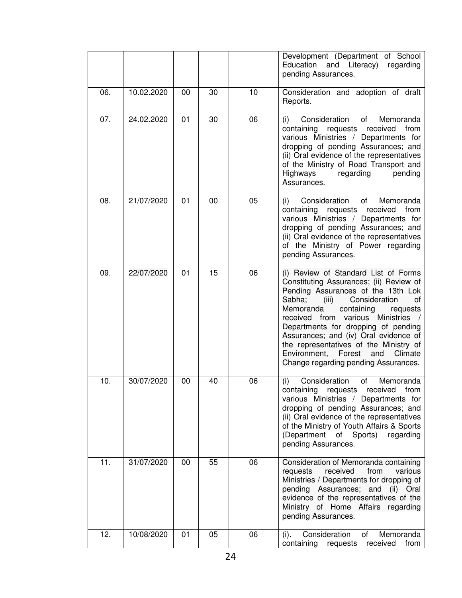|     |            |    |    |    | Development (Department of School<br>Education<br>and Literacy)<br>regarding<br>pending Assurances.                                                                                                                                                                                                                                                                                                                                                               |
|-----|------------|----|----|----|-------------------------------------------------------------------------------------------------------------------------------------------------------------------------------------------------------------------------------------------------------------------------------------------------------------------------------------------------------------------------------------------------------------------------------------------------------------------|
| 06. | 10.02.2020 | 00 | 30 | 10 | Consideration and adoption of draft<br>Reports.                                                                                                                                                                                                                                                                                                                                                                                                                   |
| 07. | 24.02.2020 | 01 | 30 | 06 | Consideration<br>Memoranda<br>of<br>(i)<br>containing<br>received<br>from<br>requests<br>various Ministries / Departments for<br>dropping of pending Assurances; and<br>(ii) Oral evidence of the representatives<br>of the Ministry of Road Transport and<br>Highways<br>regarding<br>pending<br>Assurances.                                                                                                                                                     |
| 08. | 21/07/2020 | 01 | 00 | 05 | Memoranda<br>Consideration<br>of<br>(i)<br>containing<br>from<br>requests<br>received<br>various Ministries / Departments for<br>dropping of pending Assurances; and<br>(ii) Oral evidence of the representatives<br>of the Ministry of Power regarding<br>pending Assurances.                                                                                                                                                                                    |
| 09. | 22/07/2020 | 01 | 15 | 06 | (i) Review of Standard List of Forms<br>Constituting Assurances; (ii) Review of<br>Pending Assurances of the 13th Lok<br>Sabha;<br>Consideration<br>(iii)<br>оt<br>Memoranda<br>containing<br>requests<br>various<br>received<br>from<br>Ministries<br>Departments for dropping of pending<br>Assurances; and (iv) Oral evidence of<br>the representatives of the Ministry of<br>Environment,<br>Forest<br>and<br>Climate<br>Change regarding pending Assurances. |
| 10. | 30/07/2020 | 00 | 40 | 06 | Consideration<br>(i)<br>of<br>Memoranda<br>received from<br>containing<br>requests<br>various Ministries / Departments for<br>dropping of pending Assurances; and<br>(ii) Oral evidence of the representatives<br>of the Ministry of Youth Affairs & Sports<br>(Department of Sports) regarding<br>pending Assurances.                                                                                                                                            |
| 11. | 31/07/2020 | 00 | 55 | 06 | Consideration of Memoranda containing<br>received<br>from<br>various<br>requests<br>Ministries / Departments for dropping of<br>pending Assurances; and<br>(ii) Oral<br>evidence of the representatives of the<br>Ministry of Home Affairs regarding<br>pending Assurances.                                                                                                                                                                                       |
| 12. | 10/08/2020 | 01 | 05 | 06 | Consideration<br>of<br>Memoranda<br>(i).<br>containing<br>received<br>requests<br>from                                                                                                                                                                                                                                                                                                                                                                            |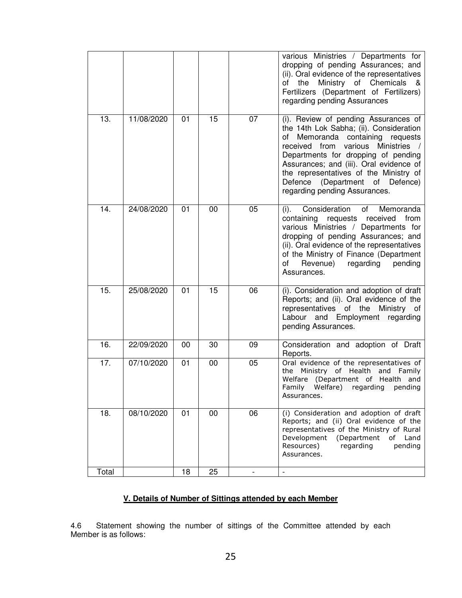|       |            |    |    |    | various Ministries / Departments for<br>dropping of pending Assurances; and<br>(ii). Oral evidence of the representatives<br>Ministry of Chemicals<br>of<br>the<br>-&<br>Fertilizers (Department of Fertilizers)<br>regarding pending Assurances                                                                                                                  |
|-------|------------|----|----|----|-------------------------------------------------------------------------------------------------------------------------------------------------------------------------------------------------------------------------------------------------------------------------------------------------------------------------------------------------------------------|
| 13.   | 11/08/2020 | 01 | 15 | 07 | (i). Review of pending Assurances of<br>the 14th Lok Sabha; (ii). Consideration<br>of Memoranda containing requests<br>received from various<br><b>Ministries</b><br>Departments for dropping of pending<br>Assurances; and (iii). Oral evidence of<br>the representatives of the Ministry of<br>Defence (Department of Defence)<br>regarding pending Assurances. |
| 14.   | 24/08/2020 | 01 | 00 | 05 | Consideration<br>Memoranda<br>of<br>$(i)$ .<br>containing requests<br>received<br>from<br>various Ministries / Departments for<br>dropping of pending Assurances; and<br>(ii). Oral evidence of the representatives<br>of the Ministry of Finance (Department<br>Revenue)<br>regarding<br>pending<br>οf<br>Assurances.                                            |
| 15.   | 25/08/2020 | 01 | 15 | 06 | (i). Consideration and adoption of draft<br>Reports; and (ii). Oral evidence of the<br>representatives of the Ministry of<br>Labour and Employment regarding<br>pending Assurances.                                                                                                                                                                               |
| 16.   | 22/09/2020 | 00 | 30 | 09 | Consideration and adoption of Draft<br>Reports.                                                                                                                                                                                                                                                                                                                   |
| 17.   | 07/10/2020 | 01 | 00 | 05 | Oral evidence of the representatives of<br>the Ministry of Health and Family<br>Welfare (Department of Health and<br>Family Welfare) regarding pending<br>Assurances.                                                                                                                                                                                             |
| 18.   | 08/10/2020 | 01 | 00 | 06 | (i) Consideration and adoption of draft<br>Reports; and (ii) Oral evidence of the<br>representatives of the Ministry of Rural<br>Development<br>(Department<br>of Land<br>Resources)<br>regarding<br>pending<br>Assurances.                                                                                                                                       |
| Total |            | 18 | 25 |    | $\overline{\phantom{a}}$                                                                                                                                                                                                                                                                                                                                          |

## **V. Details of Number of Sittings attended by each Member**

4.6 Statement showing the number of sittings of the Committee attended by each Member is as follows: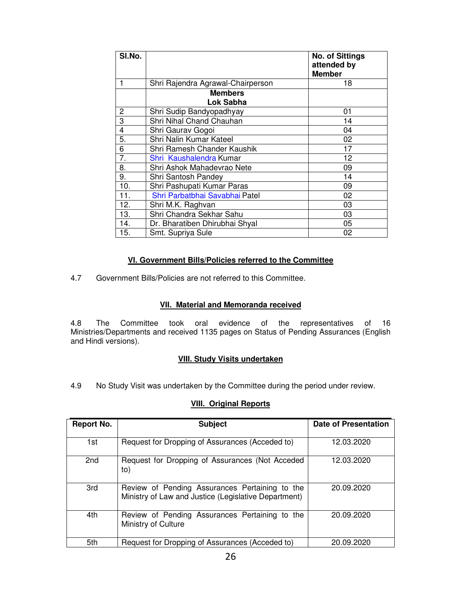| SI.No. |                                   | <b>No. of Sittings</b><br>attended by<br><b>Member</b> |
|--------|-----------------------------------|--------------------------------------------------------|
|        | Shri Rajendra Agrawal-Chairperson | 18                                                     |
|        | <b>Members</b><br>Lok Sabha       |                                                        |
| 2      | Shri Sudip Bandyopadhyay          | 01                                                     |
| 3      | Shri Nihal Chand Chauhan          | 14                                                     |
| 4      | Shri Gaurav Gogoi                 | 04                                                     |
| 5.     | Shri Nalin Kumar Kateel           | 02                                                     |
| 6      | Shri Ramesh Chander Kaushik       | 17                                                     |
| 7.     | Shri Kaushalendra Kumar           | 12                                                     |
| 8.     | Shri Ashok Mahadevrao Nete        | 09                                                     |
| 9.     | Shri Santosh Pandey               | 14                                                     |
| 10.    | Shri Pashupati Kumar Paras        | 09                                                     |
| 11.    | Shri Parbatbhai Savabhai Patel    | 02                                                     |
| 12.    | Shri M.K. Raghvan                 | 03                                                     |
| 13.    | Shri Chandra Sekhar Sahu          | 03                                                     |
| 14.    | Dr. Bharatiben Dhirubhai Shyal    | 05                                                     |
| 15.    | Smt. Supriya Sule                 | 02                                                     |

#### **VI. Government Bills/Policies referred to the Committee**

4.7 Government Bills/Policies are not referred to this Committee.

#### **VII. Material and Memoranda received**

4.8 The Committee took oral evidence of the representatives of 16 Ministries/Departments and received 1135 pages on Status of Pending Assurances (English and Hindi versions).

#### **VIII. Study Visits undertaken**

4.9 No Study Visit was undertaken by the Committee during the period under review.

## **VIII. Original Reports**

| Report No. | <b>Subject</b>                                                                                         | <b>Date of Presentation</b> |
|------------|--------------------------------------------------------------------------------------------------------|-----------------------------|
| 1st        | Request for Dropping of Assurances (Acceded to)                                                        | 12.03.2020                  |
| 2nd        | Request for Dropping of Assurances (Not Acceded<br>to)                                                 | 12.03.2020                  |
| 3rd        | Review of Pending Assurances Pertaining to the<br>Ministry of Law and Justice (Legislative Department) | 20.09.2020                  |
| 4th        | Review of Pending Assurances Pertaining to the<br>Ministry of Culture                                  | 20.09.2020                  |
| 5th        | Request for Dropping of Assurances (Acceded to)                                                        | 20.09.2020                  |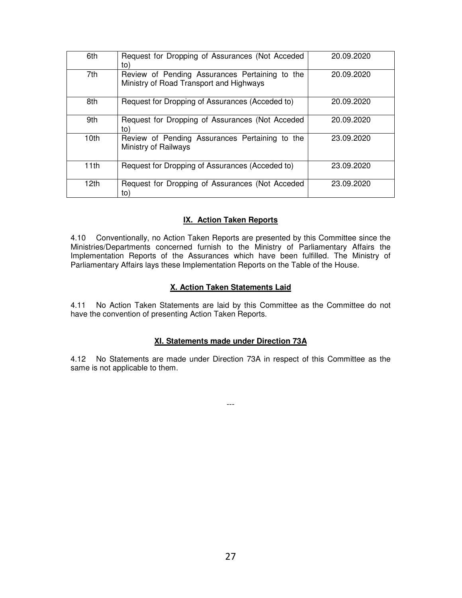| 6th              | Request for Dropping of Assurances (Not Acceded<br>to)                                    | 20.09.2020 |
|------------------|-------------------------------------------------------------------------------------------|------------|
| 7th              | Review of Pending Assurances Pertaining to the<br>Ministry of Road Transport and Highways | 20.09.2020 |
| 8th              | Request for Dropping of Assurances (Acceded to)                                           | 20.09.2020 |
| 9th              | Request for Dropping of Assurances (Not Acceded<br>to)                                    | 20.09.2020 |
| 10th             | Review of Pending Assurances Pertaining to the<br>Ministry of Railways                    | 23.09.2020 |
| 11th             | Request for Dropping of Assurances (Acceded to)                                           | 23.09.2020 |
| 12 <sub>th</sub> | Request for Dropping of Assurances (Not Acceded<br>to)                                    | 23.09.2020 |

## **IX. Action Taken Reports**

4.10 Conventionally, no Action Taken Reports are presented by this Committee since the Ministries/Departments concerned furnish to the Ministry of Parliamentary Affairs the Implementation Reports of the Assurances which have been fulfilled. The Ministry of Parliamentary Affairs lays these Implementation Reports on the Table of the House.

#### **X. Action Taken Statements Laid**

4.11 No Action Taken Statements are laid by this Committee as the Committee do not have the convention of presenting Action Taken Reports.

#### **XI. Statements made under Direction 73A**

4.12 No Statements are made under Direction 73A in respect of this Committee as the same is not applicable to them.

---

27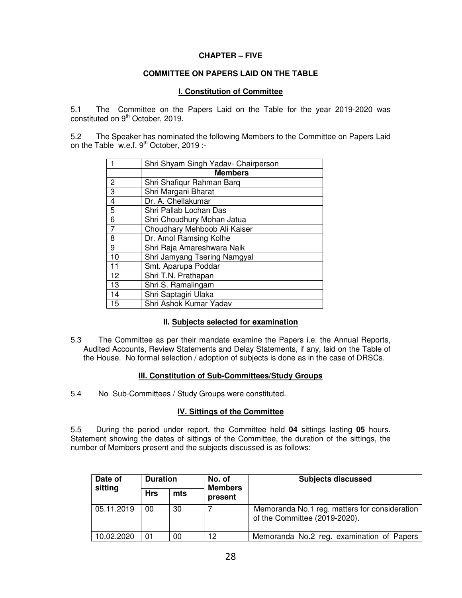#### **CHAPTER – FIVE**

#### **COMMITTEE ON PAPERS LAID ON THE TABLE**

#### **I. Constitution of Committee**

5.1 The Committee on the Papers Laid on the Table for the year 2019-2020 was constituted on  $9<sup>th</sup>$  October, 2019.

5.2 The Speaker has nominated the following Members to the Committee on Papers Laid on the Table w.e.f.  $9<sup>th</sup>$  October, 2019 :-

|                | Shri Shyam Singh Yadav- Chairperson |  |  |  |  |  |  |
|----------------|-------------------------------------|--|--|--|--|--|--|
|                | <b>Members</b>                      |  |  |  |  |  |  |
| $\frac{2}{3}$  | Shri Shafigur Rahman Barg           |  |  |  |  |  |  |
|                | Shri Margani Bharat                 |  |  |  |  |  |  |
| $\overline{4}$ | Dr. A. Chellakumar                  |  |  |  |  |  |  |
| $\overline{5}$ | Shri Pallab Lochan Das              |  |  |  |  |  |  |
| $\overline{6}$ | Shri Choudhury Mohan Jatua          |  |  |  |  |  |  |
| $\overline{7}$ | Choudhary Mehboob Ali Kaiser        |  |  |  |  |  |  |
| 8              | Dr. Amol Ramsing Kolhe              |  |  |  |  |  |  |
| 9              | Shri Raja Amareshwara Naik          |  |  |  |  |  |  |
| 10             | Shri Jamyang Tsering Namgyal        |  |  |  |  |  |  |
| 11             | Smt. Aparupa Poddar                 |  |  |  |  |  |  |
| 12             | Shri T.N. Prathapan                 |  |  |  |  |  |  |
| 13             | Shri S. Ramalingam                  |  |  |  |  |  |  |
| 14             | Shri Saptagiri Ulaka                |  |  |  |  |  |  |
| 15             | Shri Ashok Kumar Yadav              |  |  |  |  |  |  |

#### **II. Subjects selected for examination**

5.3 The Committee as per their mandate examine the Papers i.e. the Annual Reports, Audited Accounts, Review Statements and Delay Statements, if any, laid on the Table of the House. No formal selection / adoption of subjects is done as in the case of DRSCs.

#### **III. Constitution of Sub-Committees/Study Groups**

5.4 No Sub-Committees / Study Groups were constituted.

#### **IV. Sittings of the Committee**

5.5 During the period under report, the Committee held **04** sittings lasting **05** hours. Statement showing the dates of sittings of the Committee, the duration of the sittings, the number of Members present and the subjects discussed is as follows:

| Date of<br>sitting | <b>Duration</b> |     | No. of<br><b>Members</b> | <b>Subjects discussed</b>                                                      |
|--------------------|-----------------|-----|--------------------------|--------------------------------------------------------------------------------|
|                    | <b>Hrs</b>      | mts | present                  |                                                                                |
| 05.11.2019         | 00              | 30  |                          | Memoranda No.1 reg. matters for consideration<br>of the Committee (2019-2020). |
| 10.02.2020         | 01              | 00  | 12                       | Memoranda No.2 reg. examination of Papers                                      |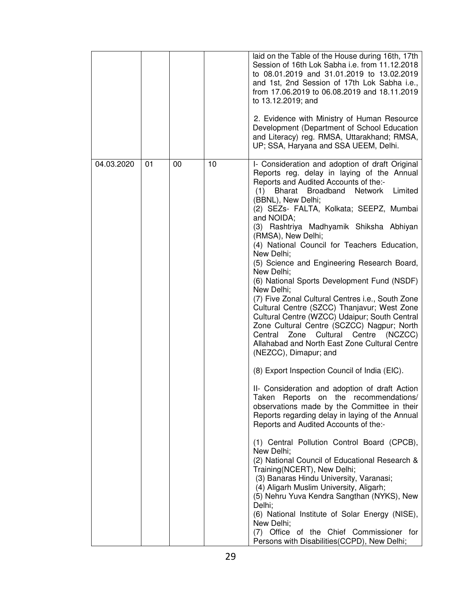|            |    |    |    | laid on the Table of the House during 16th, 17th<br>Session of 16th Lok Sabha i.e. from 11.12.2018<br>to 08.01.2019 and 31.01.2019 to 13.02.2019<br>and 1st, 2nd Session of 17th Lok Sabha i.e.,<br>from 17.06.2019 to 06.08.2019 and 18.11.2019<br>to 13.12.2019; and<br>2. Evidence with Ministry of Human Resource<br>Development (Department of School Education<br>and Literacy) reg. RMSA, Uttarakhand; RMSA,<br>UP; SSA, Haryana and SSA UEEM, Delhi.                                                                                                                                                                                                                                                                                                                                                                                                                                                                                                                                                                                                                                                                                                                                                                                                                                                                                                                                                                                                                                                                                                                                    |
|------------|----|----|----|-------------------------------------------------------------------------------------------------------------------------------------------------------------------------------------------------------------------------------------------------------------------------------------------------------------------------------------------------------------------------------------------------------------------------------------------------------------------------------------------------------------------------------------------------------------------------------------------------------------------------------------------------------------------------------------------------------------------------------------------------------------------------------------------------------------------------------------------------------------------------------------------------------------------------------------------------------------------------------------------------------------------------------------------------------------------------------------------------------------------------------------------------------------------------------------------------------------------------------------------------------------------------------------------------------------------------------------------------------------------------------------------------------------------------------------------------------------------------------------------------------------------------------------------------------------------------------------------------|
| 04.03.2020 | 01 | 00 | 10 | I- Consideration and adoption of draft Original<br>Reports reg. delay in laying of the Annual<br>Reports and Audited Accounts of the:-<br>Bharat Broadband Network<br>Limited<br>(1)<br>(BBNL), New Delhi;<br>(2) SEZs- FALTA, Kolkata; SEEPZ, Mumbai<br>and NOIDA;<br>(3) Rashtriya Madhyamik Shiksha Abhiyan<br>(RMSA), New Delhi;<br>(4) National Council for Teachers Education,<br>New Delhi;<br>(5) Science and Engineering Research Board,<br>New Delhi;<br>(6) National Sports Development Fund (NSDF)<br>New Delhi;<br>(7) Five Zonal Cultural Centres i.e., South Zone<br>Cultural Centre (SZCC) Thanjavur; West Zone<br>Cultural Centre (WZCC) Udaipur; South Central<br>Zone Cultural Centre (SCZCC) Nagpur; North<br>Central Zone Cultural Centre (NCZCC)<br>Allahabad and North East Zone Cultural Centre<br>(NEZCC), Dimapur; and<br>(8) Export Inspection Council of India (EIC).<br>II- Consideration and adoption of draft Action<br>Taken Reports on the recommendations/<br>observations made by the Committee in their<br>Reports regarding delay in laying of the Annual<br>Reports and Audited Accounts of the:-<br>(1) Central Pollution Control Board (CPCB),<br>New Delhi;<br>(2) National Council of Educational Research &<br>Training(NCERT), New Delhi;<br>(3) Banaras Hindu University, Varanasi;<br>(4) Aligarh Muslim University, Aligarh;<br>(5) Nehru Yuva Kendra Sangthan (NYKS), New<br>Delhi;<br>(6) National Institute of Solar Energy (NISE),<br>New Delhi;<br>(7) Office of the Chief Commissioner for<br>Persons with Disabilities (CCPD), New Delhi; |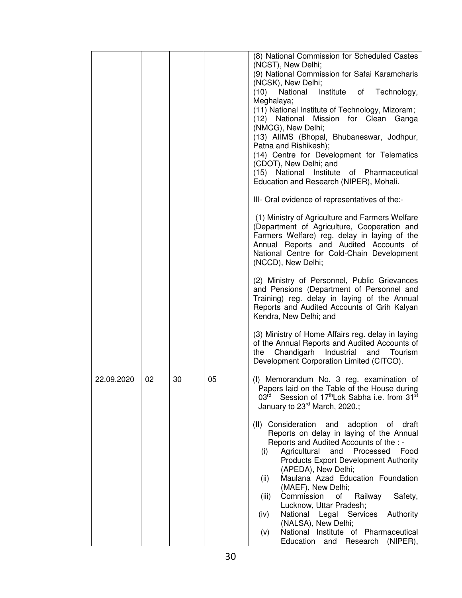|            |    |    |    | (8) National Commission for Scheduled Castes<br>(NCST), New Delhi;<br>(9) National Commission for Safai Karamcharis<br>(NCSK), New Delhi;<br>Institute<br>Technology,<br>(10)<br>National<br>of<br>Meghalaya;<br>(11) National Institute of Technology, Mizoram;<br>(12) National Mission for Clean Ganga<br>(NMCG), New Delhi;<br>(13) AIIMS (Bhopal, Bhubaneswar, Jodhpur,<br>Patna and Rishikesh);<br>(14) Centre for Development for Telematics<br>(CDOT), New Delhi; and<br>(15) National Institute of Pharmaceutical<br>Education and Research (NIPER), Mohali.<br>III- Oral evidence of representatives of the:-<br>(1) Ministry of Agriculture and Farmers Welfare                                                                                                                                       |
|------------|----|----|----|------------------------------------------------------------------------------------------------------------------------------------------------------------------------------------------------------------------------------------------------------------------------------------------------------------------------------------------------------------------------------------------------------------------------------------------------------------------------------------------------------------------------------------------------------------------------------------------------------------------------------------------------------------------------------------------------------------------------------------------------------------------------------------------------------------------|
|            |    |    |    | (Department of Agriculture, Cooperation and<br>Farmers Welfare) reg. delay in laying of the<br>Annual Reports and Audited Accounts of<br>National Centre for Cold-Chain Development<br>(NCCD), New Delhi;<br>(2) Ministry of Personnel, Public Grievances<br>and Pensions (Department of Personnel and<br>Training) reg. delay in laying of the Annual<br>Reports and Audited Accounts of Grih Kalyan<br>Kendra, New Delhi; and                                                                                                                                                                                                                                                                                                                                                                                  |
|            |    |    |    | (3) Ministry of Home Affairs reg. delay in laying<br>of the Annual Reports and Audited Accounts of<br>the Chandigarh Industrial and Tourism<br>Development Corporation Limited (CITCO).                                                                                                                                                                                                                                                                                                                                                                                                                                                                                                                                                                                                                          |
| 22.09.2020 | 02 | 30 | 05 | (I) Memorandum No. 3 reg. examination of<br>Papers laid on the Table of the House during<br>03 <sup>rd</sup><br>Session of 17 <sup>th</sup> Lok Sabha i.e. from 31 <sup>st</sup><br>January to 23 <sup>rd</sup> March, 2020.;<br>(II) Consideration<br>and<br>adoption of<br>draft<br>Reports on delay in laying of the Annual<br>Reports and Audited Accounts of the : -<br>Agricultural<br>and<br>Processed<br>Food<br>(i)<br><b>Products Export Development Authority</b><br>(APEDA), New Delhi;<br>Maulana Azad Education Foundation<br>(ii)<br>(MAEF), New Delhi;<br>Commission<br>Railway<br>(iii)<br>οf<br>Safety,<br>Lucknow, Uttar Pradesh;<br>National Legal Services<br>Authority<br>(iv)<br>(NALSA), New Delhi;<br>National Institute of Pharmaceutical<br>(v)<br>Education and Research<br>(NIPER), |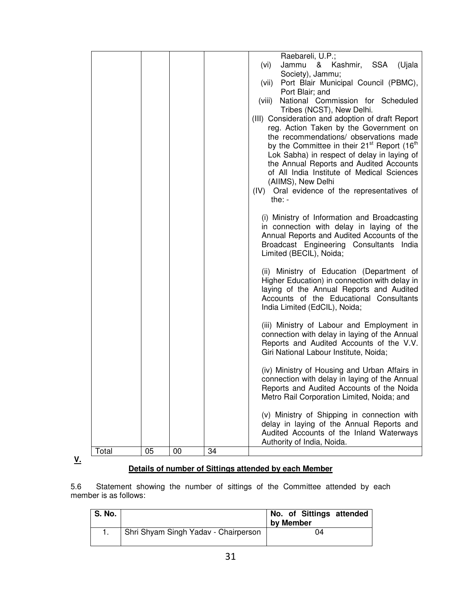|       |    |    |    | Raebareli, U.P.;                                                                                              |
|-------|----|----|----|---------------------------------------------------------------------------------------------------------------|
|       |    |    |    | & Kashmir, SSA (Ujala<br>Jammu<br>(vi)                                                                        |
|       |    |    |    | Society), Jammu;                                                                                              |
|       |    |    |    | Port Blair Municipal Council (PBMC),<br>(vii)                                                                 |
|       |    |    |    | Port Blair; and                                                                                               |
|       |    |    |    | National Commission for Scheduled<br>(viii)                                                                   |
|       |    |    |    | Tribes (NCST), New Delhi.                                                                                     |
|       |    |    |    | (III) Consideration and adoption of draft Report                                                              |
|       |    |    |    | reg. Action Taken by the Government on                                                                        |
|       |    |    |    | the recommendations/ observations made<br>by the Committee in their 21 <sup>st</sup> Report (16 <sup>th</sup> |
|       |    |    |    | Lok Sabha) in respect of delay in laying of                                                                   |
|       |    |    |    | the Annual Reports and Audited Accounts                                                                       |
|       |    |    |    | of All India Institute of Medical Sciences                                                                    |
|       |    |    |    | (AIIMS), New Delhi                                                                                            |
|       |    |    |    | (IV) Oral evidence of the representatives of                                                                  |
|       |    |    |    | the: $-$                                                                                                      |
|       |    |    |    |                                                                                                               |
|       |    |    |    | (i) Ministry of Information and Broadcasting                                                                  |
|       |    |    |    | in connection with delay in laying of the                                                                     |
|       |    |    |    | Annual Reports and Audited Accounts of the                                                                    |
|       |    |    |    | Broadcast Engineering Consultants India                                                                       |
|       |    |    |    | Limited (BECIL), Noida;                                                                                       |
|       |    |    |    | (ii) Ministry of Education (Department of                                                                     |
|       |    |    |    | Higher Education) in connection with delay in                                                                 |
|       |    |    |    | laying of the Annual Reports and Audited                                                                      |
|       |    |    |    | Accounts of the Educational Consultants                                                                       |
|       |    |    |    | India Limited (EdCIL), Noida;                                                                                 |
|       |    |    |    |                                                                                                               |
|       |    |    |    | (iii) Ministry of Labour and Employment in                                                                    |
|       |    |    |    | connection with delay in laying of the Annual                                                                 |
|       |    |    |    | Reports and Audited Accounts of the V.V.<br>Giri National Labour Institute, Noida;                            |
|       |    |    |    |                                                                                                               |
|       |    |    |    | (iv) Ministry of Housing and Urban Affairs in                                                                 |
|       |    |    |    | connection with delay in laying of the Annual                                                                 |
|       |    |    |    | Reports and Audited Accounts of the Noida                                                                     |
|       |    |    |    | Metro Rail Corporation Limited, Noida; and                                                                    |
|       |    |    |    |                                                                                                               |
|       |    |    |    | (v) Ministry of Shipping in connection with                                                                   |
|       |    |    |    | delay in laying of the Annual Reports and                                                                     |
|       |    |    |    | Audited Accounts of the Inland Waterways                                                                      |
|       |    |    |    | Authority of India, Noida.                                                                                    |
| Total | 05 | 00 | 34 |                                                                                                               |

**V.** 

# **Details of number of Sittings attended by each Member**

5.6 Statement showing the number of sittings of the Committee attended by each member is as follows:

| S. No. |                                      | No. of Sittings attended<br>by Member |
|--------|--------------------------------------|---------------------------------------|
|        | Shri Shyam Singh Yadav - Chairperson | 04                                    |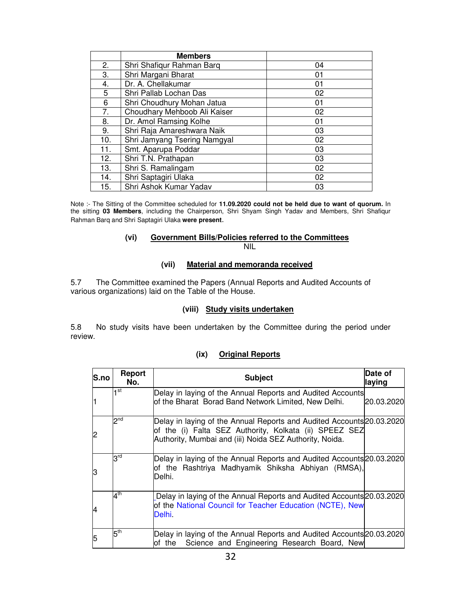|     | <b>Members</b>               |    |  |  |
|-----|------------------------------|----|--|--|
| 2.  | Shri Shafiqur Rahman Barq    | 04 |  |  |
| 3.  | Shri Margani Bharat          | 01 |  |  |
| 4.  | Dr. A. Chellakumar           | 01 |  |  |
| 5   | Shri Pallab Lochan Das       | 02 |  |  |
| 6   | Shri Choudhury Mohan Jatua   | 01 |  |  |
| 7.  | Choudhary Mehboob Ali Kaiser | 02 |  |  |
| 8.  | Dr. Amol Ramsing Kolhe       | 01 |  |  |
| 9.  | Shri Raja Amareshwara Naik   | 03 |  |  |
| 10. | Shri Jamyang Tsering Namgyal | 02 |  |  |
| 11. | Smt. Aparupa Poddar          | 03 |  |  |
| 12. | Shri T.N. Prathapan          | 03 |  |  |
| 13. | Shri S. Ramalingam           | 02 |  |  |
| 14. | Shri Saptagiri Ulaka         | 02 |  |  |
| 15. | Shri Ashok Kumar Yadav<br>03 |    |  |  |

Note :- The Sitting of the Committee scheduled for **11.09.2020 could not be held due to want of quorum.** In the sitting **03 Members**, including the Chairperson, Shri Shyam Singh Yadav and Members, Shri Shafiqur Rahman Barq and Shri Saptagiri Ulaka **were present**.

#### **(vi) Government Bills/Policies referred to the Committees** NIL

#### **(vii) Material and memoranda received**

5.7 The Committee examined the Papers (Annual Reports and Audited Accounts of various organizations) laid on the Table of the House.

#### **(viii) Study visits undertaken**

5.8 No study visits have been undertaken by the Committee during the period under review.

| (ix) | <b>Original Reports</b> |  |
|------|-------------------------|--|
|      |                         |  |

| S.no | Report<br>No.   | <b>Subject</b>                                                                                                                                                                             | Date of<br>laying |
|------|-----------------|--------------------------------------------------------------------------------------------------------------------------------------------------------------------------------------------|-------------------|
| l1   | ⊣ st            | Delay in laying of the Annual Reports and Audited Accounts<br>of the Bharat Borad Band Network Limited, New Delhi.                                                                         | 20.03.2020        |
| 2    | $2^{nd}$        | Delay in laying of the Annual Reports and Audited Accounts 20.03.2020<br>of the (i) Falta SEZ Authority, Kolkata (ii) SPEEZ SEZ<br>Authority, Mumbai and (iii) Noida SEZ Authority, Noida. |                   |
| 13   | $3^{\text{rd}}$ | Delay in laying of the Annual Reports and Audited Accounts 20.03.2020<br>of the Rashtriya Madhyamik Shiksha Abhiyan (RMSA),<br>Delhi.                                                      |                   |
| 14   | $4^{\text{th}}$ | Delay in laying of the Annual Reports and Audited Accounts 20.03.2020<br>of the National Council for Teacher Education (NCTE), New<br>Delhi.                                               |                   |
| 5    | $5^{\text{th}}$ | Delay in laying of the Annual Reports and Audited Accounts 20.03.2020<br>Science and Engineering Research Board, New<br>lof the                                                            |                   |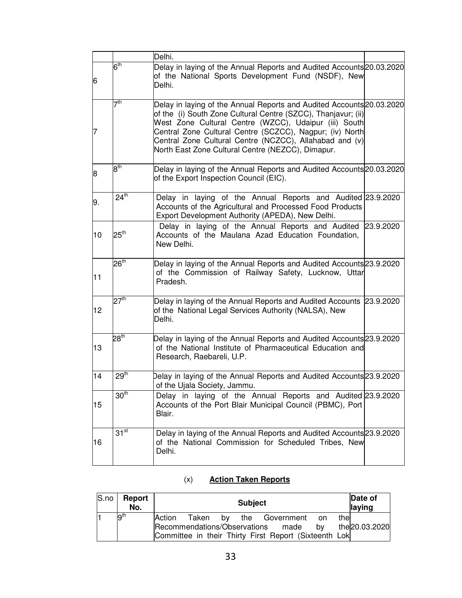|    |                  | Delhi.                                                                                                                                                                                                                                                                                                                                                                      |  |
|----|------------------|-----------------------------------------------------------------------------------------------------------------------------------------------------------------------------------------------------------------------------------------------------------------------------------------------------------------------------------------------------------------------------|--|
| 6  | $6^{\text{th}}$  | Delay in laying of the Annual Reports and Audited Accounts 20.03.2020<br>of the National Sports Development Fund (NSDF), New<br>Delhi.                                                                                                                                                                                                                                      |  |
| 17 | 7 <sup>th</sup>  | Delay in laying of the Annual Reports and Audited Accounts 20.03.2020<br>of the (i) South Zone Cultural Centre (SZCC), Thanjavur; (ii)<br>West Zone Cultural Centre (WZCC), Udaipur (iii) South<br>Central Zone Cultural Centre (SCZCC), Nagpur; (iv) North<br>Central Zone Cultural Centre (NCZCC), Allahabad and (v)<br>North East Zone Cultural Centre (NEZCC), Dimapur. |  |
| 8  | $8^{\text{th}}$  | Delay in laying of the Annual Reports and Audited Accounts 20.03.2020<br>of the Export Inspection Council (EIC).                                                                                                                                                                                                                                                            |  |
| 9. | $24^{\text{th}}$ | Delay in laying of the Annual Reports and Audited 23.9.2020<br>Accounts of the Agricultural and Processed Food Products<br>Export Development Authority (APEDA), New Delhi.                                                                                                                                                                                                 |  |
| 10 | $25^{\text{th}}$ | Delay in laying of the Annual Reports and Audited 23.9.2020<br>Accounts of the Maulana Azad Education Foundation,<br>New Delhi.                                                                                                                                                                                                                                             |  |
| 11 | $26^{\text{th}}$ | Delay in laying of the Annual Reports and Audited Accounts 23.9.2020<br>of the Commission of Railway Safety, Lucknow, Uttar<br>Pradesh.                                                                                                                                                                                                                                     |  |
| 12 | 27 <sup>th</sup> | Delay in laying of the Annual Reports and Audited Accounts 23.9.2020<br>of the National Legal Services Authority (NALSA), New<br>Delhi.                                                                                                                                                                                                                                     |  |
| 13 | 28 <sup>th</sup> | Delay in laying of the Annual Reports and Audited Accounts 23.9.2020<br>of the National Institute of Pharmaceutical Education and<br>Research, Raebareli, U.P.                                                                                                                                                                                                              |  |
| 14 | 29 <sup>th</sup> | Delay in laying of the Annual Reports and Audited Accounts 23.9.2020<br>of the Ujala Society, Jammu.                                                                                                                                                                                                                                                                        |  |
| 15 | 30 <sup>th</sup> | Delay in laying of the Annual Reports and Audited 23.9.2020<br>Accounts of the Port Blair Municipal Council (PBMC), Port<br>Blair.                                                                                                                                                                                                                                          |  |
| 16 | $31^{st}$        | Delay in laying of the Annual Reports and Audited Accounts 23.9.2020<br>of the National Commission for Scheduled Tribes, New<br>Delhi.                                                                                                                                                                                                                                      |  |

# (x) **Action Taken Reports**

| S.no | <b>Report</b><br>No. |        |  | <b>Subject</b> |                                                       |    |      | Date of<br>laying |
|------|----------------------|--------|--|----------------|-------------------------------------------------------|----|------|-------------------|
|      | 9 <sup>th</sup>      | Action |  |                | Taken by the Government on                            |    | thel |                   |
|      |                      |        |  |                | Recommendations/Observations made                     | bv |      | the 20.03.2020    |
|      |                      |        |  |                | Committee in their Thirty First Report (Sixteenth Lok |    |      |                   |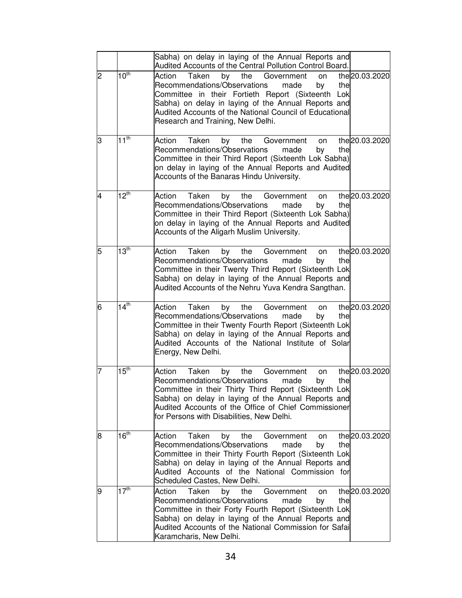|   |                      | Sabha) on delay in laying of the Annual Reports and<br>Audited Accounts of the Central Pollution Control Board.                                                                                                                                                                                                                              |
|---|----------------------|----------------------------------------------------------------------------------------------------------------------------------------------------------------------------------------------------------------------------------------------------------------------------------------------------------------------------------------------|
| 2 | $10^{th}$            | the 20.03.2020<br>Taken<br>by<br>the<br>Government<br>Action<br>on<br>Recommendations/Observations<br>made<br>by<br>the<br>Committee in their Fortieth Report (Sixteenth Lok<br>Sabha) on delay in laying of the Annual Reports and<br>Audited Accounts of the National Council of Educational<br>Research and Training, New Delhi.          |
| З | $11^{th}$            | the 20.03.2020<br>Action<br>Taken<br>by<br>the<br>Government<br>on<br>Recommendations/Observations<br>made<br>by<br>the<br>Committee in their Third Report (Sixteenth Lok Sabha)<br>on delay in laying of the Annual Reports and Audited<br>Accounts of the Banaras Hindu University.                                                        |
| 4 | $12^{th}$            | the 20.03.2020<br>Taken<br>Action<br>the<br>by<br>Government<br>on<br>Recommendations/Observations<br>made<br>by<br>the<br>Committee in their Third Report (Sixteenth Lok Sabha)<br>on delay in laying of the Annual Reports and Audited<br>Accounts of the Aligarh Muslim University.                                                       |
| 5 | 13 <sup>th</sup>     | the 20.03.2020<br>Action<br>Taken<br>by<br>the<br>Government<br>on<br>Recommendations/Observations<br>made<br>by<br>the<br>Committee in their Twenty Third Report (Sixteenth Lok<br>Sabha) on delay in laying of the Annual Reports and<br>Audited Accounts of the Nehru Yuva Kendra Sangthan.                                               |
| 6 | $14^{th}$            | the 20.03.2020<br>Taken<br>Action<br>the<br>by<br>Government<br>on<br>Recommendations/Observations<br>made<br>by<br>the<br>Committee in their Twenty Fourth Report (Sixteenth Lok<br>Sabha) on delay in laying of the Annual Reports and<br>Audited Accounts of the National Institute of Solar<br>Energy, New Delhi.                        |
| 7 | $15^{\overline{th}}$ | the 20.03.2020<br>Taken<br>by<br>the<br>Action<br>Government<br>on<br>Recommendations/Observations<br>made<br>by<br>the<br>Committee in their Thirty Third Report (Sixteenth Lok<br>Sabha) on delay in laying of the Annual Reports and<br>Audited Accounts of the Office of Chief Commissioner<br>for Persons with Disabilities, New Delhi. |
| 8 | 16 <sup>th</sup>     | the 20.03.2020<br>Action<br>Taken<br>the<br>by<br>Government<br>on<br>Recommendations/Observations<br>the<br>made<br>by<br>Committee in their Thirty Fourth Report (Sixteenth Lok<br>Sabha) on delay in laying of the Annual Reports and<br>Audited Accounts of the National Commission for<br>Scheduled Castes, New Delhi.                  |
| 9 | 17 <sup>th</sup>     | the 20.03.2020<br>Action<br>Taken<br>by<br>the<br>Government<br>on<br>Recommendations/Observations<br>made<br>the<br>by<br>Committee in their Forty Fourth Report (Sixteenth Lok<br>Sabha) on delay in laying of the Annual Reports and<br>Audited Accounts of the National Commission for Safai<br>Karamcharis, New Delhi.                  |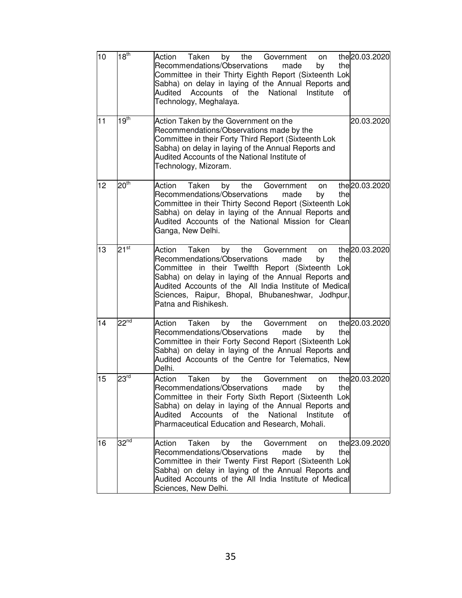| 10 | 18 <sup>th</sup>     | the 20.03.2020<br>Action<br>Taken<br>by the Government<br>on<br>Recommendations/Observations<br>made<br>by<br>the<br>Committee in their Thirty Eighth Report (Sixteenth Lok<br>Sabha) on delay in laying of the Annual Reports and<br>of the<br>National<br>Audited<br>Accounts<br>Institute<br>οf<br>Technology, Meghalaya.                                             |
|----|----------------------|--------------------------------------------------------------------------------------------------------------------------------------------------------------------------------------------------------------------------------------------------------------------------------------------------------------------------------------------------------------------------|
| 11 | 19 <sup>th</sup>     | Action Taken by the Government on the<br>20.03.2020<br>Recommendations/Observations made by the<br>Committee in their Forty Third Report (Sixteenth Lok<br>Sabha) on delay in laying of the Annual Reports and<br>Audited Accounts of the National Institute of<br>Technology, Mizoram.                                                                                  |
| 12 | $20^{\overline{th}}$ | the 20.03.2020<br>Taken<br>the<br>Action<br>by<br>Government<br>on<br>Recommendations/Observations<br>by<br>made<br>the<br>Committee in their Thirty Second Report (Sixteenth Lok<br>Sabha) on delay in laying of the Annual Reports and<br>Audited Accounts of the National Mission for Clean<br>Ganga, New Delhi.                                                      |
| 13 | $21^{\overline{st}}$ | the 20.03.2020<br>Action<br>Taken<br>the<br>by<br>Government<br>on<br>Recommendations/Observations<br>made<br>by<br>the<br>Committee in their Twelfth Report (Sixteenth Lok<br>Sabha) on delay in laying of the Annual Reports and<br>Audited Accounts of the All India Institute of Medical<br>Sciences, Raipur, Bhopal, Bhubaneshwar, Jodhpur,<br>Patna and Rishikesh. |
| 14 | $22^{nd}$            | the 20.03.2020<br>Action<br>Taken<br>the<br>Government<br>by<br>on<br>Recommendations/Observations<br>made<br>the<br>by<br>Committee in their Forty Second Report (Sixteenth Lok<br>Sabha) on delay in laying of the Annual Reports and<br>Audited Accounts of the Centre for Telematics, New<br>Delhi.                                                                  |
| 15 | 23 <sup>rd</sup>     | Taken<br>the 20.03.2020<br>Action<br>the<br>by<br>Government<br>on<br>Recommendations/Observations made<br>the<br>by<br>Committee in their Forty Sixth Report (Sixteenth Lok<br>Sabha) on delay in laying of the Annual Reports and<br>Accounts<br>the<br>National<br>Institute<br>Audited<br>of<br>οf<br>Pharmaceutical Education and Research, Mohali.                 |
| 16 | 32 <sup>nd</sup>     | the 23.09.2020<br>Taken<br>the<br>Government<br>Action<br>by<br>on<br>Recommendations/Observations<br>made<br>by<br>the<br>Committee in their Twenty First Report (Sixteenth Lok<br>Sabha) on delay in laying of the Annual Reports and<br>Audited Accounts of the All India Institute of Medical<br>Sciences, New Delhi.                                                |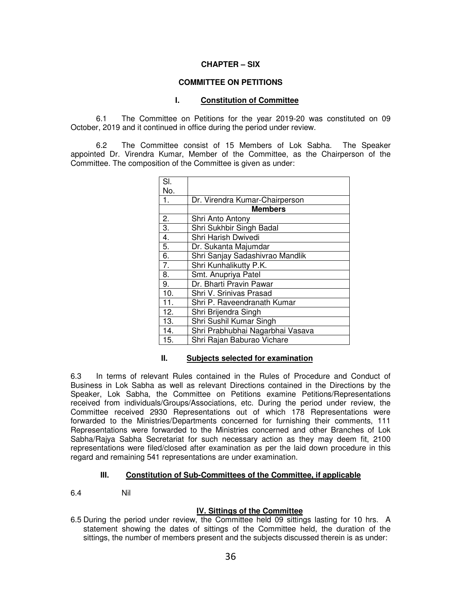#### **CHAPTER – SIX**

#### **COMMITTEE ON PETITIONS**

#### **I. Constitution of Committee**

6.1 The Committee on Petitions for the year 2019-20 was constituted on 09 October, 2019 and it continued in office during the period under review.

6.2 The Committee consist of 15 Members of Lok Sabha. The Speaker appointed Dr. Virendra Kumar, Member of the Committee, as the Chairperson of the Committee. The composition of the Committee is given as under:

| SI. |                                  |
|-----|----------------------------------|
| No. |                                  |
| 1.  | Dr. Virendra Kumar-Chairperson   |
|     | <b>Members</b>                   |
| 2.  | Shri Anto Antony                 |
| 3.  | Shri Sukhbir Singh Badal         |
| 4.  | Shri Harish Dwivedi              |
| 5.  | Dr. Sukanta Majumdar             |
| 6.  | Shri Sanjay Sadashivrao Mandlik  |
| 7.  | Shri Kunhalikutty P.K.           |
| 8.  | Smt. Anupriya Patel              |
| 9.  | Dr. Bharti Pravin Pawar          |
| 10. | Shri V. Srinivas Prasad          |
| 11. | Shri P. Raveendranath Kumar      |
| 12. | Shri Brijendra Singh             |
| 13. | Shri Sushil Kumar Singh          |
| 14. | Shri Prabhubhai Nagarbhai Vasava |
| 15. | Shri Rajan Baburao Vichare       |

#### **II. Subjects selected for examination**

6.3 In terms of relevant Rules contained in the Rules of Procedure and Conduct of Business in Lok Sabha as well as relevant Directions contained in the Directions by the Speaker, Lok Sabha, the Committee on Petitions examine Petitions/Representations received from individuals/Groups/Associations, etc. During the period under review, the Committee received 2930 Representations out of which 178 Representations were forwarded to the Ministries/Departments concerned for furnishing their comments, 111 Representations were forwarded to the Ministries concerned and other Branches of Lok Sabha/Rajya Sabha Secretariat for such necessary action as they may deem fit, 2100 representations were filed/closed after examination as per the laid down procedure in this regard and remaining 541 representations are under examination.

#### **III. Constitution of Sub-Committees of the Committee, if applicable**

6.4 Nil

#### **IV. Sittings of the Committee**

6.5 During the period under review, the Committee held 09 sittings lasting for 10 hrs. A statement showing the dates of sittings of the Committee held, the duration of the sittings, the number of members present and the subjects discussed therein is as under: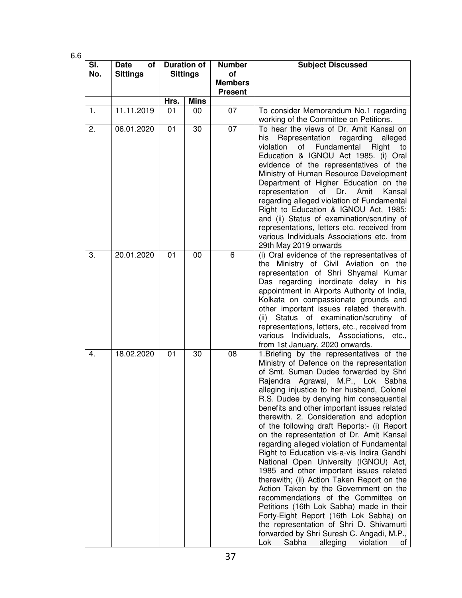6.6

| SI.<br>No. | <b>Date</b><br>οf<br><b>Sittings</b> | <b>Duration of</b><br><b>Sittings</b> |             | <b>Number</b><br>οf<br><b>Members</b><br><b>Present</b> | <b>Subject Discussed</b>                                                                                                                                                                                                                                                                                                                                                                                                                                                                                                                                                                                                                                                                                                                                                                                                                                                                                                                                                                        |
|------------|--------------------------------------|---------------------------------------|-------------|---------------------------------------------------------|-------------------------------------------------------------------------------------------------------------------------------------------------------------------------------------------------------------------------------------------------------------------------------------------------------------------------------------------------------------------------------------------------------------------------------------------------------------------------------------------------------------------------------------------------------------------------------------------------------------------------------------------------------------------------------------------------------------------------------------------------------------------------------------------------------------------------------------------------------------------------------------------------------------------------------------------------------------------------------------------------|
|            |                                      | Hrs.                                  | <b>Mins</b> |                                                         |                                                                                                                                                                                                                                                                                                                                                                                                                                                                                                                                                                                                                                                                                                                                                                                                                                                                                                                                                                                                 |
| 1.         | 11.11.2019                           | 01                                    | 00          | 07                                                      | To consider Memorandum No.1 regarding<br>working of the Committee on Petitions.                                                                                                                                                                                                                                                                                                                                                                                                                                                                                                                                                                                                                                                                                                                                                                                                                                                                                                                 |
| 2.         | 06.01.2020                           | 01                                    | 30          | 07                                                      | To hear the views of Dr. Amit Kansal on<br>Representation regarding<br>his<br>alleged<br>Fundamental Right<br>violation<br>of<br>to<br>Education & IGNOU Act 1985. (i) Oral<br>evidence of the representatives of the<br>Ministry of Human Resource Development<br>Department of Higher Education on the<br>representation<br>of Dr.<br>Amit<br>Kansal<br>regarding alleged violation of Fundamental<br>Right to Education & IGNOU Act, 1985;<br>and (ii) Status of examination/scrutiny of<br>representations, letters etc. received from<br>various Individuals Associations etc. from<br>29th May 2019 onwards                                                                                                                                                                                                                                                                                                                                                                               |
| 3.         | 20.01.2020                           | 01                                    | 00          | 6                                                       | (i) Oral evidence of the representatives of<br>the Ministry of Civil Aviation on the<br>representation of Shri Shyamal Kumar<br>Das regarding inordinate delay in his<br>appointment in Airports Authority of India,<br>Kolkata on compassionate grounds and<br>other important issues related therewith.<br>(ii) Status of examination/scrutiny of<br>representations, letters, etc., received from<br>various Individuals, Associations,<br>etc.,<br>from 1st January, 2020 onwards.                                                                                                                                                                                                                                                                                                                                                                                                                                                                                                          |
| 4.         | 18.02.2020                           | 01                                    | 30          | 08                                                      | 1. Briefing by the representatives of the<br>Ministry of Defence on the representation<br>of Smt. Suman Dudee forwarded by Shri<br>Rajendra Agrawal, M.P., Lok Sabha<br>alleging injustice to her husband, Colonel<br>R.S. Dudee by denying him consequential<br>benefits and other important issues related<br>therewith. 2. Consideration and adoption<br>of the following draft Reports:- (i) Report<br>on the representation of Dr. Amit Kansal<br>regarding alleged violation of Fundamental<br>Right to Education vis-a-vis Indira Gandhi<br>National Open University (IGNOU) Act,<br>1985 and other important issues related<br>therewith; (ii) Action Taken Report on the<br>Action Taken by the Government on the<br>recommendations of the Committee on<br>Petitions (16th Lok Sabha) made in their<br>Forty-Eight Report (16th Lok Sabha) on<br>the representation of Shri D. Shivamurti<br>forwarded by Shri Suresh C. Angadi, M.P.,<br>Sabha<br>alleging<br>Lok<br>violation<br>of |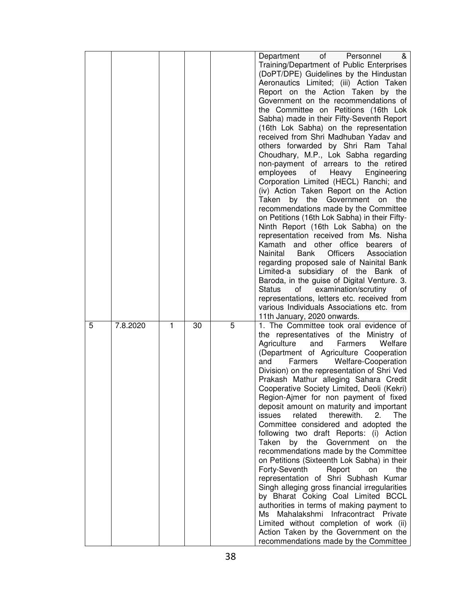|   |          |   |    |   | of<br>Department<br>Personnel<br>&<br>Training/Department of Public Enterprises<br>(DoPT/DPE) Guidelines by the Hindustan<br>Aeronautics Limited; (iii) Action Taken<br>Report on the Action Taken by the<br>Government on the recommendations of<br>the Committee on Petitions (16th Lok<br>Sabha) made in their Fifty-Seventh Report<br>(16th Lok Sabha) on the representation<br>received from Shri Madhuban Yadav and<br>others forwarded by Shri Ram Tahal<br>Choudhary, M.P., Lok Sabha regarding<br>non-payment of arrears to the retired<br>employees<br>Heavy Engineering<br>of<br>Corporation Limited (HECL) Ranchi; and<br>(iv) Action Taken Report on the Action<br>by the<br>Government on<br>Taken<br>the<br>recommendations made by the Committee<br>on Petitions (16th Lok Sabha) in their Fifty-<br>Ninth Report (16th Lok Sabha) on the<br>representation received from Ms. Nisha<br>Kamath and other office bearers of<br>Nainital<br>Bank<br>Officers Association<br>regarding proposed sale of Nainital Bank<br>Limited-a subsidiary of the Bank of<br>Baroda, in the guise of Digital Venture. 3.<br>of examination/scrutiny<br>Status<br>of<br>representations, letters etc. received from<br>various Individuals Associations etc. from |
|---|----------|---|----|---|-----------------------------------------------------------------------------------------------------------------------------------------------------------------------------------------------------------------------------------------------------------------------------------------------------------------------------------------------------------------------------------------------------------------------------------------------------------------------------------------------------------------------------------------------------------------------------------------------------------------------------------------------------------------------------------------------------------------------------------------------------------------------------------------------------------------------------------------------------------------------------------------------------------------------------------------------------------------------------------------------------------------------------------------------------------------------------------------------------------------------------------------------------------------------------------------------------------------------------------------------------------------|
| 5 | 7.8.2020 | 1 | 30 | 5 | 11th January, 2020 onwards.<br>1. The Committee took oral evidence of<br>the representatives of the Ministry of<br>Agriculture<br>and<br>Farmers<br>Welfare<br>(Department of Agriculture Cooperation<br>Welfare-Cooperation<br>Farmers<br>and<br>Division) on the representation of Shri Ved<br>Prakash Mathur alleging Sahara Credit<br>Cooperative Society Limited, Deoli (Kekri)<br>Region-Ajmer for non payment of fixed<br>deposit amount on maturity and important<br>issues<br>related<br>therewith.<br>2.<br><b>The</b><br>Committee considered and adopted the<br>following two draft Reports: (i) Action<br>Taken<br>by the Government<br>the<br>on<br>recommendations made by the Committee<br>on Petitions (Sixteenth Lok Sabha) in their<br>the<br>Forty-Seventh<br>Report<br>on<br>representation of Shri Subhash Kumar<br>Singh alleging gross financial irregularities<br>by Bharat Coking Coal Limited BCCL<br>authorities in terms of making payment to<br>Ms Mahalakshmi Infracontract Private<br>Limited without completion of work (ii)<br>Action Taken by the Government on the<br>recommendations made by the Committee                                                                                                                 |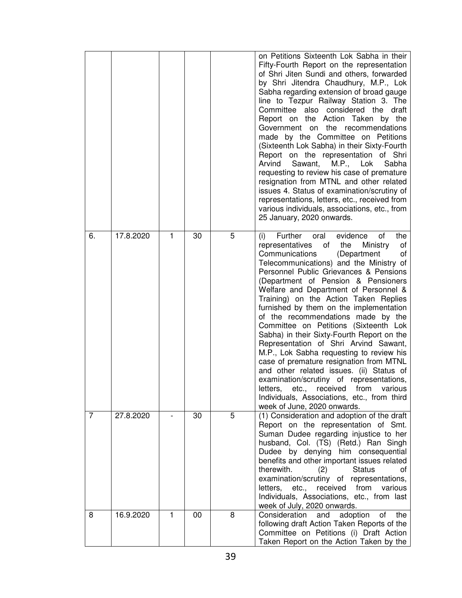|    |           |   |    |   | on Petitions Sixteenth Lok Sabha in their<br>Fifty-Fourth Report on the representation<br>of Shri Jiten Sundi and others, forwarded<br>by Shri Jitendra Chaudhury, M.P., Lok<br>Sabha regarding extension of broad gauge<br>line to Tezpur Railway Station 3. The<br>Committee also considered the<br>draft<br>Report on the Action Taken by the<br>Government on the recommendations<br>made by the Committee on Petitions<br>(Sixteenth Lok Sabha) in their Sixty-Fourth<br>Report on the representation of Shri<br>Arvind<br>Sawant,<br>M.P., Lok<br>Sabha<br>requesting to review his case of premature<br>resignation from MTNL and other related<br>issues 4. Status of examination/scrutiny of<br>representations, letters, etc., received from<br>various individuals, associations, etc., from<br>25 January, 2020 onwards.                                   |
|----|-----------|---|----|---|------------------------------------------------------------------------------------------------------------------------------------------------------------------------------------------------------------------------------------------------------------------------------------------------------------------------------------------------------------------------------------------------------------------------------------------------------------------------------------------------------------------------------------------------------------------------------------------------------------------------------------------------------------------------------------------------------------------------------------------------------------------------------------------------------------------------------------------------------------------------|
| 6. | 17.8.2020 | 1 | 30 | 5 | Further oral<br>evidence<br>the<br>of<br>(i)<br>representatives<br>of the<br>Ministry<br>of<br>Communications<br>(Department<br>of<br>Telecommunications) and the Ministry of<br>Personnel Public Grievances & Pensions<br>(Department of Pension & Pensioners<br>Welfare and Department of Personnel &<br>Training) on the Action Taken Replies<br>furnished by them on the implementation<br>of the recommendations made by the<br>Committee on Petitions (Sixteenth Lok<br>Sabha) in their Sixty-Fourth Report on the<br>Representation of Shri Arvind Sawant,<br>M.P., Lok Sabha requesting to review his<br>case of premature resignation from MTNL<br>and other related issues. (ii) Status of<br>examination/scrutiny of representations,<br>letters, etc., received from various<br>Individuals, Associations, etc., from third<br>week of June, 2020 onwards. |
| 7  | 27.8.2020 |   | 30 | 5 | (1) Consideration and adoption of the draft<br>Report on the representation of Smt.<br>Suman Dudee regarding injustice to her<br>husband, Col. (TS) (Retd.) Ran Singh<br>Dudee by denying him consequential<br>benefits and other important issues related<br>therewith.<br>(2)<br><b>Status</b><br>οf<br>examination/scrutiny of representations,<br>received from<br>letters, etc.,<br>various<br>Individuals, Associations, etc., from last<br>week of July, 2020 onwards.                                                                                                                                                                                                                                                                                                                                                                                          |
| 8  | 16.9.2020 | 1 | 00 | 8 | Consideration<br>and<br>adoption<br>the<br>of<br>following draft Action Taken Reports of the<br>Committee on Petitions (i) Draft Action<br>Taken Report on the Action Taken by the                                                                                                                                                                                                                                                                                                                                                                                                                                                                                                                                                                                                                                                                                     |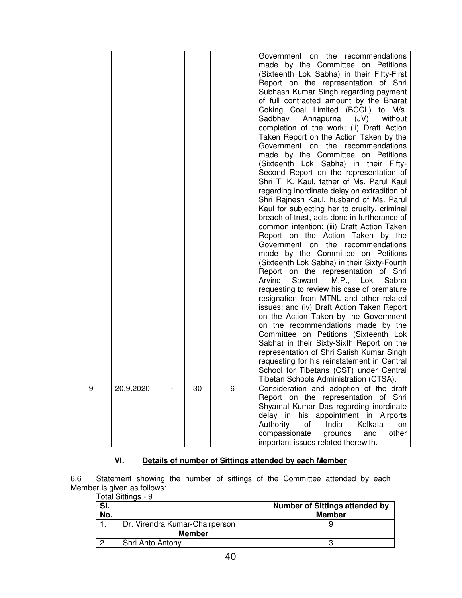|   |           |    |     | Government on the recommendations<br>made by the Committee on Petitions<br>(Sixteenth Lok Sabha) in their Fifty-First<br>Report on the representation of Shri<br>Subhash Kumar Singh regarding payment<br>of full contracted amount by the Bharat<br>Coking Coal Limited (BCCL) to M/s.<br>Sadbhav<br>Annapurna (JV)<br>without<br>completion of the work; (ii) Draft Action<br>Taken Report on the Action Taken by the<br>Government on the recommendations<br>made by the Committee on Petitions<br>(Sixteenth Lok Sabha) in their Fifty-<br>Second Report on the representation of<br>Shri T. K. Kaul, father of Ms. Parul Kaul<br>regarding inordinate delay on extradition of<br>Shri Rajnesh Kaul, husband of Ms. Parul<br>Kaul for subjecting her to cruelty, criminal<br>breach of trust, acts done in furtherance of<br>common intention; (iii) Draft Action Taken<br>Report on the Action Taken by the<br>Government on the recommendations<br>made by the Committee on Petitions<br>(Sixteenth Lok Sabha) in their Sixty-Fourth<br>Report on the representation of Shri<br>Sawant, M.P., Lok<br>Arvind<br>Sabha<br>requesting to review his case of premature<br>resignation from MTNL and other related<br>issues; and (iv) Draft Action Taken Report<br>on the Action Taken by the Government<br>on the recommendations made by the<br>Committee on Petitions (Sixteenth Lok<br>Sabha) in their Sixty-Sixth Report on the<br>representation of Shri Satish Kumar Singh<br>requesting for his reinstatement in Central<br>School for Tibetans (CST) under Central<br>Tibetan Schools Administration (CTSA). |
|---|-----------|----|-----|-------------------------------------------------------------------------------------------------------------------------------------------------------------------------------------------------------------------------------------------------------------------------------------------------------------------------------------------------------------------------------------------------------------------------------------------------------------------------------------------------------------------------------------------------------------------------------------------------------------------------------------------------------------------------------------------------------------------------------------------------------------------------------------------------------------------------------------------------------------------------------------------------------------------------------------------------------------------------------------------------------------------------------------------------------------------------------------------------------------------------------------------------------------------------------------------------------------------------------------------------------------------------------------------------------------------------------------------------------------------------------------------------------------------------------------------------------------------------------------------------------------------------------------------------------------------------------------------------------------------------|
|   |           |    | ี่ค |                                                                                                                                                                                                                                                                                                                                                                                                                                                                                                                                                                                                                                                                                                                                                                                                                                                                                                                                                                                                                                                                                                                                                                                                                                                                                                                                                                                                                                                                                                                                                                                                                         |
| 9 | 20.9.2020 | 30 |     | Consideration and adoption of the draft<br>Report on the representation of Shri<br>Shyamal Kumar Das regarding inordinate<br>delay in his appointment in Airports<br>Authority<br>Kolkata<br>of<br>India<br>on<br>compassionate<br>grounds<br>other<br>and<br>important issues related therewith.                                                                                                                                                                                                                                                                                                                                                                                                                                                                                                                                                                                                                                                                                                                                                                                                                                                                                                                                                                                                                                                                                                                                                                                                                                                                                                                       |

# **VI. Details of number of Sittings attended by each Member**

6.6 Statement showing the number of sittings of the Committee attended by each Member is given as follows:

| SI.<br>No. |                                | <b>Number of Sittings attended by</b><br><b>Member</b> |
|------------|--------------------------------|--------------------------------------------------------|
|            | Dr. Virendra Kumar-Chairperson |                                                        |
|            | <b>Member</b>                  |                                                        |
| $\Omega$   | Shri Anto Antony               |                                                        |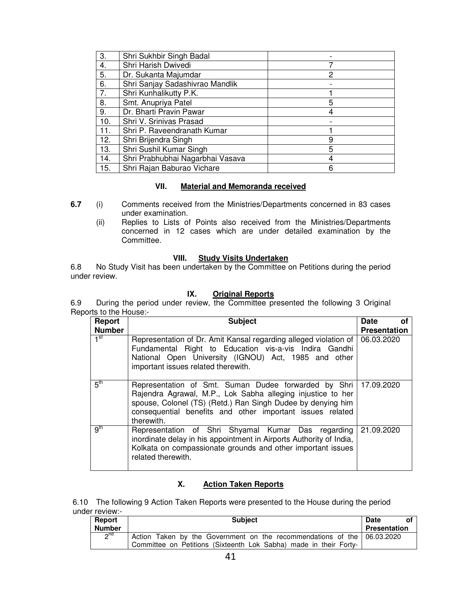| 3.  | Shri Sukhbir Singh Badal         |   |
|-----|----------------------------------|---|
| 4.  | Shri Harish Dwivedi              |   |
| 5.  | Dr. Sukanta Majumdar             | 2 |
| 6.  | Shri Sanjay Sadashivrao Mandlik  |   |
| 7.  | Shri Kunhalikutty P.K.           |   |
| 8.  | Smt. Anupriya Patel              | 5 |
| 9.  | Dr. Bharti Pravin Pawar          | 4 |
| 10. | Shri V. Srinivas Prasad          |   |
| 11. | Shri P. Raveendranath Kumar      |   |
| 12. | Shri Brijendra Singh             | 9 |
| 13. | Shri Sushil Kumar Singh          | 5 |
| 14. | Shri Prabhubhai Nagarbhai Vasava | 4 |
| 15. | Shri Rajan Baburao Vichare       | 6 |

# **VII. Material and Memoranda received**

- **6.7** (i) Comments received from the Ministries/Departments concerned in 83 cases under examination.
	- (ii) Replies to Lists of Points also received from the Ministries/Departments concerned in 12 cases which are under detailed examination by the Committee.

## **VIII. Study Visits Undertaken**

6.8 No Study Visit has been undertaken by the Committee on Petitions during the period under review.

# **IX. Original Reports**

6.9 During the period under review, the Committee presented the following 3 Original Reports to the House:-

| Report          | <b>Subject</b>                                                                                                                                                                                                                                                             | <b>Date</b><br>οf   |
|-----------------|----------------------------------------------------------------------------------------------------------------------------------------------------------------------------------------------------------------------------------------------------------------------------|---------------------|
| <b>Number</b>   |                                                                                                                                                                                                                                                                            | <b>Presentation</b> |
| 1 <sup>st</sup> | Representation of Dr. Amit Kansal regarding alleged violation of<br>Fundamental Right to Education vis-a-vis Indira Gandhi<br>National Open University (IGNOU) Act, 1985 and other<br>important issues related therewith.                                                  | 06.03.2020          |
| 5 <sup>th</sup> | Representation of Smt. Suman Dudee forwarded by Shri   17.09.2020<br>Rajendra Agrawal, M.P., Lok Sabha alleging injustice to her<br>spouse, Colonel (TS) (Retd.) Ran Singh Dudee by denying him<br>consequential benefits and other important issues related<br>therewith. |                     |
| 9 <sup>th</sup> | Representation of Shri Shyamal Kumar Das regarding<br>inordinate delay in his appointment in Airports Authority of India,<br>Kolkata on compassionate grounds and other important issues<br>related therewith.                                                             | 21.09.2020          |

# **X. Action Taken Reports**

6.10 The following 9 Action Taken Reports were presented to the House during the period under review:-

| Report          | <b>Subject</b>                                                          | <b>Date</b><br>٥t   |
|-----------------|-------------------------------------------------------------------------|---------------------|
| <b>Number</b>   |                                                                         | <b>Presentation</b> |
| 2 <sup>nd</sup> | Action Taken by the Government on the recommendations of the 06.03.2020 |                     |
|                 | Committee on Petitions (Sixteenth Lok Sabha) made in their Forty-       |                     |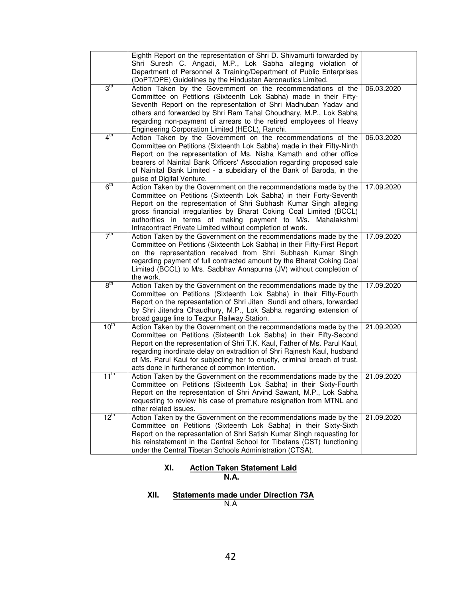|                  | Eighth Report on the representation of Shri D. Shivamurti forwarded by<br>Shri Suresh C. Angadi, M.P., Lok Sabha alleging violation of<br>Department of Personnel & Training/Department of Public Enterprises<br>(DoPT/DPE) Guidelines by the Hindustan Aeronautics Limited.                                                                                                                                                   |            |
|------------------|--------------------------------------------------------------------------------------------------------------------------------------------------------------------------------------------------------------------------------------------------------------------------------------------------------------------------------------------------------------------------------------------------------------------------------|------------|
| $3^{\text{ra}}$  | Action Taken by the Government on the recommendations of the<br>Committee on Petitions (Sixteenth Lok Sabha) made in their Fifty-<br>Seventh Report on the representation of Shri Madhuban Yadav and<br>others and forwarded by Shri Ram Tahal Choudhary, M.P., Lok Sabha<br>regarding non-payment of arrears to the retired employees of Heavy<br>Engineering Corporation Limited (HECL), Ranchi.                             | 06.03.2020 |
| 4 <sup>th</sup>  | Action Taken by the Government on the recommendations of the<br>Committee on Petitions (Sixteenth Lok Sabha) made in their Fifty-Ninth<br>Report on the representation of Ms. Nisha Kamath and other office<br>bearers of Nainital Bank Officers' Association regarding proposed sale<br>of Nainital Bank Limited - a subsidiary of the Bank of Baroda, in the<br>guise of Digital Venture.                                    | 06.03.2020 |
| 6 <sup>th</sup>  | Action Taken by the Government on the recommendations made by the<br>Committee on Petitions (Sixteenth Lok Sabha) in their Forty-Seventh<br>Report on the representation of Shri Subhash Kumar Singh alleging<br>gross financial irregularities by Bharat Coking Coal Limited (BCCL)<br>authorities in terms of making payment to M/s. Mahalakshmi<br>Infracontract Private Limited without completion of work.                | 17.09.2020 |
| 7 <sup>th</sup>  | Action Taken by the Government on the recommendations made by the<br>Committee on Petitions (Sixteenth Lok Sabha) in their Fifty-First Report<br>on the representation received from Shri Subhash Kumar Singh<br>regarding payment of full contracted amount by the Bharat Coking Coal<br>Limited (BCCL) to M/s. Sadbhav Annapurna (JV) without completion of<br>the work.                                                     | 17.09.2020 |
| 8 <sup>tn</sup>  | Action Taken by the Government on the recommendations made by the<br>Committee on Petitions (Sixteenth Lok Sabha) in their Fifty-Fourth<br>Report on the representation of Shri Jiten Sundi and others, forwarded<br>by Shri Jitendra Chaudhury, M.P., Lok Sabha regarding extension of<br>broad gauge line to Tezpur Railway Station.                                                                                         | 17.09.2020 |
| 10 <sup>th</sup> | Action Taken by the Government on the recommendations made by the<br>Committee on Petitions (Sixteenth Lok Sabha) in their Fifty-Second<br>Report on the representation of Shri T.K. Kaul, Father of Ms. Parul Kaul,<br>regarding inordinate delay on extradition of Shri Rajnesh Kaul, husband<br>of Ms. Parul Kaul for subjecting her to cruelty, criminal breach of trust,<br>acts done in furtherance of common intention. | 21.09.2020 |
| $11^{\text{th}}$ | Action Taken by the Government on the recommendations made by the<br>Committee on Petitions (Sixteenth Lok Sabha) in their Sixty-Fourth<br>Report on the representation of Shri Arvind Sawant, M.P., Lok Sabha<br>requesting to review his case of premature resignation from MTNL and<br>other related issues.                                                                                                                | 21.09.2020 |
| $12^{\text{tn}}$ | Action Taken by the Government on the recommendations made by the<br>Committee on Petitions (Sixteenth Lok Sabha) in their Sixty-Sixth<br>Report on the representation of Shri Satish Kumar Singh requesting for<br>his reinstatement in the Central School for Tibetans (CST) functioning<br>under the Central Tibetan Schools Administration (CTSA).                                                                         | 21.09.2020 |

# **XI. Action Taken Statement Laid**

**N.A.** 

# **XII. Statements made under Direction 73A**

N.A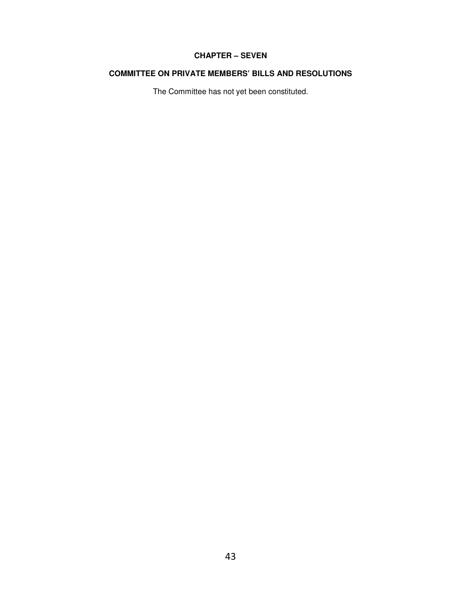# **CHAPTER – SEVEN**

# **COMMITTEE ON PRIVATE MEMBERS' BILLS AND RESOLUTIONS**

The Committee has not yet been constituted.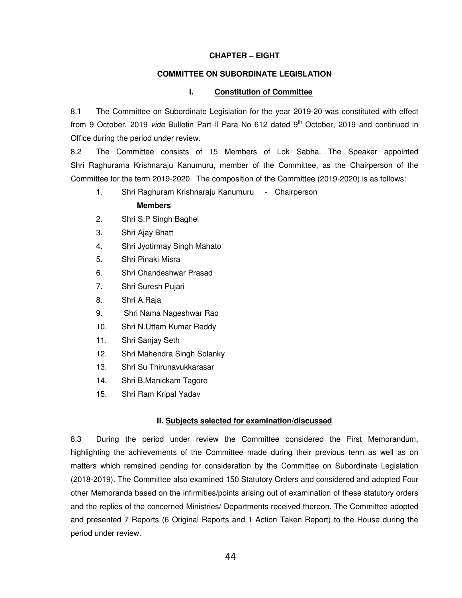### **CHAPTER – EIGHT**

# **COMMITTEE ON SUBORDINATE LEGISLATION**

### **I. Constitution of Committee**

8.1 The Committee on Subordinate Legislation for the year 2019-20 was constituted with effect from 9 October, 2019 vide Bulletin Part-II Para No 612 dated 9<sup>th</sup> October, 2019 and continued in Office during the period under review.

8.2 The Committee consists of 15 Members of Lok Sabha. The Speaker appointed Shri Raghurama Krishnaraju Kanumuru, member of the Committee, as the Chairperson of the Committee for the term 2019-2020. The composition of the Committee (2019-2020) is as follows:

1. Shri Raghuram Krishnaraju Kanumuru - Chairperson

## **Members**

- 2. Shri S.P Singh Baghel
- 3. Shri Ajay Bhatt
- 4. Shri Jyotirmay Singh Mahato
- 5. Shri Pinaki Misra
- 6. Shri Chandeshwar Prasad
- 7. Shri Suresh Pujari
- 8. Shri A.Raja
- 9. Shri Nama Nageshwar Rao
- 10. Shri N.Uttam Kumar Reddy
- 11. Shri Sanjay Seth
- 12. Shri Mahendra Singh Solanky
- 13. Shri Su Thirunavukkarasar
- 14. Shri B.Manickam Tagore
- 15. Shri Ram Kripal Yadav

## **II. Subjects selected for examination/discussed**

8.3 During the period under review the Committee considered the First Memorandum, highlighting the achievements of the Committee made during their previous term as well as on matters which remained pending for consideration by the Committee on Subordinate Legislation (2018-2019). The Committee also examined 150 Statutory Orders and considered and adopted Four other Memoranda based on the infirmities/points arising out of examination of these statutory orders and the replies of the concerned Ministries/ Departments received thereon. The Committee adopted and presented 7 Reports (6 Original Reports and 1 Action Taken Report) to the House during the period under review.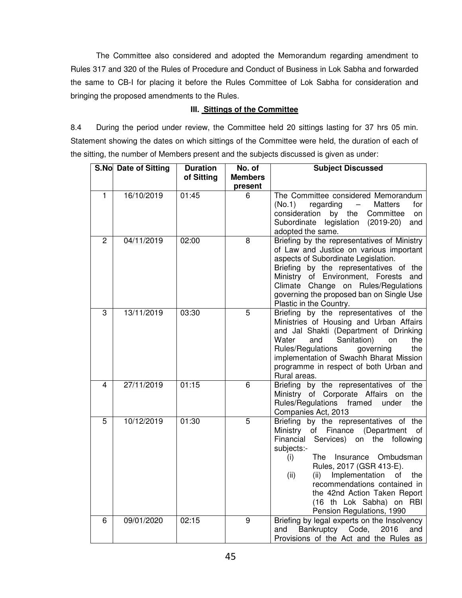The Committee also considered and adopted the Memorandum regarding amendment to Rules 317 and 320 of the Rules of Procedure and Conduct of Business in Lok Sabha and forwarded the same to CB-I for placing it before the Rules Committee of Lok Sabha for consideration and bringing the proposed amendments to the Rules.

## **III. Sittings of the Committee**

8.4 During the period under review, the Committee held 20 sittings lasting for 37 hrs 05 min. Statement showing the dates on which sittings of the Committee were held, the duration of each of the sitting, the number of Members present and the subjects discussed is given as under:

|                | S.No Date of Sitting | <b>Duration</b> | No. of                    | <b>Subject Discussed</b>                                                                                                                                                                                                                                                                                                                                                                          |
|----------------|----------------------|-----------------|---------------------------|---------------------------------------------------------------------------------------------------------------------------------------------------------------------------------------------------------------------------------------------------------------------------------------------------------------------------------------------------------------------------------------------------|
|                |                      | of Sitting      | <b>Members</b><br>present |                                                                                                                                                                                                                                                                                                                                                                                                   |
| 1              | 16/10/2019           | 01:45           | 6                         | The Committee considered Memorandum<br>(No.1)<br>regarding<br><b>Matters</b><br>for<br>$\overline{\phantom{0}}$<br>by the<br>consideration<br>Committee<br>on<br>Subordinate legislation (2019-20)<br>and<br>adopted the same.                                                                                                                                                                    |
| 2              | 04/11/2019           | 02:00           | 8                         | Briefing by the representatives of Ministry<br>of Law and Justice on various important<br>aspects of Subordinate Legislation.<br>Briefing by the representatives of the<br>Ministry of Environment, Forests and<br>Climate Change on Rules/Regulations<br>governing the proposed ban on Single Use<br>Plastic in the Country.                                                                     |
| $\overline{3}$ | 13/11/2019           | 03:30           | $\overline{5}$            | Briefing by the representatives of the<br>Ministries of Housing and Urban Affairs<br>and Jal Shakti (Department of Drinking<br>Water<br>Sanitation)<br>the<br>and<br>on<br>Rules/Regulations<br>governing<br>the<br>implementation of Swachh Bharat Mission<br>programme in respect of both Urban and<br>Rural areas.                                                                             |
| 4              | 27/11/2019           | 01:15           | 6                         | Briefing by the representatives of the<br>Ministry of Corporate Affairs on<br>the<br>Rules/Regulations framed<br>under<br>the<br>Companies Act, 2013                                                                                                                                                                                                                                              |
| 5              | 10/12/2019           | 01:30           | 5                         | Briefing by the representatives of the<br>of Finance (Department of<br>Ministry<br>Financial<br>Services)<br>on the<br>following<br>subjects:-<br><b>The</b><br>Insurance<br>Ombudsman<br>(i)<br>Rules, 2017 (GSR 413-E).<br>Implementation<br>(ii)<br>(ii)<br>of<br>the<br>recommendations contained in<br>the 42nd Action Taken Report<br>(16 th Lok Sabha) on RBI<br>Pension Regulations, 1990 |
| 6              | 09/01/2020           | 02:15           | 9                         | Briefing by legal experts on the Insolvency<br>Bankruptcy<br>Code,<br>2016<br>and<br>and<br>Provisions of the Act and the Rules as                                                                                                                                                                                                                                                                |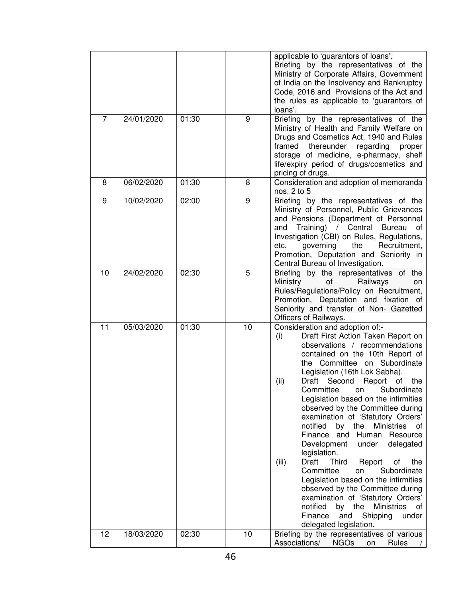|    |            |       |    | applicable to 'guarantors of loans'.<br>Briefing by the representatives of the<br>Ministry of Corporate Affairs, Government<br>of India on the Insolvency and Bankruptcy<br>Code, 2016 and Provisions of the Act and<br>the rules as applicable to 'guarantors of<br>loans'.                                                                                                                                                                                                                                                                                                                                                                                                                                                                                                                                                                                             |
|----|------------|-------|----|--------------------------------------------------------------------------------------------------------------------------------------------------------------------------------------------------------------------------------------------------------------------------------------------------------------------------------------------------------------------------------------------------------------------------------------------------------------------------------------------------------------------------------------------------------------------------------------------------------------------------------------------------------------------------------------------------------------------------------------------------------------------------------------------------------------------------------------------------------------------------|
| 7  | 24/01/2020 | 01:30 | 9  | Briefing by the representatives of the<br>Ministry of Health and Family Welfare on<br>Drugs and Cosmetics Act, 1940 and Rules<br>thereunder<br>framed<br>regarding<br>proper<br>storage of medicine, e-pharmacy, shelf<br>life/expiry period of drugs/cosmetics and<br>pricing of drugs.                                                                                                                                                                                                                                                                                                                                                                                                                                                                                                                                                                                 |
| 8  | 06/02/2020 | 01:30 | 8  | Consideration and adoption of memoranda<br>nos. 2 to 5                                                                                                                                                                                                                                                                                                                                                                                                                                                                                                                                                                                                                                                                                                                                                                                                                   |
| 9  | 10/02/2020 | 02:00 | 9  | Briefing by the representatives of the<br>Ministry of Personnel, Public Grievances<br>and Pensions (Department of Personnel<br>Training) / Central Bureau<br>and<br>οf<br>Investigation (CBI) on Rules, Regulations,<br>governing<br>the<br>Recruitment,<br>etc.<br>Promotion, Deputation and Seniority in<br>Central Bureau of Investigation.                                                                                                                                                                                                                                                                                                                                                                                                                                                                                                                           |
| 10 | 24/02/2020 | 02:30 | 5  | Briefing by the representatives of the<br>Ministry<br>Railways<br>of<br>on<br>Rules/Regulations/Policy on Recruitment,<br>Promotion, Deputation and fixation of<br>Seniority and transfer of Non- Gazetted<br>Officers of Railways.                                                                                                                                                                                                                                                                                                                                                                                                                                                                                                                                                                                                                                      |
| 11 | 05/03/2020 | 01:30 | 10 | Consideration and adoption of:-<br>Draft First Action Taken Report on<br>(i)<br>observations / recommendations<br>contained on the 10th Report of<br>the Committee on Subordinate<br>Legislation (16th Lok Sabha).<br>Draft Second Report<br>(ii)<br>the<br>of<br>Subordinate<br>Committee<br>on<br>Legislation based on the infirmities<br>observed by the Committee during<br>examination of 'Statutory Orders'<br>notified<br>by<br>the<br><b>Ministries</b><br>οf<br>Finance<br>and<br>Human<br>Resource<br>Development<br>under<br>delegated<br>legislation.<br>Draft<br><b>Third</b><br>(iii)<br>Report<br>of<br>the<br>Committee<br>Subordinate<br>on<br>Legislation based on the infirmities<br>observed by the Committee during<br>examination of 'Statutory Orders'<br>notified<br>the<br><b>Ministries</b><br>by<br>οf<br>Finance<br>Shipping<br>and<br>under |
| 12 | 18/03/2020 | 02:30 | 10 | delegated legislation.<br>Briefing by the representatives of various<br>Associations/<br><b>NGOs</b><br><b>Rules</b><br>on                                                                                                                                                                                                                                                                                                                                                                                                                                                                                                                                                                                                                                                                                                                                               |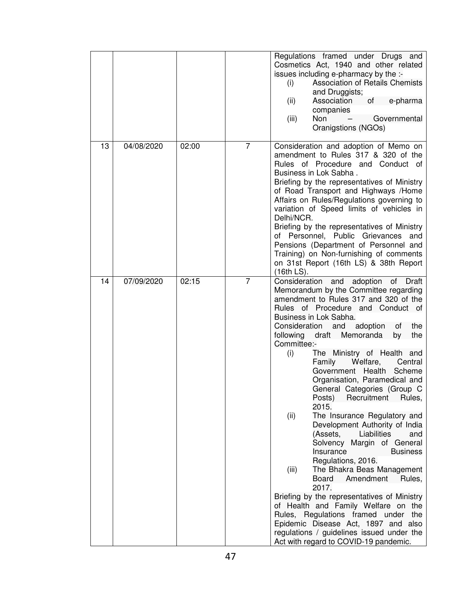|    |            |       |                | Regulations framed under Drugs and<br>Cosmetics Act, 1940 and other related<br>issues including e-pharmacy by the :-<br><b>Association of Retails Chemists</b><br>(i)<br>and Druggists;<br>Association<br>(ii)<br>of the contract of the contract of the contract of the contract of the contract of the contract of the contract<br>e-pharma<br>companies<br>Non<br>Governmental<br>(iii)<br>Oranigstions (NGOs)                                                                                                                                                                                                                                                                                                                                                                                                                                                                                                                                                                                                                                                          |
|----|------------|-------|----------------|----------------------------------------------------------------------------------------------------------------------------------------------------------------------------------------------------------------------------------------------------------------------------------------------------------------------------------------------------------------------------------------------------------------------------------------------------------------------------------------------------------------------------------------------------------------------------------------------------------------------------------------------------------------------------------------------------------------------------------------------------------------------------------------------------------------------------------------------------------------------------------------------------------------------------------------------------------------------------------------------------------------------------------------------------------------------------|
| 13 | 04/08/2020 | 02:00 | $\overline{7}$ | Consideration and adoption of Memo on<br>amendment to Rules 317 & 320 of the<br>Rules of Procedure and Conduct of<br>Business in Lok Sabha.<br>Briefing by the representatives of Ministry<br>of Road Transport and Highways /Home<br>Affairs on Rules/Regulations governing to<br>variation of Speed limits of vehicles in<br>Delhi/NCR.<br>Briefing by the representatives of Ministry<br>of Personnel, Public Grievances<br>and<br>Pensions (Department of Personnel and<br>Training) on Non-furnishing of comments<br>on 31st Report (16th LS) & 38th Report<br>(16th LS).                                                                                                                                                                                                                                                                                                                                                                                                                                                                                             |
| 14 | 07/09/2020 | 02:15 | $\overline{7}$ | Consideration and<br>adoption<br>of .<br>Draft<br>Memorandum by the Committee regarding<br>amendment to Rules 317 and 320 of the<br>Rules of Procedure and Conduct of<br>Business in Lok Sabha.<br>Consideration and adoption<br>the<br>0t<br>the<br>following<br>draft<br>Memoranda<br>by<br>Committee:-<br>The Ministry of Health and<br>(i)<br>Welfare,<br>Family<br>Central<br>Health<br>Scheme<br>Government<br>Organisation, Paramedical and<br>General Categories (Group C<br>Posts)<br>Recruitment<br>Rules,<br>2015.<br>The Insurance Regulatory and<br>(ii)<br>Development Authority of India<br>(Assets,<br>Liabilities<br>and<br>Solvency Margin of General<br>Insurance<br><b>Business</b><br>Regulations, 2016.<br>The Bhakra Beas Management<br>(iii)<br>Amendment<br>Board<br>Rules.<br>2017.<br>Briefing by the representatives of Ministry<br>of Health and Family Welfare on the<br>Rules, Regulations framed under<br>the<br>Epidemic Disease Act, 1897 and also<br>regulations / guidelines issued under the<br>Act with regard to COVID-19 pandemic. |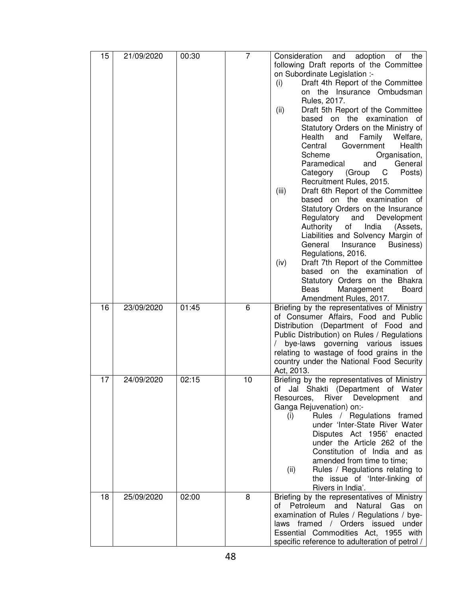| 15 | 21/09/2020 | 00:30 | 7  | Consideration and adoption of the              |
|----|------------|-------|----|------------------------------------------------|
|    |            |       |    | following Draft reports of the Committee       |
|    |            |       |    | on Subordinate Legislation :-                  |
|    |            |       |    | Draft 4th Report of the Committee<br>(i)       |
|    |            |       |    | on the Insurance Ombudsman                     |
|    |            |       |    | Rules, 2017.                                   |
|    |            |       |    | Draft 5th Report of the Committee<br>(ii)      |
|    |            |       |    | based on the examination of                    |
|    |            |       |    | Statutory Orders on the Ministry of            |
|    |            |       |    | Health<br>and<br>Family<br>Welfare.            |
|    |            |       |    | Health<br>Central<br>Government                |
|    |            |       |    | Scheme<br>Organisation,                        |
|    |            |       |    | Paramedical<br>General<br>and                  |
|    |            |       |    | C<br>Posts)<br>Category<br>(Group              |
|    |            |       |    | Recruitment Rules, 2015.                       |
|    |            |       |    | Draft 6th Report of the Committee<br>(iii)     |
|    |            |       |    | based on the examination of                    |
|    |            |       |    | Statutory Orders on the Insurance              |
|    |            |       |    | Regulatory<br>and<br>Development               |
|    |            |       |    | Authority<br>India<br>of<br>(Assets,           |
|    |            |       |    | Liabilities and Solvency Margin of             |
|    |            |       |    | General<br>Insurance<br>Business)              |
|    |            |       |    | Regulations, 2016.                             |
|    |            |       |    | Draft 7th Report of the Committee<br>(iv)      |
|    |            |       |    | based on the examination of                    |
|    |            |       |    | Statutory Orders on the Bhakra                 |
|    |            |       |    | Beas<br>Management<br>Board                    |
|    |            |       |    | Amendment Rules, 2017.                         |
| 16 | 23/09/2020 | 01:45 | 6  | Briefing by the representatives of Ministry    |
|    |            |       |    | of Consumer Affairs, Food and Public           |
|    |            |       |    | Distribution (Department of Food and           |
|    |            |       |    | Public Distribution) on Rules / Regulations    |
|    |            |       |    | bye-laws governing various issues              |
|    |            |       |    | relating to wastage of food grains in the      |
|    |            |       |    | country under the National Food Security       |
|    |            |       |    | Act, 2013.                                     |
| 17 | 24/09/2020 | 02:15 | 10 | Briefing by the representatives of Ministry    |
|    |            |       |    | of Jal Shakti (Department of Water             |
|    |            |       |    | River<br>Development<br>Resources,<br>and      |
|    |            |       |    | Ganga Rejuvenation) on:-                       |
|    |            |       |    | Rules / Regulations framed<br>(i)              |
|    |            |       |    | under 'Inter-State River Water                 |
|    |            |       |    | Disputes Act 1956' enacted                     |
|    |            |       |    | under the Article 262 of the                   |
|    |            |       |    | Constitution of India and as                   |
|    |            |       |    | amended from time to time;                     |
|    |            |       |    | Rules / Regulations relating to<br>(ii)        |
|    |            |       |    | the issue of 'Inter-linking of                 |
|    |            |       |    | Rivers in India'.                              |
| 18 | 25/09/2020 | 02:00 | 8  | Briefing by the representatives of Ministry    |
|    |            |       |    | and Natural<br>Petroleum<br>Gas<br>of<br>on    |
|    |            |       |    | examination of Rules / Regulations / bye-      |
|    |            |       |    | laws framed / Orders issued under              |
|    |            |       |    | Essential Commodities Act, 1955 with           |
|    |            |       |    | specific reference to adulteration of petrol / |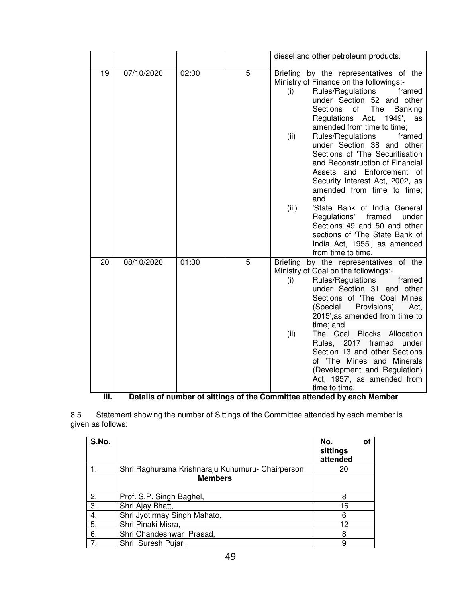|            |            |       |   | diesel and other petroleum products.                                                                                                                                                                                                                                                                                                                                                                                                                                                                                                                                                                                                                                                                                     |
|------------|------------|-------|---|--------------------------------------------------------------------------------------------------------------------------------------------------------------------------------------------------------------------------------------------------------------------------------------------------------------------------------------------------------------------------------------------------------------------------------------------------------------------------------------------------------------------------------------------------------------------------------------------------------------------------------------------------------------------------------------------------------------------------|
| 19         | 07/10/2020 | 02:00 | 5 | Briefing by the representatives of the<br>Ministry of Finance on the followings:-<br>Rules/Regulations<br>framed<br>(i)<br>under Section 52 and other<br>'The<br><b>Sections</b><br>of<br><b>Banking</b><br>Regulations Act,<br>1949', as<br>amended from time to time;<br>Rules/Regulations<br>(ii)<br>framed<br>under Section 38 and other<br>Sections of 'The Securitisation<br>and Reconstruction of Financial<br>Assets and Enforcement of<br>Security Interest Act, 2002, as<br>amended from time to time;<br>and<br>'State Bank of India General<br>(iii)<br>Regulations' framed<br>under<br>Sections 49 and 50 and other<br>sections of 'The State Bank of<br>India Act, 1955', as amended<br>from time to time. |
| 20<br>III. | 08/10/2020 | 01:30 | 5 | Briefing by the representatives of the<br>Ministry of Coal on the followings:-<br>Rules/Regulations<br>(i)<br>framed<br>under Section 31 and other<br>Sections of 'The Coal Mines<br>Provisions)<br>(Special<br>Act,<br>2015', as amended from time to<br>time; and<br>The Coal<br>(ii)<br><b>Blocks Allocation</b><br>Rules, 2017 framed<br>under<br>Section 13 and other Sections<br>of 'The Mines and Minerals<br>(Development and Regulation)<br>Act, 1957', as amended from<br>time to time.<br>Details of number of sittings of the Committee attended by each Member                                                                                                                                              |

8.5 Statement showing the number of Sittings of the Committee attended by each member is given as follows:

| S.No. |                                                  | No.<br>sittings<br>attended | O1 |
|-------|--------------------------------------------------|-----------------------------|----|
|       | Shri Raghurama Krishnaraju Kunumuru- Chairperson | 20                          |    |
|       | <b>Members</b>                                   |                             |    |
| 2.    | Prof. S.P. Singh Baghel,                         | 8                           |    |
| 3.    | Shri Ajay Bhatt,                                 | 16                          |    |
| 4.    | Shri Jyotirmay Singh Mahato,                     | 6                           |    |
| 5.    | Shri Pinaki Misra,                               | 12                          |    |
| 6.    | Shri Chandeshwar Prasad,                         | 8                           |    |
| 7.    | Shri Suresh Pujari,                              | 9                           |    |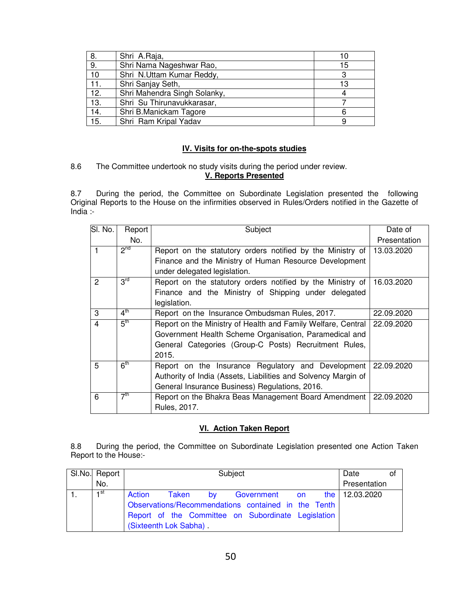| 8.  | Shri A.Raja,                 |    |
|-----|------------------------------|----|
| 9.  | Shri Nama Nageshwar Rao,     | 15 |
| 10  | Shri N.Uttam Kumar Reddy,    |    |
| 11. | Shri Sanjay Seth,            | 13 |
| 12. | Shri Mahendra Singh Solanky, |    |
| 13. | Shri Su Thirunavukkarasar,   |    |
| 14. | Shri B.Manickam Tagore       |    |
| 15. | Shri Ram Kripal Yadav        |    |

## **IV. Visits for on-the-spots studies**

# 8.6 The Committee undertook no study visits during the period under review. **V. Reports Presented**

8.7 During the period, the Committee on Subordinate Legislation presented the following Original Reports to the House on the infirmities observed in Rules/Orders notified in the Gazette of  $India$  :-

| SI. No.        | Report          | Subject                                                                                | Date of      |
|----------------|-----------------|----------------------------------------------------------------------------------------|--------------|
|                | No.             |                                                                                        | Presentation |
|                | 2 <sup>nd</sup> | Report on the statutory orders notified by the Ministry of                             | 13.03.2020   |
|                |                 | Finance and the Ministry of Human Resource Development<br>under delegated legislation. |              |
| $\overline{2}$ | 3 <sup>rd</sup> | Report on the statutory orders notified by the Ministry of                             | 16.03.2020   |
|                |                 | Finance and the Ministry of Shipping under delegated<br>legislation.                   |              |
| 3              | $4^{\text{th}}$ | Report on the Insurance Ombudsman Rules, 2017.                                         | 22.09.2020   |
| 4              | 5 <sup>th</sup> | Report on the Ministry of Health and Family Welfare, Central                           | 22.09.2020   |
|                |                 | Government Health Scheme Organisation, Paramedical and                                 |              |
|                |                 | General Categories (Group-C Posts) Recruitment Rules,                                  |              |
|                |                 | 2015.                                                                                  |              |
| 5              | 6 <sup>th</sup> | Report on the Insurance Regulatory and Development                                     | 22.09.2020   |
|                |                 | Authority of India (Assets, Liabilities and Solvency Margin of                         |              |
|                |                 | General Insurance Business) Regulations, 2016.                                         |              |
| 6              | 7 <sup>th</sup> | Report on the Bhakra Beas Management Board Amendment<br>Rules, 2017.                   | 22.09.2020   |

# **VI. Action Taken Report**

8.8 During the period, the Committee on Subordinate Legislation presented one Action Taken Report to the House:-

| SI.No. Report | Subject                                             | Date<br>οt                   |              |
|---------------|-----------------------------------------------------|------------------------------|--------------|
| No.           |                                                     |                              | Presentation |
| ⊣st           | Action<br>Taken by                                  | Government on the 12.03.2020 |              |
|               | Observations/Recommendations contained in the Tenth |                              |              |
|               | Report of the Committee on Subordinate Legislation  |                              |              |
|               | (Sixteenth Lok Sabha).                              |                              |              |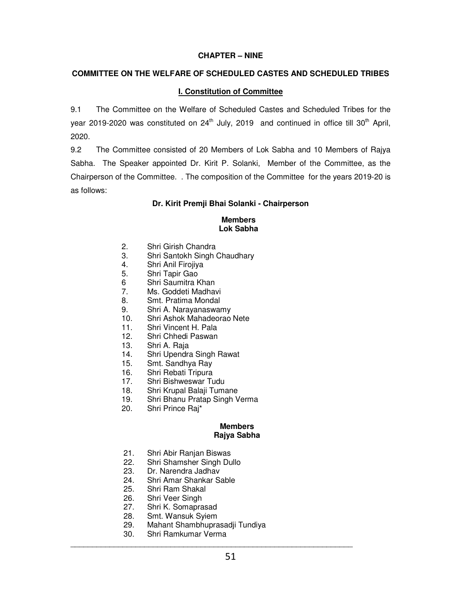# **CHAPTER – NINE**

# **COMMITTEE ON THE WELFARE OF SCHEDULED CASTES AND SCHEDULED TRIBES**

# **I. Constitution of Committee**

9.1 The Committee on the Welfare of Scheduled Castes and Scheduled Tribes for the year 2019-2020 was constituted on  $24<sup>th</sup>$  July, 2019 and continued in office till 30<sup>th</sup> April, 2020.

9.2 The Committee consisted of 20 Members of Lok Sabha and 10 Members of Rajya Sabha. The Speaker appointed Dr. Kirit P. Solanki, Member of the Committee, as the Chairperson of the Committee. . The composition of the Committee for the years 2019-20 is as follows:

# **Dr. Kirit Premji Bhai Solanki - Chairperson**

### **Members Lok Sabha**

- 2. Shri Girish Chandra
- 3. Shri Santokh Singh Chaudhary
- 4. Shri Anil Firojiya
- 5. Shri Tapir Gao<br>6 Shri Saumitra k
- 6 Shri Saumitra Khan<br>7. Ms. Goddeti Madhay
- Ms. Goddeti Madhavi
- 8. Smt. Pratima Mondal
- 9. Shri A. Narayanaswamy
- 10. Shri Ashok Mahadeorao Nete
- 11. Shri Vincent H. Pala
- 12. Shri Chhedi Paswan
- 13. Shri A. Raja
- 14. Shri Upendra Singh Rawat
- 15. Smt. Sandhya Ray
- 16. Shri Rebati Tripura
- 17. Shri Bishweswar Tudu
- 18. Shri Krupal Balaji Tumane
- 19. Shri Bhanu Pratap Singh Verma
- 20. Shri Prince Raj\*

### **Members Rajya Sabha**

- 21. Shri Abir Ranjan Biswas<br>22. Shri Shamsher Singh Du
- Shri Shamsher Singh Dullo
- 23. Dr. Narendra Jadhav
- 24. Shri Amar Shankar Sable
- 25. Shri Ram Shakal
- 26. Shri Veer Singh
- 27. Shri K. Somaprasad
- 28. Smt. Wansuk Syiem
- 29. Mahant Shambhuprasadji Tundiya

\_\_\_\_\_\_\_\_\_\_\_\_\_\_\_\_\_\_\_\_\_\_\_\_\_\_\_\_\_\_\_\_\_\_\_\_\_\_\_\_\_\_\_\_\_\_\_\_\_\_\_\_\_\_\_\_\_\_\_\_\_\_\_\_\_

30. Shri Ramkumar Verma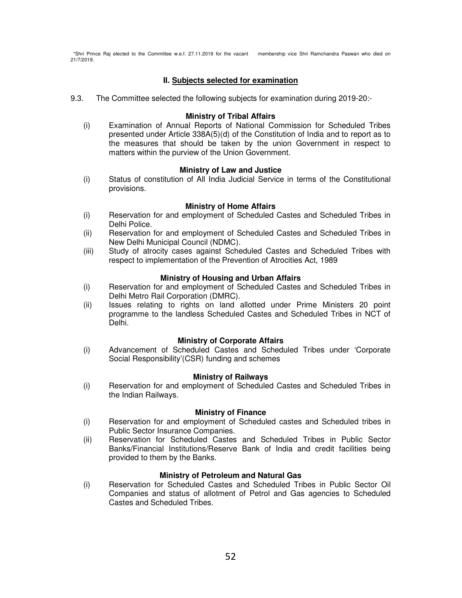\*Shri Prince Raj elected to the Committee w.e.f. 27.11.2019 for the vacant membership vice Shri Ramchandra Paswan who died on 21/7/2019.

# **II. Subjects selected for examination**

9.3. The Committee selected the following subjects for examination during 2019-20:-

### **Ministry of Tribal Affairs**

(i) Examination of Annual Reports of National Commission for Scheduled Tribes presented under Article 338A(5)(d) of the Constitution of India and to report as to the measures that should be taken by the union Government in respect to matters within the purview of the Union Government.

### **Ministry of Law and Justice**

(i) Status of constitution of All India Judicial Service in terms of the Constitutional provisions.

### **Ministry of Home Affairs**

- (i) Reservation for and employment of Scheduled Castes and Scheduled Tribes in Delhi Police.
- (ii) Reservation for and employment of Scheduled Castes and Scheduled Tribes in New Delhi Municipal Council (NDMC).
- (iii) Study of atrocity cases against Scheduled Castes and Scheduled Tribes with respect to implementation of the Prevention of Atrocities Act, 1989

### **Ministry of Housing and Urban Affairs**

- (i) Reservation for and employment of Scheduled Castes and Scheduled Tribes in Delhi Metro Rail Corporation (DMRC).
- (ii) Issues relating to rights on land allotted under Prime Ministers 20 point programme to the landless Scheduled Castes and Scheduled Tribes in NCT of Delhi.

### **Ministry of Corporate Affairs**

(i) Advancement of Scheduled Castes and Scheduled Tribes under 'Corporate Social Responsibility'(CSR) funding and schemes

### **Ministry of Railways**

(i) Reservation for and employment of Scheduled Castes and Scheduled Tribes in the Indian Railways.

### **Ministry of Finance**

- (i) Reservation for and employment of Scheduled castes and Scheduled tribes in Public Sector Insurance Companies.
- (ii) Reservation for Scheduled Castes and Scheduled Tribes in Public Sector Banks/Financial Institutions/Reserve Bank of India and credit facilities being provided to them by the Banks.

## **Ministry of Petroleum and Natural Gas**

(i) Reservation for Scheduled Castes and Scheduled Tribes in Public Sector Oil Companies and status of allotment of Petrol and Gas agencies to Scheduled Castes and Scheduled Tribes.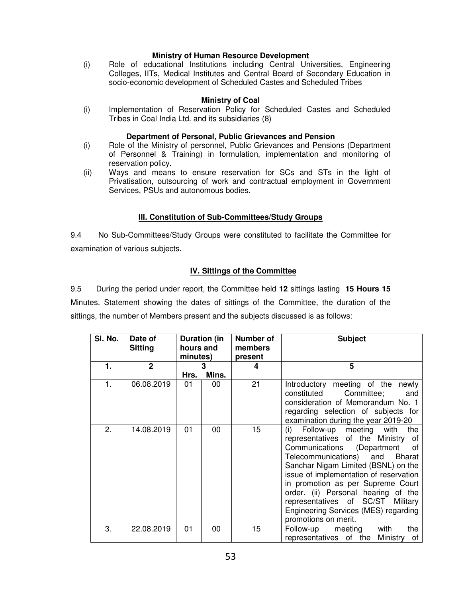## **Ministry of Human Resource Development**

(i) Role of educational Institutions including Central Universities, Engineering Colleges, IITs, Medical Institutes and Central Board of Secondary Education in socio-economic development of Scheduled Castes and Scheduled Tribes

## **Ministry of Coal**

(i) Implementation of Reservation Policy for Scheduled Castes and Scheduled Tribes in Coal India Ltd. and its subsidiaries (8)

## **Department of Personal, Public Grievances and Pension**

- (i) Role of the Ministry of personnel, Public Grievances and Pensions (Department of Personnel & Training) in formulation, implementation and monitoring of reservation policy.
- (ii) Ways and means to ensure reservation for SCs and STs in the light of Privatisation, outsourcing of work and contractual employment in Government Services, PSUs and autonomous bodies.

# **III. Constitution of Sub-Committees/Study Groups**

9.4 No Sub-Committees/Study Groups were constituted to facilitate the Committee for examination of various subjects.

# **IV. Sittings of the Committee**

9.5 During the period under report, the Committee held **12** sittings lasting **15 Hours 15** Minutes. Statement showing the dates of sittings of the Committee, the duration of the sittings, the number of Members present and the subjects discussed is as follows:

| SI. No. | Date of<br><b>Sitting</b> | Duration (in<br>hours and<br>minutes) |            | Number of<br>members<br>present |                                                                                                                                                                                                                                                                                                                                                                                                                         |  | <b>Subject</b> |  |
|---------|---------------------------|---------------------------------------|------------|---------------------------------|-------------------------------------------------------------------------------------------------------------------------------------------------------------------------------------------------------------------------------------------------------------------------------------------------------------------------------------------------------------------------------------------------------------------------|--|----------------|--|
| 1.      | $\mathbf{2}$              | Hrs.                                  | 3<br>Mins. | 4                               | 5                                                                                                                                                                                                                                                                                                                                                                                                                       |  |                |  |
| 1.      | 06.08.2019                | 01                                    | 00         | 21                              | Introductory meeting of the newly<br>constituted<br>Committee;<br>and<br>consideration of Memorandum No. 1<br>regarding selection of subjects for<br>examination during the year 2019-20                                                                                                                                                                                                                                |  |                |  |
| 2.      | 14.08.2019                | 01                                    | 00         | 15                              | Follow-up meeting with<br>the<br>(i)<br>representatives of the Ministry of<br>Communications (Department<br>of .<br>Telecommunications) and<br>Bharat<br>Sanchar Nigam Limited (BSNL) on the<br>issue of implementation of reservation<br>in promotion as per Supreme Court<br>order. (ii) Personal hearing of the<br>representatives of SC/ST Military<br>Engineering Services (MES) regarding<br>promotions on merit. |  |                |  |
| 3.      | 22.08.2019                | 01                                    | 00         | 15                              | Follow-up meeting<br>with<br>the<br>representatives of the<br>Ministry<br>of                                                                                                                                                                                                                                                                                                                                            |  |                |  |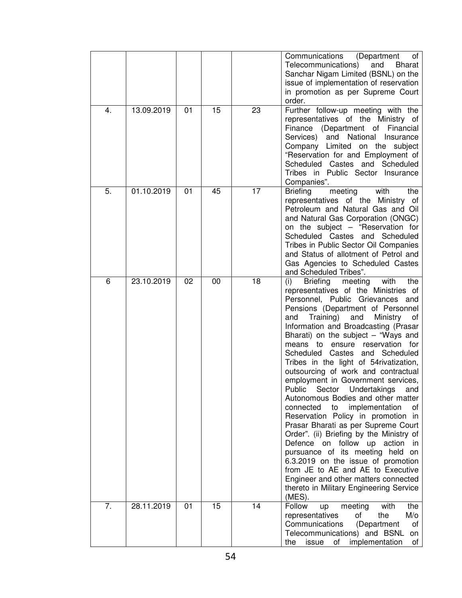|    |            |    |    |    | Communications<br>(Department)<br>of<br>Telecommunications)<br>and<br>Bharat<br>Sanchar Nigam Limited (BSNL) on the<br>issue of implementation of reservation<br>in promotion as per Supreme Court<br>order.                                                                                                                                                                                                                                                                                                                                                                                                                                                                                                                                                                                                                                                                                                                                                                              |
|----|------------|----|----|----|-------------------------------------------------------------------------------------------------------------------------------------------------------------------------------------------------------------------------------------------------------------------------------------------------------------------------------------------------------------------------------------------------------------------------------------------------------------------------------------------------------------------------------------------------------------------------------------------------------------------------------------------------------------------------------------------------------------------------------------------------------------------------------------------------------------------------------------------------------------------------------------------------------------------------------------------------------------------------------------------|
| 4. | 13.09.2019 | 01 | 15 | 23 | Further follow-up meeting with the<br>representatives of the Ministry of<br>Finance (Department of<br>Financial<br>Services) and National Insurance<br>Company Limited on the subject<br>"Reservation for and Employment of<br>Scheduled Castes and Scheduled<br>Tribes in Public Sector Insurance<br>Companies".                                                                                                                                                                                                                                                                                                                                                                                                                                                                                                                                                                                                                                                                         |
| 5. | 01.10.2019 | 01 | 45 | 17 | <b>Briefing</b><br>with<br>meeting<br>the<br>representatives of the Ministry of<br>Petroleum and Natural Gas and Oil<br>and Natural Gas Corporation (ONGC)<br>on the subject – "Reservation for<br>Scheduled Castes and Scheduled<br>Tribes in Public Sector Oil Companies<br>and Status of allotment of Petrol and<br>Gas Agencies to Scheduled Castes<br>and Scheduled Tribes".                                                                                                                                                                                                                                                                                                                                                                                                                                                                                                                                                                                                         |
| 6  | 23.10.2019 | 02 | 00 | 18 | <b>Briefing</b><br>meeting<br>(i)<br>with<br>the<br>representatives of the Ministries of<br>Personnel, Public Grievances<br>and<br>Pensions (Department of Personnel<br>Training) and<br>Ministry<br>and<br>of<br>Information and Broadcasting (Prasar<br>Bharati) on the subject $-$ "Ways and<br>means to ensure reservation for<br>Scheduled Castes and Scheduled<br>Tribes in the light of 54rivatization,<br>outsourcing of work and contractual<br>employment in Government services,<br>Public Sector Undertakings and<br>Autonomous Bodies and other matter<br>connected<br>to<br>implementation<br>of<br>Reservation Policy in promotion in<br>Prasar Bharati as per Supreme Court<br>Order". (ii) Briefing by the Ministry of<br>Defence on follow up action<br>in.<br>pursuance of its meeting held on<br>6.3.2019 on the issue of promotion<br>from JE to AE and AE to Executive<br>Engineer and other matters connected<br>thereto in Military Engineering Service<br>(MES). |
| 7. | 28.11.2019 | 01 | 15 | 14 | meeting<br>Follow<br>with<br>the<br>up<br>of<br>$M/\circ$<br>representatives<br>the<br>Communications<br>(Department<br>of<br>Telecommunications) and BSNL<br>on<br>implementation<br>issue<br>of<br>the<br>of                                                                                                                                                                                                                                                                                                                                                                                                                                                                                                                                                                                                                                                                                                                                                                            |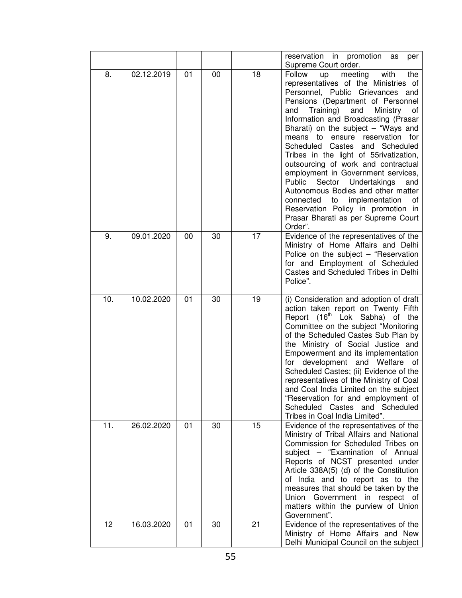|     |            |    |    |    | reservation in promotion<br>as<br>per<br>Supreme Court order.                                                                                                                                                                                                                                                                                                                                                                                                                                                                                                                                                                                                                           |
|-----|------------|----|----|----|-----------------------------------------------------------------------------------------------------------------------------------------------------------------------------------------------------------------------------------------------------------------------------------------------------------------------------------------------------------------------------------------------------------------------------------------------------------------------------------------------------------------------------------------------------------------------------------------------------------------------------------------------------------------------------------------|
| 8.  | 02.12.2019 | 01 | 00 | 18 | Follow<br>meeting<br>with<br>the<br>up<br>representatives of the Ministries of<br>Personnel, Public Grievances and<br>Pensions (Department of Personnel<br>Training) and<br>and<br>Ministry<br>of<br>Information and Broadcasting (Prasar<br>Bharati) on the subject $-$ "Ways and<br>means to ensure reservation for<br>Scheduled Castes and Scheduled<br>Tribes in the light of 55 rivatization,<br>outsourcing of work and contractual<br>employment in Government services,<br>Public Sector Undertakings<br>and<br>Autonomous Bodies and other matter<br>connected to implementation<br>0f<br>Reservation Policy in promotion in<br>Prasar Bharati as per Supreme Court<br>Order". |
| 9.  | 09.01.2020 | 00 | 30 | 17 | Evidence of the representatives of the<br>Ministry of Home Affairs and Delhi<br>Police on the subject - "Reservation<br>for and Employment of Scheduled<br>Castes and Scheduled Tribes in Delhi<br>Police".                                                                                                                                                                                                                                                                                                                                                                                                                                                                             |
| 10. | 10.02.2020 | 01 | 30 | 19 | (i) Consideration and adoption of draft<br>action taken report on Twenty Fifth<br>Report (16 <sup>th</sup> Lok Sabha) of the<br>Committee on the subject "Monitoring<br>of the Scheduled Castes Sub Plan by<br>the Ministry of Social Justice and<br>Empowerment and its implementation<br>for development and Welfare of<br>Scheduled Castes; (ii) Evidence of the<br>representatives of the Ministry of Coal<br>and Coal India Limited on the subject<br>"Reservation for and employment of<br>Scheduled Castes and Scheduled<br>Tribes in Coal India Limited".                                                                                                                       |
| 11. | 26.02.2020 | 01 | 30 | 15 | Evidence of the representatives of the<br>Ministry of Tribal Affairs and National<br>Commission for Scheduled Tribes on<br>subject - "Examination of Annual<br>Reports of NCST presented under<br>Article 338A(5) (d) of the Constitution<br>of India and to report as to the<br>measures that should be taken by the<br>Government in respect of<br>Union<br>matters within the purview of Union<br>Government".                                                                                                                                                                                                                                                                       |
| 12  | 16.03.2020 | 01 | 30 | 21 | Evidence of the representatives of the<br>Ministry of Home Affairs and New<br>Delhi Municipal Council on the subject                                                                                                                                                                                                                                                                                                                                                                                                                                                                                                                                                                    |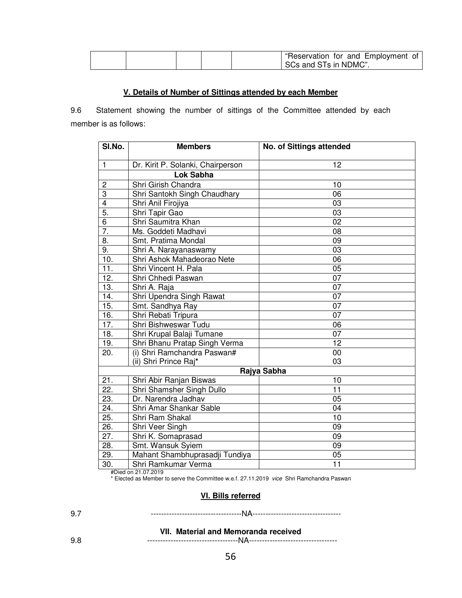|  | "Reservation for and Employment of |
|--|------------------------------------|
|  | SCs and STs in NDMC".              |

## **V. Details of Number of Sittings attended by each Member**

9.6 Statement showing the number of sittings of the Committee attended by each member is as follows:

| SI.No.                  | <b>Members</b>                    | <b>No. of Sittings attended</b> |
|-------------------------|-----------------------------------|---------------------------------|
| $\mathbf{1}$            | Dr. Kirit P. Solanki, Chairperson | 12                              |
|                         | <b>Lok Sabha</b>                  |                                 |
| $\overline{c}$          | Shri Girish Chandra               | 10                              |
| 3                       | Shri Santokh Singh Chaudhary      | 06                              |
| $\overline{\mathbf{4}}$ | Shri Anil Firojiya                | 03                              |
| $\overline{5}$ .        | Shri Tapir Gao                    | 03                              |
| 6                       | Shri Saumitra Khan                | 02                              |
| 7.                      | Ms. Goddeti Madhavi               | 08                              |
| 8.                      | Smt. Pratima Mondal               | 09                              |
| 9.                      | Shri A. Narayanaswamy             | 03                              |
| 10.                     | Shri Ashok Mahadeorao Nete        | 06                              |
| 11.                     | Shri Vincent H. Pala              | 05                              |
| 12.                     | Shri Chhedi Paswan                | 07                              |
| 13.                     | Shri A. Raja                      | 07                              |
| 14.                     | Shri Upendra Singh Rawat          | 07                              |
| 15.                     | Smt. Sandhya Ray                  | 07                              |
| 16.                     | Shri Rebati Tripura               | $\overline{07}$                 |
| 17.                     | Shri Bishweswar Tudu              | 06                              |
| 18.                     | Shri Krupal Balaji Tumane         | 07                              |
| 19.                     | Shri Bhanu Pratap Singh Verma     | 12                              |
| 20.                     | (i) Shri Ramchandra Paswan#       | 00                              |
|                         | (ii) Shri Prince Raj*             | 03                              |
|                         |                                   | Rajya Sabha                     |
| 21.                     | Shri Abir Ranjan Biswas           | 10                              |
| 22.                     | Shri Shamsher Singh Dullo         | 11                              |
| 23.                     | Dr. Narendra Jadhav               | 05                              |
| 24.                     | Shri Amar Shankar Sable           | 04                              |
| 25.                     | Shri Ram Shakal                   | 10                              |
| 26.                     | Shri Veer Singh                   | 09                              |
| $\overline{27}$ .       | Shri K. Somaprasad                | 09                              |
| 28.                     | Smt. Wansuk Syiem                 | 09                              |
| 29.                     | Mahant Shambhuprasadji Tundiya    | 05                              |
| $\overline{30}$ .       | Shri Ramkumar Verma               | $\overline{11}$                 |

#Died on 21.07.2019 \* Elected as Member to serve the Committee w.e.f. 27.11.2019 vice Shri Ramchandra Paswan

## **VI. Bills referred**

| $\sim$ |  |
|--------|--|
|--------|--|

#### **VII. Material and Memoranda received**  9.8-----------------------------------NA----------------------------------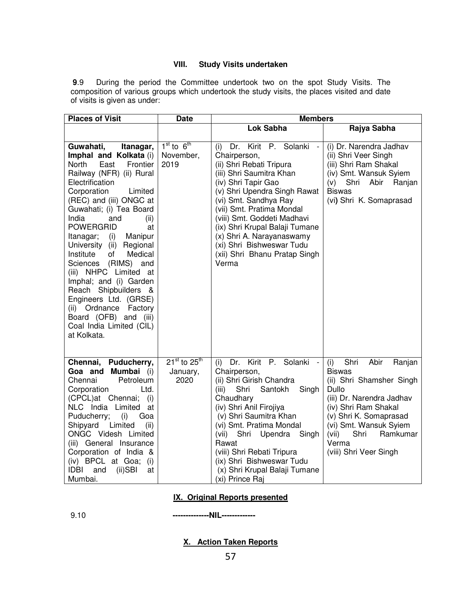### **VIII. Study Visits undertaken**

 **9**.9 During the period the Committee undertook two on the spot Study Visits. The composition of various groups which undertook the study visits, the places visited and date of visits is given as under:

| <b>Places of Visit</b>                                                                                                                                                                                                                                                                                                                                                                                                                                                                                                                                                                   | <b>Date</b>                                | <b>Members</b>                                                                                                                                                                                                                                                                                                                                                                                      |                                                                                                                                                                                                                                                              |  |
|------------------------------------------------------------------------------------------------------------------------------------------------------------------------------------------------------------------------------------------------------------------------------------------------------------------------------------------------------------------------------------------------------------------------------------------------------------------------------------------------------------------------------------------------------------------------------------------|--------------------------------------------|-----------------------------------------------------------------------------------------------------------------------------------------------------------------------------------------------------------------------------------------------------------------------------------------------------------------------------------------------------------------------------------------------------|--------------------------------------------------------------------------------------------------------------------------------------------------------------------------------------------------------------------------------------------------------------|--|
|                                                                                                                                                                                                                                                                                                                                                                                                                                                                                                                                                                                          |                                            | <b>Lok Sabha</b>                                                                                                                                                                                                                                                                                                                                                                                    | Rajya Sabha                                                                                                                                                                                                                                                  |  |
| Guwahati,<br>Itanagar,<br>Imphal and Kolkata (i)<br>East<br>North<br>Frontier<br>Railway (NFR) (ii) Rural<br>Electrification<br>Corporation<br>Limited<br>(REC) and (iii) ONGC at<br>Guwahati; (i) Tea Board<br>India<br>(ii)<br>and<br><b>POWERGRID</b><br>at<br>Manipur<br>Itanagar;<br>(i)<br>University (ii)<br>Regional<br>Institute<br>of<br>Medical<br>(RIMS) and<br>Sciences<br>(iii) NHPC Limited at<br>Imphal; and (i) Garden<br>Reach Shipbuilders &<br>Engineers Ltd. (GRSE)<br>(ii) Ordnance<br>Factory<br>Board (OFB) and (iii)<br>Coal India Limited (CIL)<br>at Kolkata. | $1st$ to $6th$<br>November,<br>2019        | Kirit P. Solanki -<br>Dr.<br>(i)<br>Chairperson,<br>(ii) Shri Rebati Tripura<br>(iii) Shri Saumitra Khan<br>(iv) Shri Tapir Gao<br>(v) Shri Upendra Singh Rawat<br>(vi) Smt. Sandhya Ray<br>(vii) Smt. Pratima Mondal<br>(viii) Smt. Goddeti Madhavi<br>(ix) Shri Krupal Balaji Tumane<br>(x) Shri A. Narayanaswamy<br>(xi) Shri Bishweswar Tudu<br>(xii) Shri Bhanu Pratap Singh<br>Verma          | (i) Dr. Narendra Jadhav<br>(ii) Shri Veer Singh<br>(iii) Shri Ram Shakal<br>(iv) Smt. Wansuk Syiem<br>(v)<br>Shri<br>Abir<br>Ranjan<br><b>Biswas</b><br>(vi) Shri K. Somaprasad                                                                              |  |
| Chennai,<br>Puducherry,<br>Goa and Mumbai<br>(i)<br>Petroleum<br>Chennai<br>Corporation<br>Ltd.<br>(CPCL)at Chennai;<br>(i)<br>NLC India Limited<br>at<br>Puducherry;<br>Goa<br>(i)<br>Shipyard<br>Limited<br>(ii)<br>ONGC Videsh Limited<br>(iii) General Insurance<br>Corporation of India &<br>(iv) BPCL at Goa;<br>(i)<br><b>IDBI</b><br>and<br>$(ii)$ SBI<br>at<br>Mumbai.                                                                                                                                                                                                          | $21^{st}$ to $25^{th}$<br>January,<br>2020 | Kirit<br>P. Solanki<br>Dr.<br>(i)<br>$\overline{\phantom{a}}$<br>Chairperson,<br>(ii) Shri Girish Chandra<br>(iii)<br>Shri<br>Santokh<br>Singh<br>Chaudhary<br>(iv) Shri Anil Firojiya<br>(v) Shri Saumitra Khan<br>(vi) Smt. Pratima Mondal<br>(vii) Shri Upendra<br>Singh<br>Rawat<br>(viii) Shri Rebati Tripura<br>(ix) Shri Bishweswar Tudu<br>(x) Shri Krupal Balaji Tumane<br>(xi) Prince Raj | Shri<br>Abir<br>(i)<br>Ranjan<br><b>Biswas</b><br>(ii) Shri Shamsher Singh<br>Dullo<br>(iii) Dr. Narendra Jadhav<br>(iv) Shri Ram Shakal<br>(v) Shri K. Somaprasad<br>(vi) Smt. Wansuk Syiem<br>Shri<br>(vii)<br>Ramkumar<br>Verma<br>(viii) Shri Veer Singh |  |

### **IX. Original Reports presented**

9.10 **--------------NIL-------------** 

**X. Action Taken Reports**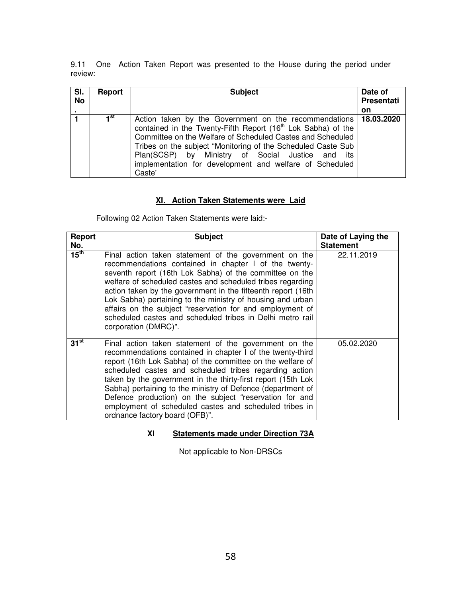9.11 One Action Taken Report was presented to the House during the period under review:

| SI.<br><b>No</b> | Report          | <b>Subject</b>                                                                                                                                                                                                                                                                                                                                                                                        | Date of<br><b>Presentati</b> |
|------------------|-----------------|-------------------------------------------------------------------------------------------------------------------------------------------------------------------------------------------------------------------------------------------------------------------------------------------------------------------------------------------------------------------------------------------------------|------------------------------|
| $\blacksquare$   |                 |                                                                                                                                                                                                                                                                                                                                                                                                       | on                           |
|                  | 1 <sup>st</sup> | Action taken by the Government on the recommendations   18.03.2020<br>contained in the Twenty-Fifth Report (16 <sup>th</sup> Lok Sabha) of the<br>Committee on the Welfare of Scheduled Castes and Scheduled<br>Tribes on the subject "Monitoring of the Scheduled Caste Sub<br>Plan(SCSP) by Ministry of Social Justice and its<br>implementation for development and welfare of Scheduled<br>Caste' |                              |

# **XI. Action Taken Statements were Laid**

Following 02 Action Taken Statements were laid:-

| Report<br>No.    | <b>Subject</b>                                                                                                                                                                                                                                                                                                                                                                                                                                                                                                                    | Date of Laying the<br><b>Statement</b> |
|------------------|-----------------------------------------------------------------------------------------------------------------------------------------------------------------------------------------------------------------------------------------------------------------------------------------------------------------------------------------------------------------------------------------------------------------------------------------------------------------------------------------------------------------------------------|----------------------------------------|
| $15^{\text{th}}$ | Final action taken statement of the government on the<br>recommendations contained in chapter I of the twenty-<br>seventh report (16th Lok Sabha) of the committee on the<br>welfare of scheduled castes and scheduled tribes regarding<br>action taken by the government in the fifteenth report (16th<br>Lok Sabha) pertaining to the ministry of housing and urban<br>affairs on the subject "reservation for and employment of<br>scheduled castes and scheduled tribes in Delhi metro rail<br>corporation (DMRC)".           | 22.11.2019                             |
| $31^{st}$        | Final action taken statement of the government on the<br>recommendations contained in chapter I of the twenty-third<br>report (16th Lok Sabha) of the committee on the welfare of<br>scheduled castes and scheduled tribes regarding action<br>taken by the government in the thirty-first report (15th Lok<br>Sabha) pertaining to the ministry of Defence (department of<br>Defence production) on the subject "reservation for and<br>employment of scheduled castes and scheduled tribes in<br>ordnance factory board (OFB)". | 05.02.2020                             |

# **XI Statements made under Direction 73A**

Not applicable to Non-DRSCs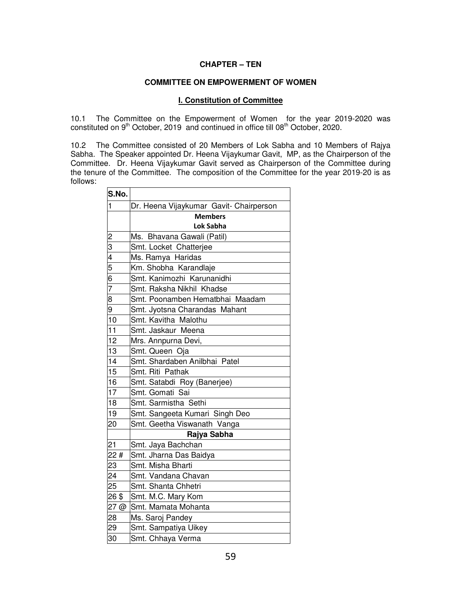# **CHAPTER – TEN**

### **COMMITTEE ON EMPOWERMENT OF WOMEN**

### **I. Constitution of Committee**

10.1 The Committee on the Empowerment of Women for the year 2019-2020 was constituted on 9<sup>th</sup> October, 2019 and continued in office till 08<sup>th</sup> October, 2020.

10.2 The Committee consisted of 20 Members of Lok Sabha and 10 Members of Rajya Sabha. The Speaker appointed Dr. Heena Vijaykumar Gavit, MP, as the Chairperson of the Committee. Dr. Heena Vijaykumar Gavit served as Chairperson of the Committee during the tenure of the Committee. The composition of the Committee for the year 2019-20 is as follows:

| S.No.                                                   |                                         |
|---------------------------------------------------------|-----------------------------------------|
| 1                                                       | Dr. Heena Vijaykumar Gavit- Chairperson |
|                                                         | <b>Members</b>                          |
|                                                         | Lok Sabha                               |
|                                                         | Ms. Bhavana Gawali (Patil)              |
| $\frac{2}{3}$ $\frac{3}{4}$ $\frac{4}{5}$ $\frac{6}{7}$ | Smt. Locket Chatterjee                  |
|                                                         | Ms. Ramya Haridas                       |
|                                                         | Km. Shobha Karandlaje                   |
|                                                         | Smt. Kanimozhi Karunanidhi              |
|                                                         | Smt. Raksha Nikhil Khadse               |
| 8                                                       | Smt. Poonamben Hematbhai Maadam         |
| 9                                                       | Smt. Jyotsna Charandas Mahant           |
| 10                                                      | Smt. Kavitha Malothu                    |
| 11                                                      | Smt. Jaskaur Meena                      |
| 12                                                      | Mrs. Annpurna Devi,                     |
| 13                                                      | Smt. Queen Oja                          |
| 14                                                      | Smt. Shardaben Anilbhai Patel           |
| 15                                                      | Smt. Riti Pathak                        |
| 16                                                      | Smt. Satabdi Roy (Banerjee)             |
| 17                                                      | Smt. Gomati Sai                         |
| 18                                                      | Smt. Sarmistha Sethi                    |
| 19                                                      | Smt. Sangeeta Kumari Singh Deo          |
| 20                                                      | Smt. Geetha Viswanath Vanga             |
|                                                         | Rajya Sabha                             |
| 21                                                      | Smt. Jaya Bachchan                      |
| 22#                                                     | Smt. Jharna Das Baidya                  |
| 23                                                      | Smt. Misha Bharti                       |
| 24                                                      | Smt. Vandana Chavan                     |
| 25                                                      | Smt. Shanta Chhetri                     |
| 26\$                                                    | Smt. M.C. Mary Kom                      |
| 27 @                                                    | Smt. Mamata Mohanta                     |
| 28                                                      | Ms. Saroj Pandey                        |
| 29                                                      | Smt. Sampatiya Uikey                    |
| 30                                                      | Smt. Chhaya Verma                       |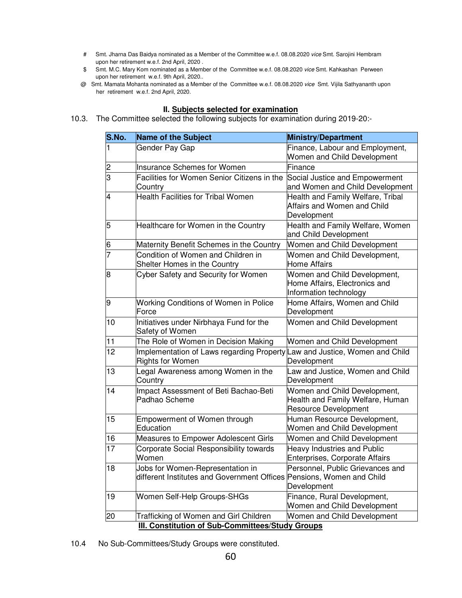- # Smt. Jharna Das Baidya nominated as a Member of the Committee w.e.f. 08.08.2020 vice Smt. Sarojini Hembram upon her retirement w.e.f. 2nd April, 2020 .
- \$ Smt. M.C. Mary Kom nominated as a Member of the Committee w.e.f. 08.08.2020 vice Smt. Kahkashan Perween upon her retirement w.e.f. 9th April, 2020..
- @ Smt. Mamata Mohanta nominated as a Member of the Committee w.e.f. 08.08.2020 vice Smt. Vijila Sathyananth upon her retirement w.e.f. 2nd April, 2020.

### **II. Subjects selected for examination**

10.3. The Committee selected the following subjects for examination during 2019-20:-

| S.No.          | <b>Name of the Subject</b>                                                                                | <b>Ministry/Department</b>                                                                      |
|----------------|-----------------------------------------------------------------------------------------------------------|-------------------------------------------------------------------------------------------------|
|                | Gender Pay Gap                                                                                            | Finance, Labour and Employment,<br>Women and Child Development                                  |
| 2              | <b>Insurance Schemes for Women</b>                                                                        | Finance                                                                                         |
| 3              | Facilities for Women Senior Citizens in the<br>Country                                                    | Social Justice and Empowerment<br>and Women and Child Development                               |
| 4              | <b>Health Facilities for Tribal Women</b>                                                                 | Health and Family Welfare, Tribal<br>Affairs and Women and Child<br>Development                 |
| 5              | Healthcare for Women in the Country                                                                       | Health and Family Welfare, Women<br>and Child Development                                       |
| 6              | Maternity Benefit Schemes in the Country                                                                  | Women and Child Development                                                                     |
| $\overline{7}$ | Condition of Women and Children in<br>Shelter Homes in the Country                                        | Women and Child Development,<br><b>Home Affairs</b>                                             |
| 8              | Cyber Safety and Security for Women                                                                       | Women and Child Development,<br>Home Affairs, Electronics and<br>Information technology         |
| 9              | Working Conditions of Women in Police<br>Force                                                            | Home Affairs, Women and Child<br>Development                                                    |
| 10             | Initiatives under Nirbhaya Fund for the<br>Safety of Women                                                | Women and Child Development                                                                     |
| 11             | The Role of Women in Decision Making                                                                      | Women and Child Development                                                                     |
| 12             | Implementation of Laws regarding Property Law and Justice, Women and Child<br><b>Rights for Women</b>     | Development                                                                                     |
| 13             | Legal Awareness among Women in the<br>Country                                                             | Law and Justice, Women and Child<br>Development                                                 |
| 14             | Impact Assessment of Beti Bachao-Beti<br>Padhao Scheme                                                    | Women and Child Development,<br>Health and Family Welfare, Human<br><b>Resource Development</b> |
| 15             | Empowerment of Women through<br>Education                                                                 | Human Resource Development,<br>Women and Child Development                                      |
| 16             | Measures to Empower Adolescent Girls                                                                      | Women and Child Development                                                                     |
| 17             | Corporate Social Responsibility towards<br>Women                                                          | Heavy Industries and Public<br>Enterprises, Corporate Affairs                                   |
| 18             | Jobs for Women-Representation in<br>different Institutes and Government Offices Pensions, Women and Child | Personnel, Public Grievances and<br>Development                                                 |
| 19             | Women Self-Help Groups-SHGs                                                                               | Finance, Rural Development,<br>Women and Child Development                                      |
| 20             | Trafficking of Women and Girl Children                                                                    | Women and Child Development                                                                     |
|                | III. Constitution of Sub-Committees/Study Groups                                                          |                                                                                                 |

10.4 No Sub-Committees/Study Groups were constituted.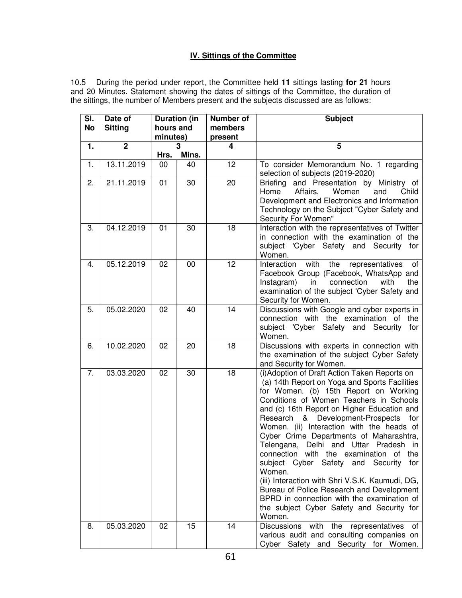# **IV. Sittings of the Committee**

10.5 During the period under report, the Committee held **11** sittings lasting **for 21** hours and 20 Minutes. Statement showing the dates of sittings of the Committee, the duration of the sittings, the number of Members present and the subjects discussed are as follows:

| SI.<br><b>No</b> | Date of<br><b>Sitting</b> | hours and | <b>Duration (in</b> | <b>Number of</b><br>members | <b>Subject</b>                                                                                                                                                                                                                                                                                                                                                                                                                                                                                                                                                                                                                                                                                                              |
|------------------|---------------------------|-----------|---------------------|-----------------------------|-----------------------------------------------------------------------------------------------------------------------------------------------------------------------------------------------------------------------------------------------------------------------------------------------------------------------------------------------------------------------------------------------------------------------------------------------------------------------------------------------------------------------------------------------------------------------------------------------------------------------------------------------------------------------------------------------------------------------------|
|                  |                           | minutes)  |                     | present                     |                                                                                                                                                                                                                                                                                                                                                                                                                                                                                                                                                                                                                                                                                                                             |
| 1.               | $\mathbf 2$               |           | 3                   | 4                           | 5                                                                                                                                                                                                                                                                                                                                                                                                                                                                                                                                                                                                                                                                                                                           |
|                  |                           | Hrs.      | Mins.               |                             |                                                                                                                                                                                                                                                                                                                                                                                                                                                                                                                                                                                                                                                                                                                             |
| 1.               | 13.11.2019                | 00        | 40                  | 12                          | To consider Memorandum No. 1 regarding<br>selection of subjects (2019-2020)                                                                                                                                                                                                                                                                                                                                                                                                                                                                                                                                                                                                                                                 |
| 2.               | 21.11.2019                | 01        | 30                  | 20                          | Briefing and Presentation by Ministry of<br>Affairs,<br>Women<br>Child<br>Home<br>and<br>Development and Electronics and Information<br>Technology on the Subject "Cyber Safety and<br>Security For Women"                                                                                                                                                                                                                                                                                                                                                                                                                                                                                                                  |
| 3.               | 04.12.2019                | 01        | 30                  | 18                          | Interaction with the representatives of Twitter<br>in connection with the examination of the<br>subject 'Cyber Safety and Security<br>for<br>Women.                                                                                                                                                                                                                                                                                                                                                                                                                                                                                                                                                                         |
| 4.               | 05.12.2019                | 02        | 00                  | 12                          | Interaction<br>with<br>the<br>representatives<br>оf<br>Facebook Group (Facebook, WhatsApp and<br>connection<br>with<br>Instagram)<br>in<br>the<br>examination of the subject 'Cyber Safety and<br>Security for Women.                                                                                                                                                                                                                                                                                                                                                                                                                                                                                                       |
| 5.               | 05.02.2020                | 02        | 40                  | 14                          | Discussions with Google and cyber experts in<br>connection with the examination of the<br>subject 'Cyber Safety and Security for<br>Women.                                                                                                                                                                                                                                                                                                                                                                                                                                                                                                                                                                                  |
| 6.               | 10.02.2020                | 02        | 20                  | 18                          | Discussions with experts in connection with<br>the examination of the subject Cyber Safety<br>and Security for Women.                                                                                                                                                                                                                                                                                                                                                                                                                                                                                                                                                                                                       |
| 7.               | 03.03.2020                | 02        | 30                  | 18                          | (i) Adoption of Draft Action Taken Reports on<br>(a) 14th Report on Yoga and Sports Facilities<br>for Women. (b) 15th Report on Working<br>Conditions of Women Teachers in Schools<br>and (c) 16th Report on Higher Education and<br>& Development-Prospects<br>Research<br>for<br>Women. (ii) Interaction with the heads of<br>Cyber Crime Departments of Maharashtra,<br>Telengana, Delhi and Uttar Pradesh in<br>connection with the examination of<br>the<br>subject Cyber Safety<br>and Security<br>for<br>Women.<br>(iii) Interaction with Shri V.S.K. Kaumudi, DG,<br>Bureau of Police Research and Development<br>BPRD in connection with the examination of<br>the subject Cyber Safety and Security for<br>Women. |
| 8.               | 05.03.2020                | 02        | 15                  | 14                          | <b>Discussions</b><br>with<br>the<br>representatives<br>of<br>various audit and consulting companies on<br>Cyber Safety and Security for Women.                                                                                                                                                                                                                                                                                                                                                                                                                                                                                                                                                                             |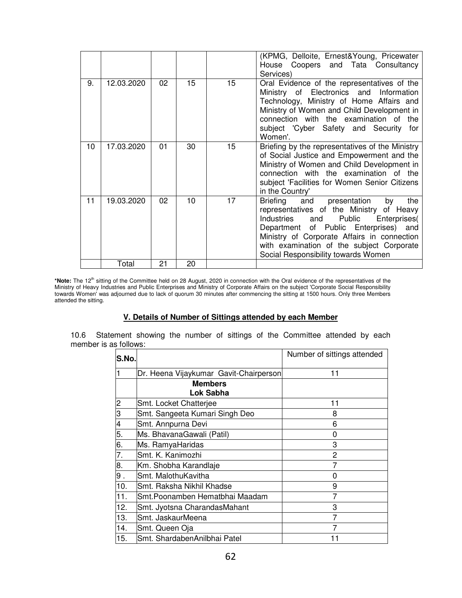|    |            |    |    |                  | (KPMG, Delloite, Ernest&Young, Pricewater<br>House Coopers and Tata Consultancy<br>Services)                                                                                                                                                                                                                     |
|----|------------|----|----|------------------|------------------------------------------------------------------------------------------------------------------------------------------------------------------------------------------------------------------------------------------------------------------------------------------------------------------|
| 9. | 12.03.2020 | 02 | 15 | 15 <sup>15</sup> | Oral Evidence of the representatives of the<br>Ministry of Electronics and Information<br>Technology, Ministry of Home Affairs and<br>Ministry of Women and Child Development in<br>connection with the examination of the<br>subject 'Cyber Safety and Security for<br>Women'.                                  |
| 10 | 17.03.2020 | 01 | 30 | 15               | Briefing by the representatives of the Ministry<br>of Social Justice and Empowerment and the<br>Ministry of Women and Child Development in<br>connection with the examination of the<br>subject 'Facilities for Women Senior Citizens<br>in the Country'                                                         |
| 11 | 19.03.2020 | 02 | 10 | 17               | Briefing and<br>the<br>presentation<br>by<br>representatives of the Ministry of Heavy<br>Industries<br>Public<br>Enterprises(<br>and<br>Department of Public Enterprises) and<br>Ministry of Corporate Affairs in connection<br>with examination of the subject Corporate<br>Social Responsibility towards Women |
|    | Total      | 21 | 20 |                  |                                                                                                                                                                                                                                                                                                                  |

\*Note: The 12<sup>th</sup> sitting of the Committee held on 28 August, 2020 in connection with the Oral evidence of the representatives of the Ministry of Heavy Industries and Public Enterprises and Ministry of Corporate Affairs on the subject 'Corporate Social Responsibility towards Women' was adjourned due to lack of quorum 30 minutes after commencing the sitting at 1500 hours. Only three Members attended the sitting.

### **V. Details of Number of Sittings attended by each Member**

10.6 Statement showing the number of sittings of the Committee attended by each member is as follows:

| S.No. |                                        | Number of sittings attended |
|-------|----------------------------------------|-----------------------------|
|       | Dr. Heena Vijaykumar Gavit-Chairperson | 11                          |
|       | <b>Members</b><br>Lok Sabha            |                             |
| 2     | Smt. Locket Chatterjee                 | 11                          |
| З     | Smt. Sangeeta Kumari Singh Deo         | 8                           |
| 4     | Smt. Annpurna Devi                     | 6                           |
| 5.    | Ms. BhavanaGawali (Patil)              | 0                           |
| 6.    | Ms. RamyaHaridas                       | 3                           |
| 7.    | Smt. K. Kanimozhi                      | 2                           |
| 8.    | Km. Shobha Karandlaje                  |                             |
| 9.    | Smt. MalothuKavitha                    | 0                           |
| 10.   | Smt. Raksha Nikhil Khadse              | 9                           |
| 11.   | Smt. Poonamben Hematbhai Maadam        | 7                           |
| 12.   | Smt. Jyotsna CharandasMahant           | 3                           |
| 13.   | Smt. JaskaurMeena                      | 7                           |
| 14.   | Smt. Queen Oja                         | 7                           |
| 15.   | Smt. ShardabenAnilbhai Patel           |                             |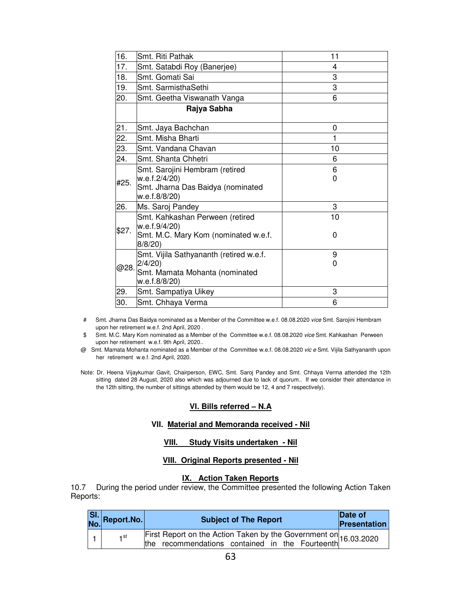| 16.   | Smt. Riti Pathak                                                                                      | 11      |
|-------|-------------------------------------------------------------------------------------------------------|---------|
| 17.   | Smt. Satabdi Roy (Banerjee)                                                                           | 4       |
| 18.   | Smt. Gomati Sai                                                                                       | 3       |
| 19.   | Smt. SarmisthaSethi                                                                                   | 3       |
| 20.   | Smt. Geetha Viswanath Vanga                                                                           | 6       |
|       | Rajya Sabha                                                                                           |         |
| 21.   | Smt. Jaya Bachchan                                                                                    | 0       |
| 22.   | Smt. Misha Bharti                                                                                     | 1       |
| 23.   | Smt. Vandana Chavan                                                                                   | 10      |
| 24.   | Smt. Shanta Chhetri                                                                                   | 6       |
| #25.  | Smt. Sarojini Hembram (retired<br>w.e.f.2/4/20)<br>Smt. Jharna Das Baidya (nominated<br>w.e.f.8/8/20) | 6<br>0  |
| 26.   | Ms. Saroj Pandey                                                                                      | 3       |
| \$27. | Smt. Kahkashan Perween (retired<br>w.e.f.9/4/20)<br>Smt. M.C. Mary Kom (nominated w.e.f.<br>8/8/20    | 10<br>0 |
| @28.  | Smt. Vijila Sathyananth (retired w.e.f.<br>2/4/20<br>Smt. Mamata Mohanta (nominated<br>w.e.f.8/8/20)  | 9<br>0  |
| 29.   | Smt. Sampatiya Uikey                                                                                  | 3       |
| 30.   | Smt. Chhaya Verma                                                                                     | 6       |

- # Smt. Jharna Das Baidya nominated as a Member of the Committee w.e.f. 08.08.2020 vice Smt. Sarojini Hembram upon her retirement w.e.f. 2nd April, 2020 .
- \$ Smt. M.C. Mary Kom nominated as a Member of the Committee w.e.f. 08.08.2020 vice Smt. Kahkashan Perween upon her retirement w.e.f. 9th April, 2020..
- @ Smt. Mamata Mohanta nominated as a Member of the Committee w.e.f. 08.08.2020 vic e Smt. Vijila Sathyananth upon her retirement w.e.f. 2nd April, 2020.
- Note: Dr. Heena Vijaykumar Gavit, Chairperson, EWC, Smt. Saroj Pandey and Smt. Chhaya Verma attended the 12th sitting dated 28 August, 2020 also which was adjourned due to lack of quorum.. If we consider their attendance in the 12th sitting, the number of sittings attended by them would be 12, 4 and 7 respectively).

## **VI. Bills referred – N.A**

### **VII. Material and Memoranda received - Nil**

## **VIII. Study Visits undertaken - Nil**

## **VIII. Original Reports presented - Nil**

### **IX. Action Taken Reports**

10.7 During the period under review, the Committee presented the following Action Taken Reports:

| SI. Report.No. | <b>Subject of The Report</b>                                                                                                   | Date of<br>Presentation |
|----------------|--------------------------------------------------------------------------------------------------------------------------------|-------------------------|
| ⊣ st           | First Report on the Action Taken by the Government on 16.03.2020<br>the recommendations contained in the Fourteenth 16.03.2020 |                         |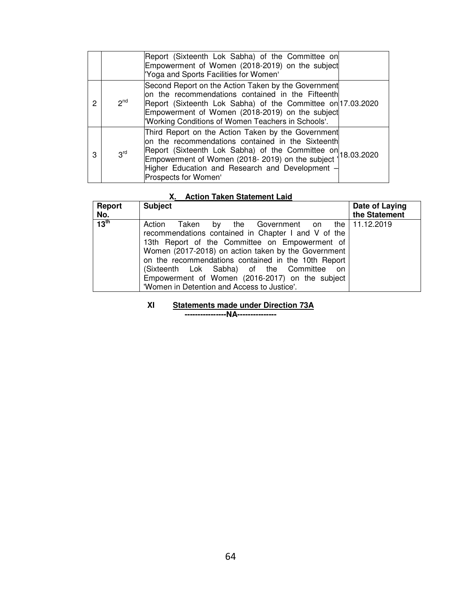|   |                 | Report (Sixteenth Lok Sabha) of the Committee on<br>Empowerment of Women (2018-2019) on the subject<br>'Yoga and Sports Facilities for Women'                                                                                                                                                                      |  |
|---|-----------------|--------------------------------------------------------------------------------------------------------------------------------------------------------------------------------------------------------------------------------------------------------------------------------------------------------------------|--|
| 2 | $2^{nd}$        | Second Report on the Action Taken by the Government<br>on the recommendations contained in the Fifteenth<br>Report (Sixteenth Lok Sabha) of the Committee on 17.03.2020<br>Empowerment of Women (2018-2019) on the subject<br>'Working Conditions of Women Teachers in Schools'.                                   |  |
| 3 | 3 <sup>rd</sup> | Third Report on the Action Taken by the Government<br>on the recommendations contained in the Sixteenth<br>Report (Sixteenth Lok Sabha) of the Committee on 18.03.2020<br>Empowerment of Women (2018- 2019) on the subject   18.03.2020<br>Higher Education and Research and Development -<br>Prospects for Women' |  |

# **X. Action Taken Statement Laid**

| Report<br>No.    | <b>Subject</b>                                                                                                                                                                                                                                                                                                                                                                                             | Date of Laying<br>the Statement |
|------------------|------------------------------------------------------------------------------------------------------------------------------------------------------------------------------------------------------------------------------------------------------------------------------------------------------------------------------------------------------------------------------------------------------------|---------------------------------|
| 13 <sup>th</sup> | Taken by the Government on<br>Action<br>recommendations contained in Chapter I and V of the<br>13th Report of the Committee on Empowerment of<br>Women (2017-2018) on action taken by the Government<br>on the recommendations contained in the 10th Report<br>(Sixteenth Lok Sabha) of the Committee on<br>Empowerment of Women (2016-2017) on the subject<br>'Women in Detention and Access to Justice'. | the   11.12.2019                |

**XI Statements made under Direction 73A**

**----------------NA---------------**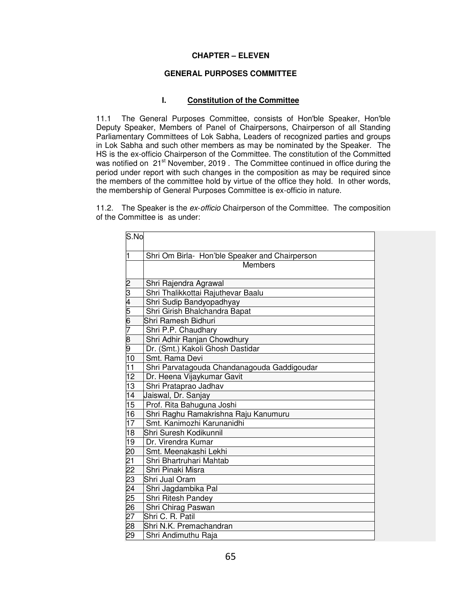### **CHAPTER – ELEVEN**

### **GENERAL PURPOSES COMMITTEE**

### **I. Constitution of the Committee**

11.1 The General Purposes Committee, consists of Hon'ble Speaker, Hon'ble Deputy Speaker, Members of Panel of Chairpersons, Chairperson of all Standing Parliamentary Committees of Lok Sabha, Leaders of recognized parties and groups in Lok Sabha and such other members as may be nominated by the Speaker. The HS is the ex-officio Chairperson of the Committee. The constitution of the Committed was notified on 21<sup>st</sup> November, 2019 . The Committee continued in office during the period under report with such changes in the composition as may be required since the members of the committee hold by virtue of the office they hold. In other words, the membership of General Purposes Committee is ex-officio in nature.

11.2. The Speaker is the ex-officio Chairperson of the Committee. The composition of the Committee is as under:

| S.No                    |                                                |
|-------------------------|------------------------------------------------|
| $\overline{\mathbf{1}}$ | Shri Om Birla- Hon'ble Speaker and Chairperson |
|                         | <b>Members</b>                                 |
|                         |                                                |
| 2                       | Shri Rajendra Agrawal                          |
| 3                       | Shri Thalikkottai Rajuthevar Baalu             |
| 4                       | Shri Sudip Bandyopadhyay                       |
| 5                       | Shri Girish Bhalchandra Bapat                  |
| 6                       | Shri Ramesh Bidhuri                            |
| 7                       | Shri P.P. Chaudhary                            |
| 8                       | Shri Adhir Ranjan Chowdhury                    |
| 9                       | Dr. (Smt.) Kakoli Ghosh Dastidar               |
| 10                      | Smt. Rama Devi                                 |
| 11                      | Shri Parvatagouda Chandanagouda Gaddigoudar    |
| 12                      | Dr. Heena Vijaykumar Gavit                     |
| $\overline{13}$         | Shri Prataprao Jadhav                          |
| 14                      | Jaiswal, Dr. Sanjay                            |
| $\overline{15}$         | Prof. Rita Bahuguna Joshi                      |
| 16                      | Shri Raghu Ramakrishna Raju Kanumuru           |
| 17                      | Smt. Kanimozhi Karunanidhi                     |
| 18                      | Shri Suresh Kodikunnil                         |
| 19                      | Dr. Virendra Kumar                             |
| 20                      | Smt. Meenakashi Lekhi                          |
| $\overline{21}$         | Shri Bhartruhari Mahtab                        |
| $\overline{22}$         | Shri Pinaki Misra                              |
| $\overline{23}$         | Shri Jual Oram                                 |
| 24                      | Shri Jagdambika Pal                            |
| $\overline{25}$         | Shri Ritesh Pandey                             |
| $\frac{26}{27}$         | Shri Chirag Paswan                             |
|                         | Shri C. R. Patil                               |
| 28                      | Shri N.K. Premachandran                        |
| $\overline{29}$         | Shri Andimuthu Raja                            |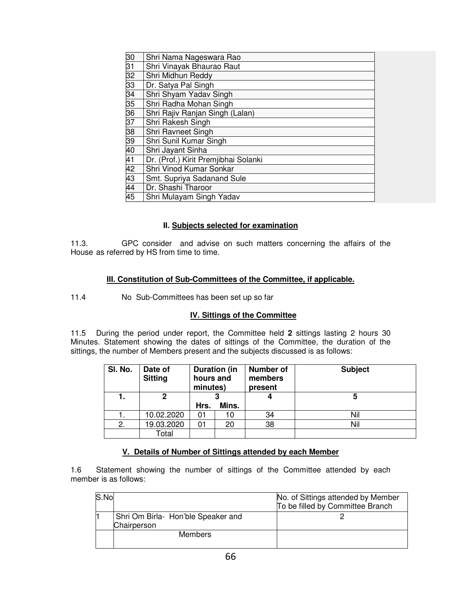| 30              | Shri Nama Nageswara Rao              |
|-----------------|--------------------------------------|
| 31              | Shri Vinayak Bhaurao Raut            |
| 32              | Shri Midhun Reddy                    |
| 33              | Dr. Satya Pal Singh                  |
| $\overline{34}$ | Shri Shyam Yadav Singh               |
| 35              | Shri Radha Mohan Singh               |
| 36              | Shri Rajiv Ranjan Singh (Lalan)      |
| $\overline{37}$ | Shri Rakesh Singh                    |
| 38              | Shri Ravneet Singh                   |
| 39              | Shri Sunil Kumar Singh               |
| 40              | Shri Jayant Sinha                    |
| $\overline{41}$ | Dr. (Prof.) Kirit Premjibhai Solanki |
| $\overline{42}$ | Shri Vinod Kumar Sonkar              |
| 43              | Smt. Supriya Sadanand Sule           |
| 44              | Dr. Shashi Tharoor                   |
| $\overline{45}$ | Shri Mulayam Singh Yadav             |

# **II. Subjects selected for examination**

11.3. GPC consider and advise on such matters concerning the affairs of the House as referred by HS from time to time.

# **III. Constitution of Sub-Committees of the Committee, if applicable.**

11.4 No Sub-Committees has been set up so far

# **IV. Sittings of the Committee**

11.5 During the period under report, the Committee held **2** sittings lasting 2 hours 30 Minutes. Statement showing the dates of sittings of the Committee, the duration of the sittings, the number of Members present and the subjects discussed is as follows:

| SI. No. | Date of<br><b>Sitting</b> | <b>Duration (in</b><br>hours and<br>minutes) |       | <b>Number of</b><br>members<br>present | <b>Subject</b> |
|---------|---------------------------|----------------------------------------------|-------|----------------------------------------|----------------|
|         | 2                         |                                              |       |                                        | 5              |
|         |                           | Hrs.                                         | Mins. |                                        |                |
|         | 10.02.2020                | 01                                           | 10    | 34                                     | Nil            |
| 2.      | 19.03.2020                | 01                                           | 20    | 38                                     | Nil            |
|         | Total                     |                                              |       |                                        |                |

# **V. Details of Number of Sittings attended by each Member**

1.6 Statement showing the number of sittings of the Committee attended by each member is as follows:

| S.No |                                                   | No. of Sittings attended by Member<br>To be filled by Committee Branch |
|------|---------------------------------------------------|------------------------------------------------------------------------|
|      | Shri Om Birla- Hon'ble Speaker and<br>Chairperson |                                                                        |
|      | <b>Members</b>                                    |                                                                        |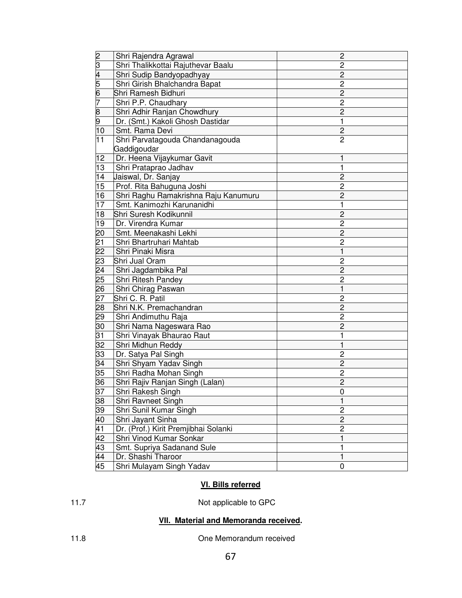|                                               | Shri Rajendra Agrawal                | $\mathbf{2}$            |
|-----------------------------------------------|--------------------------------------|-------------------------|
|                                               | Shri Thalikkottai Rajuthevar Baalu   | 2                       |
|                                               | Shri Sudip Bandyopadhyay             | 2                       |
|                                               | Shri Girish Bhalchandra Bapat        | $\overline{c}$          |
| $2\overline{3}\overline{4}\overline{5}$<br>67 | Shri Ramesh Bidhuri                  | $\overline{c}$          |
|                                               | Shri P.P. Chaudhary                  | $\overline{c}$          |
|                                               | Shri Adhir Ranjan Chowdhury          | $\overline{2}$          |
| $\frac{8}{9}$                                 | Dr. (Smt.) Kakoli Ghosh Dastidar     | 1                       |
| 10                                            | Smt. Rama Devi                       | $\overline{c}$          |
| $\overline{11}$                               | Shri Parvatagouda Chandanagouda      | $\overline{2}$          |
|                                               | Gaddigoudar                          |                         |
| 12                                            | Dr. Heena Vijaykumar Gavit           | 1                       |
| 13                                            | Shri Prataprao Jadhav                | 1                       |
| 14                                            | Jaiswal, Dr. Sanjay                  | $\overline{2}$          |
| 15                                            | Prof. Rita Bahuguna Joshi            | 2                       |
| 16                                            | Shri Raghu Ramakrishna Raju Kanumuru | $\overline{c}$          |
| 17                                            | Smt. Kanimozhi Karunanidhi           | 1                       |
| 18                                            | Shri Suresh Kodikunnil               | $\overline{c}$          |
| 19                                            | Dr. Virendra Kumar                   | $\overline{c}$          |
| 20                                            | Smt. Meenakashi Lekhi                | $\overline{c}$          |
| $\frac{21}{22}$                               | Shri Bhartruhari Mahtab              | 2                       |
|                                               | Shri Pinaki Misra                    | 1                       |
| 23                                            | Shri Jual Oram                       | $\overline{c}$          |
| $\overline{24}$                               | Shri Jagdambika Pal                  | $\overline{2}$          |
| 25                                            | Shri Ritesh Pandey                   | $\overline{c}$          |
| $\overline{26}$                               | Shri Chirag Paswan                   | 1                       |
| $\overline{27}$                               | Shri C. R. Patil                     | 2                       |
| $\overline{28}$                               | Shri N.K. Premachandran              | $\overline{2}$          |
| 29                                            | Shri Andimuthu Raja                  | 2                       |
| $\overline{30}$                               | Shri Nama Nageswara Rao              | $\overline{2}$          |
| $\overline{31}$                               | Shri Vinayak Bhaurao Raut            | 1                       |
| 32                                            | Shri Midhun Reddy                    | 1                       |
| 33                                            | Dr. Satya Pal Singh                  | $\overline{c}$          |
| 34                                            | Shri Shyam Yadav Singh               | $\overline{c}$          |
| $\overline{35}$                               | Shri Radha Mohan Singh               | $\overline{\mathbf{c}}$ |
| 36                                            | Shri Rajiv Ranjan Singh (Lalan)      | $\overline{2}$          |
| <u>37</u>                                     | Shri Rakesh Singh                    | 0                       |
| $\frac{38}{39}$                               | Shri Ravneet Singh                   | 1                       |
|                                               | Shri Sunil Kumar Singh               | $\overline{c}$          |
| $\frac{40}{41}$                               | Shri Jayant Sinha                    | $\overline{c}$          |
|                                               | Dr. (Prof.) Kirit Premjibhai Solanki | $\overline{2}$          |
| 42                                            | Shri Vinod Kumar Sonkar              | 1                       |
| 43                                            | Smt. Supriya Sadanand Sule           | 1                       |
| 44                                            | Dr. Shashi Tharoor                   | $\mathbf{1}$            |
| 45                                            | Shri Mulayam Singh Yadav             | 0                       |

# **VI. Bills referred**

# 11.7 Not applicable to GPC

# **VII. Material and Memoranda received.**

11.8 One Memorandum received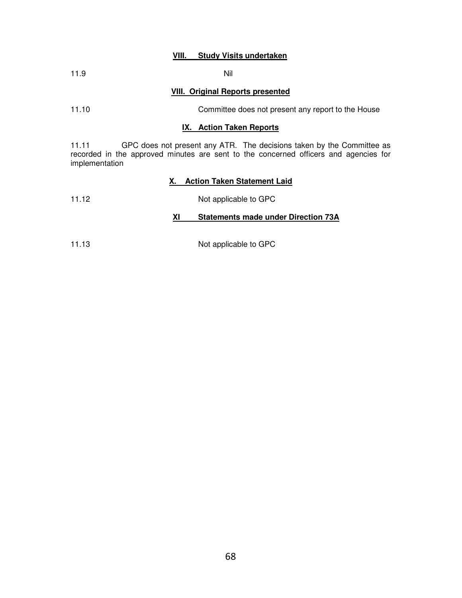### **VIII. Study Visits undertaken**

| 11.9 |  | Nil |
|------|--|-----|
|      |  |     |

### **VIII. Original Reports presented**

## 11.10 Committee does not present any report to the House

#### **IX. Action Taken Reports**

11.11 GPC does not present any ATR. The decisions taken by the Committee as recorded in the approved minutes are sent to the concerned officers and agencies for implementation

### **X. Action Taken Statement Laid**

11.12 Not applicable to GPC

### **XI Statements made under Direction 73A**

11.13 Not applicable to GPC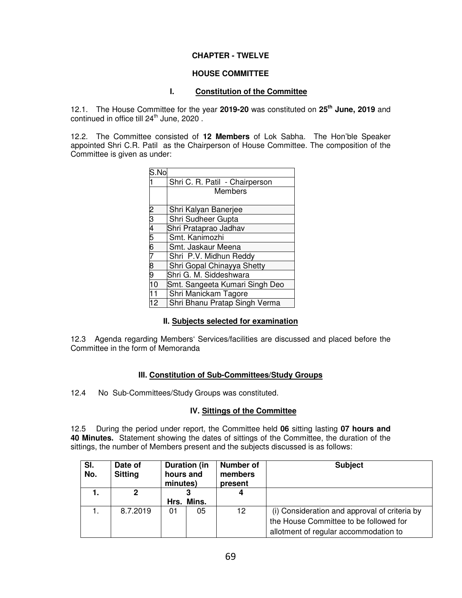## **CHAPTER - TWELVE**

### **HOUSE COMMITTEE**

### **I. Constitution of the Committee**

12.1. The House Committee for the year **2019-20** was constituted on **25th June, 2019** and continued in office till 24<sup>th</sup> June, 2020.

12.2. The Committee consisted of **12 Members** of Lok Sabha. The Hon'ble Speaker appointed Shri C.R. Patil as the Chairperson of House Committee. The composition of the Committee is given as under:

| S.No                  |                                |
|-----------------------|--------------------------------|
|                       | Shri C. R. Patil - Chairperson |
|                       | Members                        |
|                       |                                |
|                       | Shri Kalyan Banerjee           |
|                       | Shri Sudheer Gupta             |
|                       | Shri Prataprao Jadhav          |
| $2\overline{3456789}$ | Smt. Kanimozhi                 |
|                       | Smt. Jaskaur Meena             |
|                       | Shri P.V. Midhun Reddy         |
|                       | Shri Gopal Chinayya Shetty     |
|                       | Shri G. M. Siddeshwara         |
| 10                    | Smt. Sangeeta Kumari Singh Deo |
| 11                    | Shri Manickam Tagore           |
| 12                    | Shri Bhanu Pratap Singh Verma  |

### **II. Subjects selected for examination**

12.3 Agenda regarding Members' Services/facilities are discussed and placed before the Committee in the form of Memoranda

### **III. Constitution of Sub-Committees/Study Groups**

12.4 No Sub-Committees/Study Groups was constituted.

### **IV. Sittings of the Committee**

12.5 During the period under report, the Committee held **06** sitting lasting **07 hours and 40 Minutes.** Statement showing the dates of sittings of the Committee, the duration of the sittings, the number of Members present and the subjects discussed is as follows:

| SI.<br>No. | Date of<br><b>Sitting</b> | Duration (in<br>hours and<br>minutes) |            | <b>Number of</b><br>members<br>present | <b>Subject</b>                                                                                                                   |
|------------|---------------------------|---------------------------------------|------------|----------------------------------------|----------------------------------------------------------------------------------------------------------------------------------|
|            | 2                         |                                       | Hrs. Mins. | 4                                      |                                                                                                                                  |
|            | 8.7.2019                  | 01                                    | 05         | 12                                     | (i) Consideration and approval of criteria by<br>the House Committee to be followed for<br>allotment of regular accommodation to |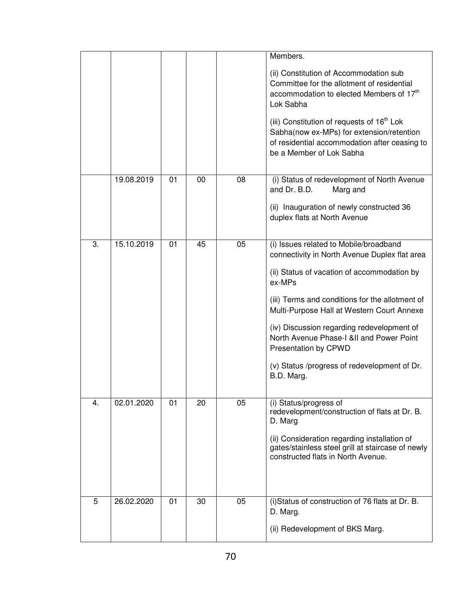|    |            |    |    |    | Members.<br>(ii) Constitution of Accommodation sub<br>Committee for the allotment of residential<br>accommodation to elected Members of 17 <sup>th</sup><br>Lok Sabha<br>(iii) Constitution of requests of 16 <sup>th</sup> Lok<br>Sabha(now ex-MPs) for extension/retention<br>of residential accommodation after ceasing to<br>be a Member of Lok Sabha                                                                         |
|----|------------|----|----|----|-----------------------------------------------------------------------------------------------------------------------------------------------------------------------------------------------------------------------------------------------------------------------------------------------------------------------------------------------------------------------------------------------------------------------------------|
|    | 19.08.2019 | 01 | 00 | 08 | (i) Status of redevelopment of North Avenue<br>and Dr. B.D.<br>Marg and<br>(ii) Inauguration of newly constructed 36<br>duplex flats at North Avenue                                                                                                                                                                                                                                                                              |
| 3. | 15.10.2019 | 01 | 45 | 05 | (i) Issues related to Mobile/broadband<br>connectivity in North Avenue Duplex flat area<br>(ii) Status of vacation of accommodation by<br>ex-MPs<br>(iii) Terms and conditions for the allotment of<br>Multi-Purpose Hall at Western Court Annexe<br>(iv) Discussion regarding redevelopment of<br>North Avenue Phase-I &II and Power Point<br>Presentation by CPWD<br>(v) Status /progress of redevelopment of Dr.<br>B.D. Marg. |
| 4. | 02.01.2020 | 01 | 20 | 05 | (i) Status/progress of<br>redevelopment/construction of flats at Dr. B.<br>D. Marg<br>(ii) Consideration regarding installation of<br>gates/stainless steel grill at staircase of newly<br>constructed flats in North Avenue.                                                                                                                                                                                                     |
| 5  | 26.02.2020 | 01 | 30 | 05 | (i)Status of construction of 76 flats at Dr. B.<br>D. Marg.<br>(ii) Redevelopment of BKS Marg.                                                                                                                                                                                                                                                                                                                                    |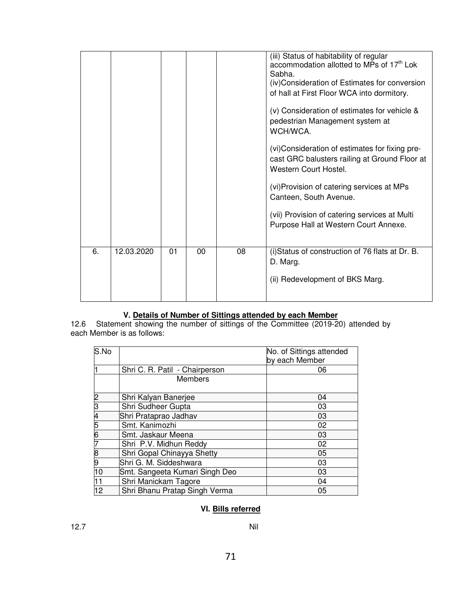|    |            |    |    |    | (iii) Status of habitability of regular<br>accommodation allotted to MPs of 17 <sup>th</sup> Lok<br>Sabha.<br>(iv)Consideration of Estimates for conversion<br>of hall at First Floor WCA into dormitory.<br>(v) Consideration of estimates for vehicle &<br>pedestrian Management system at<br>WCH/WCA.<br>(vi) Consideration of estimates for fixing pre-<br>cast GRC balusters railing at Ground Floor at<br>Western Court Hostel.<br>(vi) Provision of catering services at MPs<br>Canteen, South Avenue.<br>(vii) Provision of catering services at Multi<br>Purpose Hall at Western Court Annexe. |
|----|------------|----|----|----|---------------------------------------------------------------------------------------------------------------------------------------------------------------------------------------------------------------------------------------------------------------------------------------------------------------------------------------------------------------------------------------------------------------------------------------------------------------------------------------------------------------------------------------------------------------------------------------------------------|
| 6. | 12.03.2020 | 01 | 00 | 08 | (i) Status of construction of 76 flats at Dr. B.<br>D. Marg.<br>(ii) Redevelopment of BKS Marg.                                                                                                                                                                                                                                                                                                                                                                                                                                                                                                         |

## **V. Details of Number of Sittings attended by each Member**

12.6 Statement showing the number of sittings of the Committee (2019-20) attended by each Member is as follows:

| S.No |                                | No. of Sittings attended<br>by each Member |
|------|--------------------------------|--------------------------------------------|
|      | Shri C. R. Patil - Chairperson | 06                                         |
|      | <b>Members</b>                 |                                            |
| 2    | Shri Kalyan Banerjee           | 04                                         |
| ß    | Shri Sudheer Gupta             | 03                                         |
| 4    | Shri Prataprao Jadhav          | 03                                         |
| 5    | Smt. Kanimozhi                 | 02                                         |
| 6    | Smt. Jaskaur Meena             | 03                                         |
|      | Shri P.V. Midhun Reddy         | 02                                         |
| 8    | Shri Gopal Chinayya Shetty     | 05                                         |
| 19   | Shri G. M. Siddeshwara         | 03                                         |
| 10   | Smt. Sangeeta Kumari Singh Deo | 03                                         |
| 11   | Shri Manickam Tagore           | 04                                         |
| 12   | Shri Bhanu Pratap Singh Verma  | 05                                         |

# **VI. Bills referred**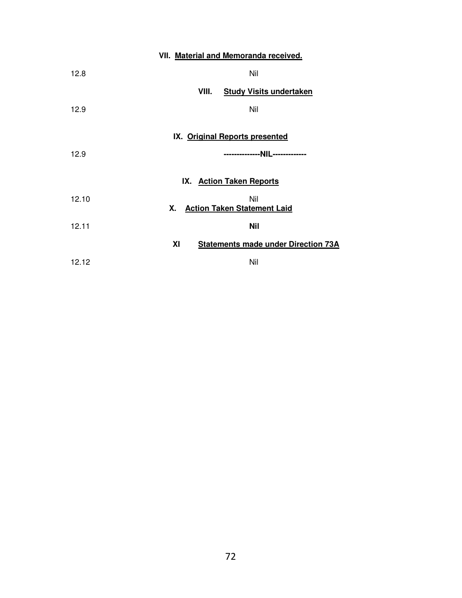|       | VII. Material and Memoranda received.            |
|-------|--------------------------------------------------|
| 12.8  | Nil                                              |
|       | <b>Study Visits undertaken</b><br>VIII.          |
| 12.9  | Nil                                              |
|       | IX. Original Reports presented                   |
| 12.9  | --------------NIL-------------                   |
|       | IX. Action Taken Reports                         |
| 12.10 | Nil<br>Х.<br><b>Action Taken Statement Laid</b>  |
| 12.11 | <b>Nil</b>                                       |
|       | XI<br><b>Statements made under Direction 73A</b> |
| 12.12 | Nil                                              |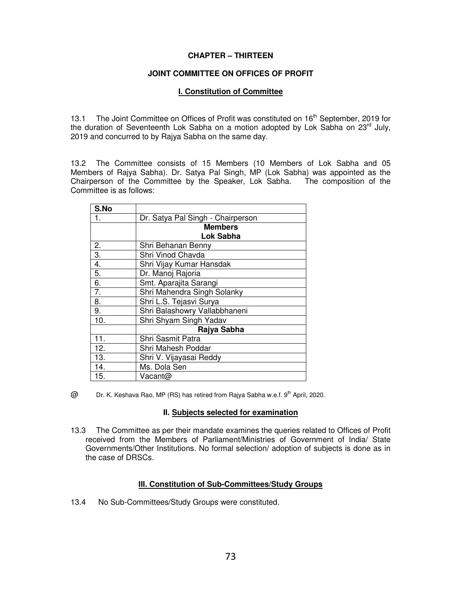#### **CHAPTER – THIRTEEN**

#### **JOINT COMMITTEE ON OFFICES OF PROFIT**

#### **I. Constitution of Committee**

13.1 The Joint Committee on Offices of Profit was constituted on 16<sup>th</sup> September, 2019 for the duration of Seventeenth Lok Sabha on a motion adopted by Lok Sabha on  $23^{\text{rd}}$  July, 2019 and concurred to by Rajya Sabha on the same day.

13.2 The Committee consists of 15 Members (10 Members of Lok Sabha and 05 Members of Rajya Sabha). Dr. Satya Pal Singh, MP (Lok Sabha) was appointed as the Chairperson of the Committee by the Speaker, Lok Sabha. The composition of the Committee is as follows:

| S.No             |                                   |
|------------------|-----------------------------------|
| 1.               | Dr. Satya Pal Singh - Chairperson |
|                  | <b>Members</b>                    |
|                  | Lok Sabha                         |
| 2.               | Shri Behanan Benny                |
| $\overline{3}$ . | Shri Vinod Chavda                 |
| 4.               | Shri Vijay Kumar Hansdak          |
| $\overline{5}$ . | Dr. Manoj Rajoria                 |
| 6.               | Smt. Aparajita Sarangi            |
| 7.               | Shri Mahendra Singh Solanky       |
| 8.               | Shri L.S. Tejasvi Surya           |
| 9.               | Shri Balashowry Vallabbhaneni     |
| 10.              | Shri Shyam Singh Yadav            |
|                  | Rajya Sabha                       |
| 11.              | Shri Sasmit Patra                 |
| 12.              | Shri Mahesh Poddar                |
| 13.              | Shri V. Vijayasai Reddy           |
| 14.              | Ms. Dola Sen                      |
| 15.              | Vacant@                           |

 $@$  Dr. K. Keshava Rao, MP (RS) has retired from Rajya Sabha w.e.f.  $9^{th}$  April, 2020.

#### **II. Subjects selected for examination**

13.3 The Committee as per their mandate examines the queries related to Offices of Profit received from the Members of Parliament/Ministries of Government of India/ State Governments/Other Institutions. No formal selection/ adoption of subjects is done as in the case of DRSCs.

#### **III. Constitution of Sub-Committees/Study Groups**

13.4 No Sub-Committees/Study Groups were constituted.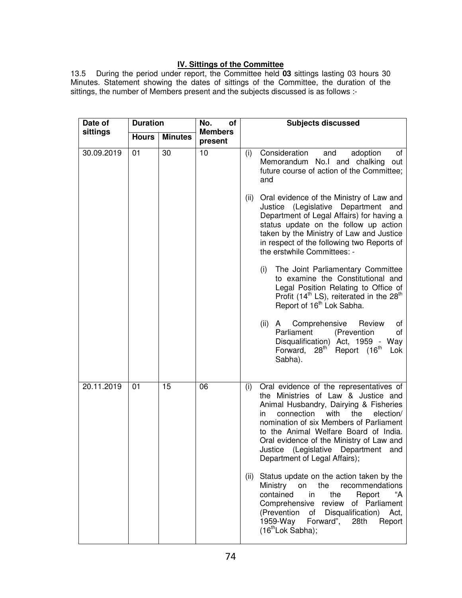# **IV. Sittings of the Committee**

13.5 During the period under report, the Committee held **03** sittings lasting 03 hours 30 Minutes. Statement showing the dates of sittings of the Committee, the duration of the sittings, the number of Members present and the subjects discussed is as follows :-

| Date of    | <b>Duration</b> |                | No.<br>of                 | <b>Subjects discussed</b>                                                                                                                                                                                                                                                                                                                                                                      |  |
|------------|-----------------|----------------|---------------------------|------------------------------------------------------------------------------------------------------------------------------------------------------------------------------------------------------------------------------------------------------------------------------------------------------------------------------------------------------------------------------------------------|--|
| sittings   | <b>Hours</b>    | <b>Minutes</b> | <b>Members</b><br>present |                                                                                                                                                                                                                                                                                                                                                                                                |  |
| 30.09.2019 | 01              | 30             | 10                        | Consideration<br>adoption<br>and<br>of<br>(i)<br>Memorandum No.I and chalking<br>out<br>future course of action of the Committee;<br>and                                                                                                                                                                                                                                                       |  |
|            |                 |                |                           | Oral evidence of the Ministry of Law and<br>(ii)<br>Justice (Legislative<br>Department<br>and<br>Department of Legal Affairs) for having a<br>status update on the follow up action<br>taken by the Ministry of Law and Justice<br>in respect of the following two Reports of<br>the erstwhile Committees: -                                                                                   |  |
|            |                 |                |                           | The Joint Parliamentary Committee<br>(i)<br>to examine the Constitutional and<br>Legal Position Relating to Office of<br>Profit (14 <sup>th</sup> LS), reiterated in the 28 <sup>th</sup><br>Report of 16 <sup>th</sup> Lok Sabha.                                                                                                                                                             |  |
|            |                 |                |                           | (ii)<br>Comprehensive<br>Review<br>A<br>οf<br>Parliament<br>(Prevention<br>οf<br>Disqualification) Act, 1959 - Way<br>$28th$ Report $(16th$<br>Forward,<br>Lok<br>Sabha).                                                                                                                                                                                                                      |  |
| 20.11.2019 | 01              | 15             | 06                        | Oral evidence of the representatives of<br>(i)<br>the Ministries of Law & Justice and<br>Animal Husbandry, Dairying & Fisheries<br>with<br>connection<br>the<br>election/<br>in.<br>nomination of six Members of Parliament<br>to the Animal Welfare Board of India.<br>Oral evidence of the Ministry of Law and<br>Justice (Legislative<br>Department<br>and<br>Department of Legal Affairs); |  |
|            |                 |                |                           | Status update on the action taken by the<br>(ii)<br>recommendations<br>Ministry<br>the<br>on<br>Report<br>contained<br>the<br>"A<br>in.<br>Comprehensive<br>review of Parliament<br>(Prevention<br>Disqualification)<br>of<br>Act,<br>1959-Way<br>Forward",<br>28th<br>Report<br>$(16th$ Lok Sabha);                                                                                           |  |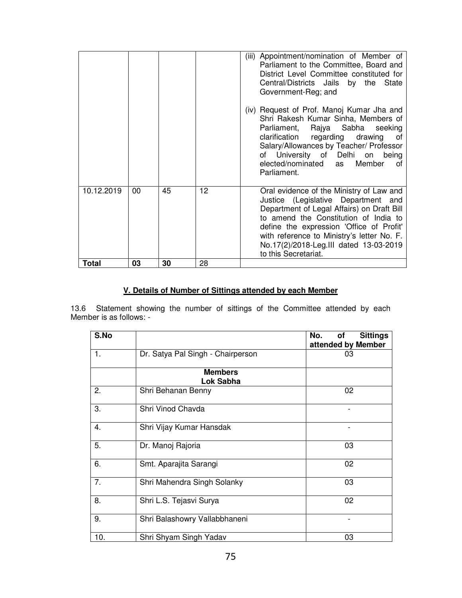|              |    |    |    | (iii) Appointment/nomination of Member of<br>Parliament to the Committee, Board and<br>District Level Committee constituted for<br>Central/Districts Jails by the State<br>Government-Reg; and<br>(iv) Request of Prof. Manoj Kumar Jha and<br>Shri Rakesh Kumar Sinha, Members of<br>Parliament, Rajya Sabha seeking<br>clarification regarding drawing<br>οf<br>Salary/Allowances by Teacher/ Professor<br>of University of Delhi on<br>being<br>elected/nominated<br>Member<br>as<br>Ωf<br>Parliament. |
|--------------|----|----|----|-----------------------------------------------------------------------------------------------------------------------------------------------------------------------------------------------------------------------------------------------------------------------------------------------------------------------------------------------------------------------------------------------------------------------------------------------------------------------------------------------------------|
| 10.12.2019   | 00 | 45 | 12 | Oral evidence of the Ministry of Law and<br>Justice (Legislative Department and<br>Department of Legal Affairs) on Draft Bill<br>to amend the Constitution of India to<br>define the expression 'Office of Profit'<br>with reference to Ministry's letter No. F.<br>No.17(2)/2018-Leg.III dated 13-03-2019<br>to this Secretariat.                                                                                                                                                                        |
| <b>Total</b> | 03 | 30 | 28 |                                                                                                                                                                                                                                                                                                                                                                                                                                                                                                           |

# **V. Details of Number of Sittings attended by each Member**

13.6 Statement showing the number of sittings of the Committee attended by each Member is as follows: -

| S.No |                                   | No.<br><b>Sittings</b><br>оf<br>attended by Member |
|------|-----------------------------------|----------------------------------------------------|
| 1.   | Dr. Satya Pal Singh - Chairperson | 03                                                 |
|      | <b>Members</b><br>Lok Sabha       |                                                    |
| 2.   | Shri Behanan Benny                | 02                                                 |
| 3.   | Shri Vinod Chavda                 |                                                    |
| 4.   | Shri Vijay Kumar Hansdak          |                                                    |
| 5.   | Dr. Manoj Rajoria                 | 03                                                 |
| 6.   | Smt. Aparajita Sarangi            | 02                                                 |
| 7.   | Shri Mahendra Singh Solanky       | 03                                                 |
| 8.   | Shri L.S. Tejasvi Surya           | 02                                                 |
| 9.   | Shri Balashowry Vallabbhaneni     |                                                    |
| 10.  | Shri Shyam Singh Yadav            | 03                                                 |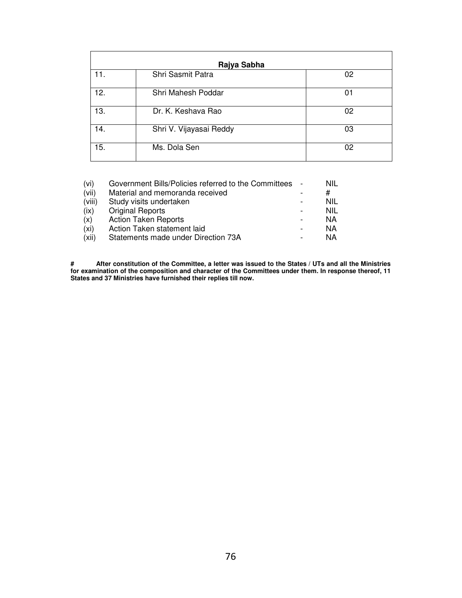| Rajya Sabha |                         |    |  |  |  |  |
|-------------|-------------------------|----|--|--|--|--|
| 11.         | Shri Sasmit Patra       | 02 |  |  |  |  |
| 12.         | Shri Mahesh Poddar      | 01 |  |  |  |  |
| 13.         | Dr. K. Keshava Rao      | 02 |  |  |  |  |
| 14.         | Shri V. Vijayasai Reddy | 03 |  |  |  |  |
| 15.         | Ms. Dola Sen            | 02 |  |  |  |  |

| (vi)              | Government Bills/Policies referred to the Committees | Nil        |
|-------------------|------------------------------------------------------|------------|
| (vii)             | Material and memoranda received                      | #          |
| (viii)            | Study visits undertaken                              | NIL        |
| (ix)              | <b>Original Reports</b>                              | <b>NIL</b> |
| (x)               | <b>Action Taken Reports</b>                          | ΝA         |
| (x <sub>i</sub> ) | Action Taken statement laid                          | ΝA         |
| (xii)             | Statements made under Direction 73A                  | ΝA         |

**# After constitution of the Committee, a letter was issued to the States / UTs and all the Ministries for examination of the composition and character of the Committees under them. In response thereof, 11 States and 37 Ministries have furnished their replies till now.**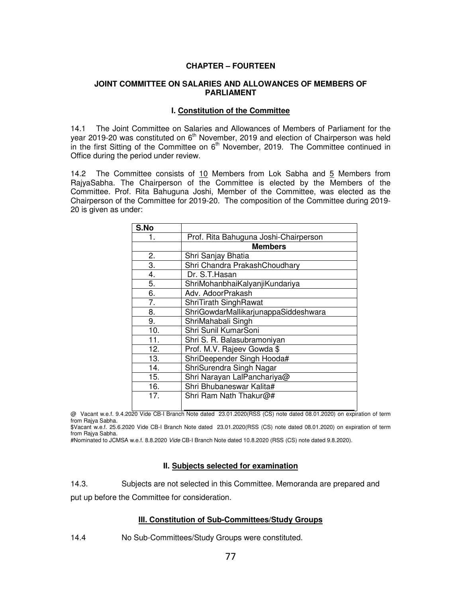#### **CHAPTER – FOURTEEN**

#### **JOINT COMMITTEE ON SALARIES AND ALLOWANCES OF MEMBERS OF PARLIAMENT**

#### **I. Constitution of the Committee**

14.1 The Joint Committee on Salaries and Allowances of Members of Parliament for the year 2019-20 was constituted on  $6<sup>th</sup>$  November, 2019 and election of Chairperson was held in the first Sitting of the Committee on  $6<sup>th</sup>$  November, 2019. The Committee continued in Office during the period under review.

14.2 The Committee consists of 10 Members from Lok Sabha and 5 Members from RajyaSabha. The Chairperson of the Committee is elected by the Members of the Committee. Prof. Rita Bahuguna Joshi, Member of the Committee, was elected as the Chairperson of the Committee for 2019-20. The composition of the Committee during 2019- 20 is given as under:

| Prof. Rita Bahuguna Joshi-Chairperson |
|---------------------------------------|
| <b>Members</b>                        |
| Shri Sanjay Bhatia                    |
| Shri Chandra PrakashChoudhary         |
| Dr. S.T. Hasan                        |
| ShriMohanbhaiKalyanjiKundariya        |
| Adv. AdoorPrakash                     |
| ShriTirath SinghRawat                 |
| ShriGowdarMallikarjunappaSiddeshwara  |
| ShriMahabali Singh                    |
| Shri Sunil KumarSoni                  |
| Shri S. R. Balasubramoniyan           |
| Prof. M.V. Rajeev Gowda \$            |
| ShriDeepender Singh Hooda#            |
| ShriSurendra Singh Nagar              |
| Shri Narayan LalPanchariya@           |
| Shri Bhubaneswar Kalita#              |
| Shri Ram Nath Thakur@#                |
|                                       |

@ Vacant w.e.f. 9.4.2020 Vide CB-I Branch Note dated 23.01.2020(RSS (CS) note dated 08.01.2020) on expiration of term from Rajya Sabha.

\$Vacant w.e.f. 25.6.2020 Vide CB-I Branch Note dated 23.01.2020(RSS (CS) note dated 08.01.2020) on expiration of term from Rajya Sabha.

#Nominated to JCMSA w.e.f. 8.8.2020 Vide CB-I Branch Note dated 10.8.2020 (RSS (CS) note dated 9.8.2020).

#### **II. Subjects selected for examination**

14.3. Subjects are not selected in this Committee. Memoranda are prepared and put up before the Committee for consideration.

#### **III. Constitution of Sub-Committees/Study Groups**

14.4 No Sub-Committees/Study Groups were constituted.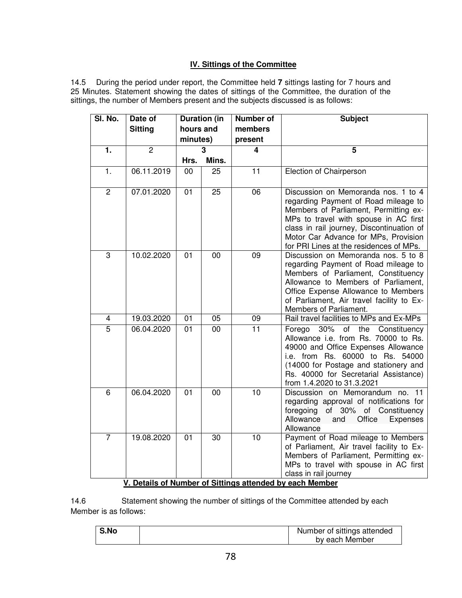# **IV. Sittings of the Committee**

14.5 During the period under report, the Committee held **7** sittings lasting for 7 hours and 25 Minutes. Statement showing the dates of sittings of the Committee, the duration of the sittings, the number of Members present and the subjects discussed is as follows:

| SI. No.        | Date of        | <b>Duration (in</b>   |       | <b>Number of</b>   | <b>Subject</b>                                                                                                                                                                                                                                                                                |
|----------------|----------------|-----------------------|-------|--------------------|-----------------------------------------------------------------------------------------------------------------------------------------------------------------------------------------------------------------------------------------------------------------------------------------------|
|                | <b>Sitting</b> | hours and<br>minutes) |       | members<br>present |                                                                                                                                                                                                                                                                                               |
| 1.             | $\overline{2}$ |                       | 3     | 4                  | 5                                                                                                                                                                                                                                                                                             |
|                |                | Hrs.                  | Mins. |                    |                                                                                                                                                                                                                                                                                               |
| 1.             | 06.11.2019     | 00                    | 25    | 11                 | Election of Chairperson                                                                                                                                                                                                                                                                       |
| $\overline{2}$ | 07.01.2020     | 01                    | 25    | 06                 | Discussion on Memoranda nos. 1 to 4<br>regarding Payment of Road mileage to<br>Members of Parliament, Permitting ex-<br>MPs to travel with spouse in AC first<br>class in rail journey, Discontinuation of<br>Motor Car Advance for MPs, Provision<br>for PRI Lines at the residences of MPs. |
| 3              | 10.02.2020     | 01                    | 00    | 09                 | Discussion on Memoranda nos. 5 to 8<br>regarding Payment of Road mileage to<br>Members of Parliament, Constituency<br>Allowance to Members of Parliament,<br>Office Expense Allowance to Members<br>of Parliament, Air travel facility to Ex-<br>Members of Parliament.                       |
| 4              | 19.03.2020     | 01                    | 05    | 09                 | Rail travel facilities to MPs and Ex-MPs                                                                                                                                                                                                                                                      |
| $\overline{5}$ | 06.04.2020     | 01                    | 00    | 11                 | $30\%$<br>of the Constituency<br>Forego<br>Allowance i.e. from Rs. 70000 to Rs.<br>49000 and Office Expenses Allowance<br>i.e. from Rs. 60000 to Rs. 54000<br>(14000 for Postage and stationery and<br>Rs. 40000 for Secretarial Assistance)<br>from 1.4.2020 to 31.3.2021                    |
| 6              | 06.04.2020     | 01                    | 00    | 10                 | Discussion on Memorandum no. 11<br>regarding approval of notifications for<br>foregoing of 30% of Constituency<br>Allowance<br>and<br>Office<br><b>Expenses</b><br>Allowance                                                                                                                  |
| $\overline{7}$ | 19.08.2020     | 01                    | 30    | 10                 | Payment of Road mileage to Members<br>of Parliament, Air travel facility to Ex-<br>Members of Parliament, Permitting ex-<br>MPs to travel with spouse in AC first<br>class in rail journey<br>--- - --                                                                                        |

## **V. Details of Number of Sittings attended by each Member**

14.6 Statement showing the number of sittings of the Committee attended by each Member is as follows:

|                | Number of sittings attended |
|----------------|-----------------------------|
| by each Member |                             |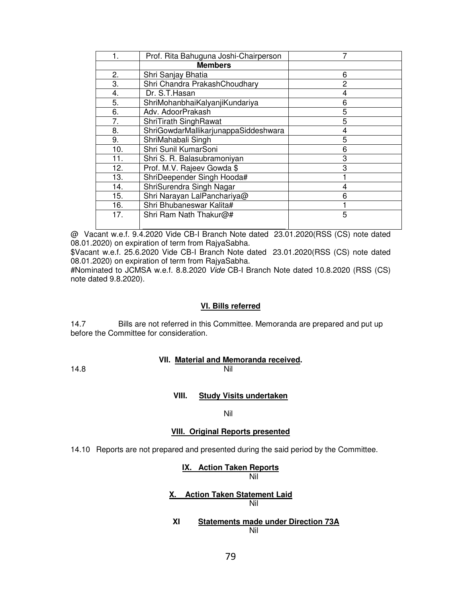|     | Prof. Rita Bahuguna Joshi-Chairperson |   |
|-----|---------------------------------------|---|
|     | <b>Members</b>                        |   |
| 2.  | Shri Sanjay Bhatia                    | 6 |
| 3.  | Shri Chandra PrakashChoudhary         | 2 |
| 4.  | Dr. S.T. Hasan                        |   |
| 5.  | ShriMohanbhaiKalyanjiKundariya        | 6 |
| 6.  | Adv. AdoorPrakash                     | 5 |
| 7.  | ShriTirath SinghRawat                 | 5 |
| 8.  | ShriGowdarMallikarjunappaSiddeshwara  | 4 |
| 9.  | ShriMahabali Singh                    | 5 |
| 10. | Shri Sunil KumarSoni                  | 6 |
| 11. | Shri S. R. Balasubramoniyan           | 3 |
| 12. | Prof. M.V. Rajeev Gowda \$            | 3 |
| 13. | ShriDeepender Singh Hooda#            |   |
| 14. | ShriSurendra Singh Nagar              |   |
| 15. | Shri Narayan LalPanchariya@           | 6 |
| 16. | Shri Bhubaneswar Kalita#              |   |
| 17. | Shri Ram Nath Thakur@#                | 5 |
|     |                                       |   |

@ Vacant w.e.f. 9.4.2020 Vide CB-I Branch Note dated 23.01.2020(RSS (CS) note dated 08.01.2020) on expiration of term from RajyaSabha.

\$Vacant w.e.f. 25.6.2020 Vide CB-I Branch Note dated 23.01.2020(RSS (CS) note dated 08.01.2020) on expiration of term from RajyaSabha.

#Nominated to JCMSA w.e.f. 8.8.2020 Vide CB-I Branch Note dated 10.8.2020 (RSS (CS) note dated 9.8.2020).

#### **VI. Bills referred**

14.7 Bills are not referred in this Committee. Memoranda are prepared and put up before the Committee for consideration.

# **VII. Material and Memoranda received.**

14.8 Nil

#### **VIII. Study Visits undertaken**

#### Nil

#### **VIII. Original Reports presented**

14.10 Reports are not prepared and presented during the said period by the Committee.

#### **IX. Action Taken Reports** ni a shekarar 1995) na matsayin na matsayin na matsayin na matsayin na matsayin na matsayin na matsayin na mats

#### **X. Action Taken Statement Laid** ni a shekarar 1995) na matsayin na matsayin na matsayin na matsayin na matsayin na matsayin na matsayin na mats

**XI Statements made under Direction 73A** ni na matsayin na katalog asl na katalog asl na katalog asl na katalog asl na katalog asl na katalog asl na ka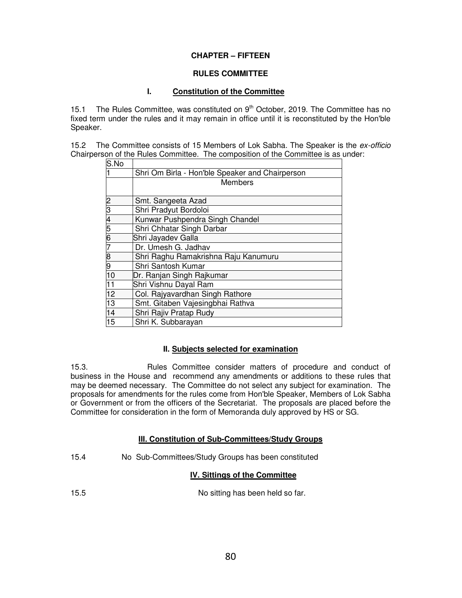## **CHAPTER – FIFTEEN**

#### **RULES COMMITTEE**

## **I. Constitution of the Committee**

15.1 The Rules Committee, was constituted on  $9<sup>th</sup>$  October, 2019. The Committee has no fixed term under the rules and it may remain in office until it is reconstituted by the Hon'ble Speaker.

15.2 The Committee consists of 15 Members of Lok Sabha. The Speaker is the ex-officio Chairperson of the Rules Committee. The composition of the Committee is as under:

| S.No            |                                                 |
|-----------------|-------------------------------------------------|
|                 | Shri Om Birla - Hon'ble Speaker and Chairperson |
|                 | <b>Members</b>                                  |
|                 | Smt. Sangeeta Azad                              |
| $\frac{2}{3}$   | Shri Pradyut Bordoloi                           |
|                 | Kunwar Pushpendra Singh Chandel                 |
| 456789          | Shri Chhatar Singh Darbar                       |
|                 | Shri Jayadev Galla                              |
|                 | Dr. Umesh G. Jadhav                             |
|                 | Shri Raghu Ramakrishna Raju Kanumuru            |
|                 | Shri Santosh Kumar                              |
| 10              | Dr. Ranjan Singh Rajkumar                       |
| $\overline{11}$ | Shri Vishnu Dayal Ram                           |
| 12              | Col. Rajyavardhan Singh Rathore                 |
| 13              | Smt. Gitaben Vajesingbhai Rathva                |
| $\overline{14}$ | Shri Rajiv Pratap Rudy                          |
| 15              | Shri K. Subbarayan                              |

#### **II. Subjects selected for examination**

15.3. Rules Committee consider matters of procedure and conduct of business in the House and recommend any amendments or additions to these rules that may be deemed necessary. The Committee do not select any subject for examination. The proposals for amendments for the rules come from Hon'ble Speaker, Members of Lok Sabha or Government or from the officers of the Secretariat. The proposals are placed before the Committee for consideration in the form of Memoranda duly approved by HS or SG.

#### **III. Constitution of Sub-Committees/Study Groups**

15.4 No Sub-Committees/Study Groups has been constituted

# **IV. Sittings of the Committee**

No sitting has been held so far.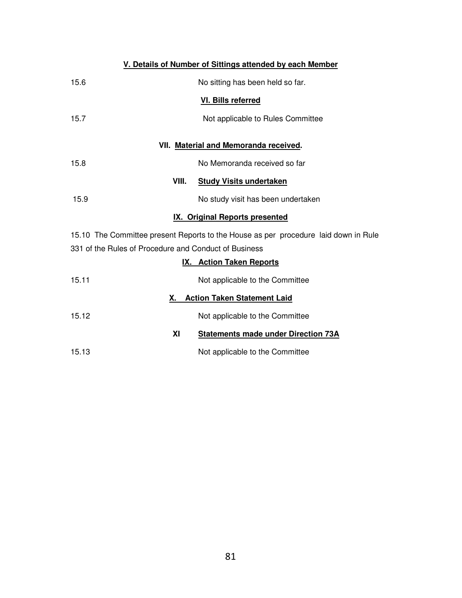|                                                       | V. Details of Number of Sittings attended by each Member                            |  |  |  |  |
|-------------------------------------------------------|-------------------------------------------------------------------------------------|--|--|--|--|
| 15.6<br>No sitting has been held so far.              |                                                                                     |  |  |  |  |
|                                                       | VI. Bills referred                                                                  |  |  |  |  |
| 15.7                                                  | Not applicable to Rules Committee                                                   |  |  |  |  |
|                                                       | VII. Material and Memoranda received.                                               |  |  |  |  |
| 15.8                                                  | No Memoranda received so far                                                        |  |  |  |  |
| VIII.                                                 | <b>Study Visits undertaken</b>                                                      |  |  |  |  |
| 15.9                                                  | No study visit has been undertaken                                                  |  |  |  |  |
|                                                       | <b>IX. Original Reports presented</b>                                               |  |  |  |  |
|                                                       | 15.10 The Committee present Reports to the House as per procedure laid down in Rule |  |  |  |  |
| 331 of the Rules of Procedure and Conduct of Business |                                                                                     |  |  |  |  |
| IX.                                                   | <b>Action Taken Reports</b>                                                         |  |  |  |  |
| 15.11                                                 | Not applicable to the Committee                                                     |  |  |  |  |
| Х.                                                    | <b>Action Taken Statement Laid</b>                                                  |  |  |  |  |
| 15.12                                                 | Not applicable to the Committee                                                     |  |  |  |  |
| XI                                                    | <b>Statements made under Direction 73A</b>                                          |  |  |  |  |
| 15.13                                                 | Not applicable to the Committee                                                     |  |  |  |  |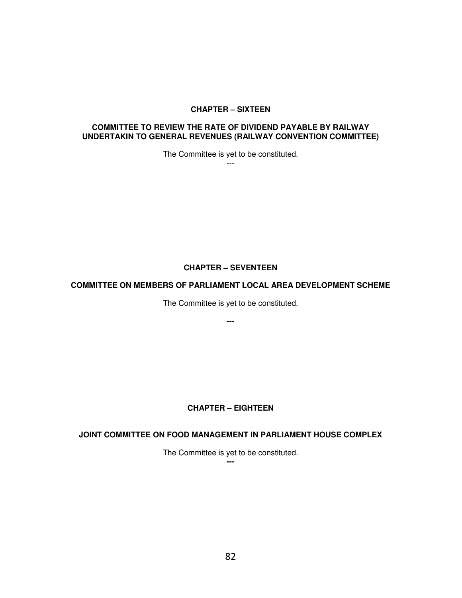#### **CHAPTER – SIXTEEN**

#### **COMMITTEE TO REVIEW THE RATE OF DIVIDEND PAYABLE BY RAILWAY UNDERTAKIN TO GENERAL REVENUES (RAILWAY CONVENTION COMMITTEE)**

The Committee is yet to be constituted.

---

## **CHAPTER – SEVENTEEN**

#### **COMMITTEE ON MEMBERS OF PARLIAMENT LOCAL AREA DEVELOPMENT SCHEME**

The Committee is yet to be constituted.

**---** 

# **CHAPTER – EIGHTEEN**

## **JOINT COMMITTEE ON FOOD MANAGEMENT IN PARLIAMENT HOUSE COMPLEX**

The Committee is yet to be constituted.

**---**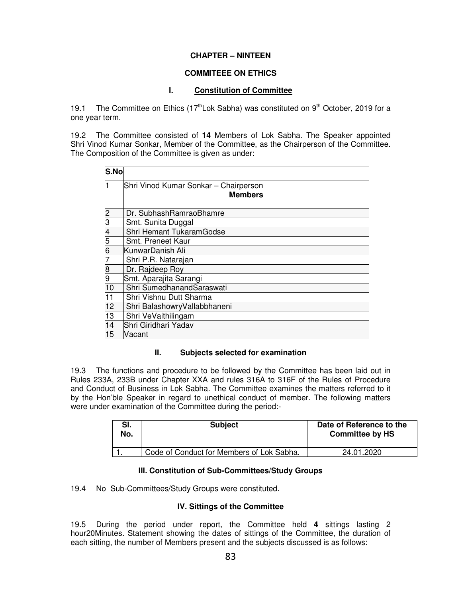## **CHAPTER – NINTEEN**

## **COMMITEEE ON ETHICS**

## **I. Constitution of Committee**

19.1 The Committee on Ethics  $(17<sup>th</sup> Lok Sabha)$  was constituted on  $9<sup>th</sup> October, 2019$  for a one year term.

19.2 The Committee consisted of **14** Members of Lok Sabha. The Speaker appointed Shri Vinod Kumar Sonkar, Member of the Committee, as the Chairperson of the Committee. The Composition of the Committee is given as under:

| S.No |                                       |  |  |
|------|---------------------------------------|--|--|
|      | Shri Vinod Kumar Sonkar - Chairperson |  |  |
|      | <b>Members</b>                        |  |  |
| 2    | Dr. SubhashRamraoBhamre               |  |  |
| 3    | Smt. Sunita Duggal                    |  |  |
| 4    | Shri Hemant TukaramGodse              |  |  |
| 5    | Smt. Preneet Kaur                     |  |  |
| 6    | ƘunwarDanish Ali                      |  |  |
|      | Shri P.R. Natarajan                   |  |  |
| 8    | Dr. Rajdeep Roy                       |  |  |
| 9    | Smt. Aparajita Sarangi                |  |  |
| 10   | Shri SumedhanandSaraswati             |  |  |
| 11   | Shri Vishnu Dutt Sharma               |  |  |
| 12   | Shri BalashowryVallabbhaneni          |  |  |
| 13   | Shri VeVaithilingam                   |  |  |
| 14   | Shri Giridhari Yadav                  |  |  |
| 15   | Vacant                                |  |  |

#### **II. Subjects selected for examination**

19.3 The functions and procedure to be followed by the Committee has been laid out in Rules 233A, 233B under Chapter XXA and rules 316A to 316F of the Rules of Procedure and Conduct of Business in Lok Sabha. The Committee examines the matters referred to it by the Hon'ble Speaker in regard to unethical conduct of member. The following matters were under examination of the Committee during the period:-

| SI.<br>No. | <b>Subject</b>                            | Date of Reference to the<br><b>Committee by HS</b> |
|------------|-------------------------------------------|----------------------------------------------------|
|            | Code of Conduct for Members of Lok Sabha. | 24.01.2020                                         |

# **III. Constitution of Sub-Committees/Study Groups**

19.4 No Sub-Committees/Study Groups were constituted.

## **IV. Sittings of the Committee**

19.5 During the period under report, the Committee held **4** sittings lasting 2 hour20Minutes. Statement showing the dates of sittings of the Committee, the duration of each sitting, the number of Members present and the subjects discussed is as follows: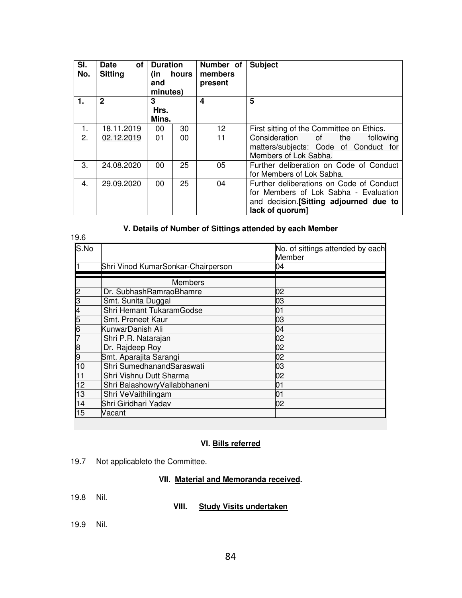| SI.<br>No. | οf<br><b>Date</b><br><b>Sitting</b> | <b>Duration</b><br>hours<br>(in<br>and<br>minutes) |    | Number of<br>members<br>present | <b>Subject</b>                                                                                                                                  |  |
|------------|-------------------------------------|----------------------------------------------------|----|---------------------------------|-------------------------------------------------------------------------------------------------------------------------------------------------|--|
| 1.         | $\mathbf{2}$                        | 3<br>Hrs.<br>Mins.                                 |    | 4                               | 5                                                                                                                                               |  |
| 1.         | 18.11.2019                          | 00                                                 | 30 | 12                              | First sitting of the Committee on Ethics.                                                                                                       |  |
| 2.         | 02.12.2019                          | 01                                                 | 00 | 11                              | Consideration of<br>the<br>following<br>matters/subjects: Code of Conduct for<br>Members of Lok Sabha.                                          |  |
| 3.         | 24.08.2020                          | 00                                                 | 25 | 05                              | Further deliberation on Code of Conduct<br>for Members of Lok Sabha.                                                                            |  |
| 4.         | 29.09.2020                          | 00                                                 | 25 | 04                              | Further deliberations on Code of Conduct<br>for Members of Lok Sabha - Evaluation<br>and decision. [Sitting adjourned due to<br>lack of quorum] |  |

# **V. Details of Number of Sittings attended by each Member**

| 19.6 |                                    |                                            |
|------|------------------------------------|--------------------------------------------|
| S.No |                                    | No. of sittings attended by each<br>Member |
|      | Shri Vinod KumarSonkar-Chairperson | 04                                         |
|      | <b>Members</b>                     |                                            |
|      | Dr. SubhashRamraoBhamre            | 02                                         |
|      | Smt. Sunita Duggal                 | 03                                         |
|      | Shri Hemant TukaramGodse           | 01                                         |
| 5    | Smt. Preneet Kaur                  | 03                                         |
|      | KunwarDanish Ali                   | 04                                         |
|      | Shri P.R. Natarajan                | 02                                         |
| 8    | Dr. Rajdeep Roy                    | 02                                         |
| 9    | Smt. Aparajita Sarangi             | 02                                         |
| 10   | Shri SumedhanandSaraswati          | 03                                         |
| 11   | Shri Vishnu Dutt Sharma            | 02                                         |
| 12   | Shri BalashowryVallabbhaneni       | 01                                         |
| 13   | Shri VeVaithilingam                | 01                                         |
| 14   | Shri Giridhari Yadav               | 02                                         |
| 15   | Vacant                             |                                            |

# **VI. Bills referred**

19.7 Not applicableto the Committee.

# **VII. Material and Memoranda received.**

19.8 Nil.

## **VIII. Study Visits undertaken**

19.9 Nil.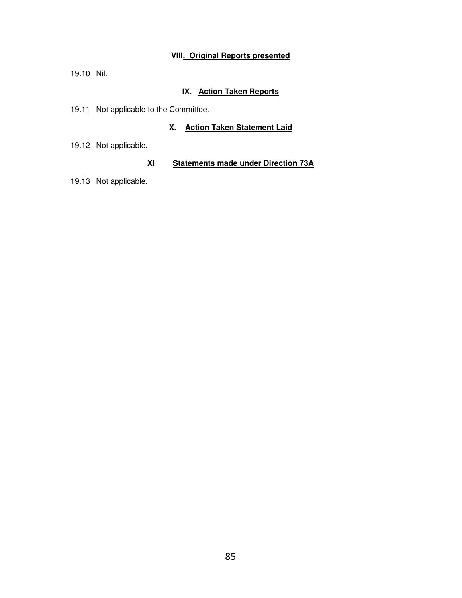# **VIII. Original Reports presented**

19.10 Nil.

# **IX. Action Taken Reports**

19.11 Not applicable to the Committee.

# **X. Action Taken Statement Laid**

19.12 Not applicable.

# **XI Statements made under Direction 73A**

19.13 Not applicable.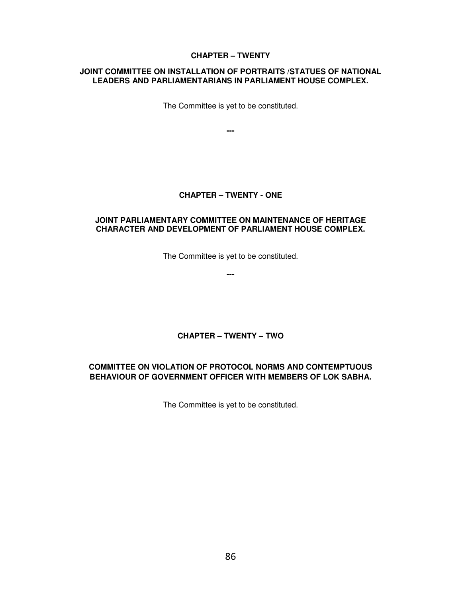## **CHAPTER – TWENTY**

#### **JOINT COMMITTEE ON INSTALLATION OF PORTRAITS /STATUES OF NATIONAL LEADERS AND PARLIAMENTARIANS IN PARLIAMENT HOUSE COMPLEX.**

The Committee is yet to be constituted.

**---** 

## **CHAPTER – TWENTY - ONE**

#### **JOINT PARLIAMENTARY COMMITTEE ON MAINTENANCE OF HERITAGE CHARACTER AND DEVELOPMENT OF PARLIAMENT HOUSE COMPLEX.**

The Committee is yet to be constituted.

**---** 

# **CHAPTER – TWENTY – TWO**

# **COMMITTEE ON VIOLATION OF PROTOCOL NORMS AND CONTEMPTUOUS BEHAVIOUR OF GOVERNMENT OFFICER WITH MEMBERS OF LOK SABHA.**

The Committee is yet to be constituted.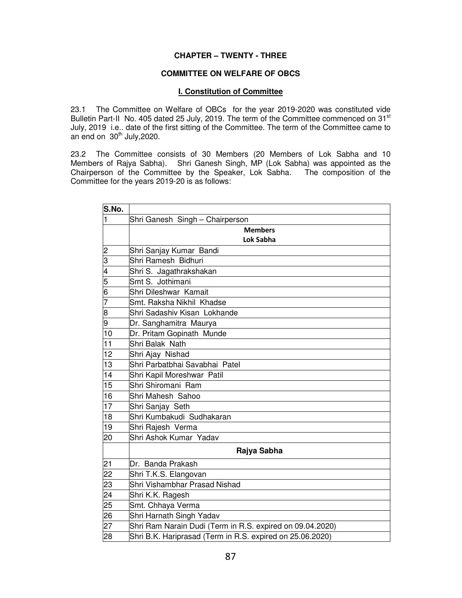#### **CHAPTER – TWENTY - THREE**

#### **COMMITTEE ON WELFARE OF OBCS**

#### **I. Constitution of Committee**

23.1 The Committee on Welfare of OBCs for the year 2019-2020 was constituted vide Bulletin Part-II No. 405 dated 25 July, 2019. The term of the Committee commenced on 31<sup>st</sup> July, 2019 i.e.. date of the first sitting of the Committee. The term of the Committee came to an end on  $30<sup>th</sup>$  July, 2020.

23.2 The Committee consists of 30 Members (20 Members of Lok Sabha and 10 Members of Rajya Sabha). Shri Ganesh Singh, MP (Lok Sabha) was appointed as the Chairperson of the Committee by the Speaker, Lok Sabha. The composition of the Committee for the years 2019-20 is as follows:

| S.No.                                     |                                                           |  |  |
|-------------------------------------------|-----------------------------------------------------------|--|--|
| $\mathbf{1}$                              | Shri Ganesh Singh - Chairperson                           |  |  |
|                                           | <b>Members</b>                                            |  |  |
|                                           | <b>Lok Sabha</b>                                          |  |  |
| $\overline{2}$                            | Shri Sanjay Kumar Bandi                                   |  |  |
|                                           | Shri Ramesh Bidhuri                                       |  |  |
| $\frac{3}{4}$ $\frac{4}{5}$ $\frac{1}{6}$ | Shri S. Jagathrakshakan                                   |  |  |
|                                           | Smt S. Jothimani                                          |  |  |
|                                           | Shri Dileshwar Kamait                                     |  |  |
| 7                                         | Smt. Raksha Nikhil Khadse                                 |  |  |
| $\frac{8}{9}$                             | Shri Sadashiv Kisan Lokhande                              |  |  |
|                                           | Dr. Sanghamitra Maurya                                    |  |  |
| 10                                        | Dr. Pritam Gopinath Munde                                 |  |  |
| 11                                        | Shri Balak Nath                                           |  |  |
| 12                                        | Shri Ajay Nishad                                          |  |  |
| 13                                        | Shri Parbatbhai Savabhai Patel                            |  |  |
| 14                                        | Shri Kapil Moreshwar Patil                                |  |  |
| 15                                        | Shri Shiromani Ram                                        |  |  |
| 16                                        | Shri Mahesh Sahoo                                         |  |  |
| 17                                        | Shri Sanjay Seth                                          |  |  |
| 18                                        | Shri Kumbakudi Sudhakaran                                 |  |  |
| 19                                        | Shri Rajesh Verma                                         |  |  |
| 20                                        | Shri Ashok Kumar Yadav                                    |  |  |
|                                           | Rajya Sabha                                               |  |  |
| 21                                        | Dr. Banda Prakash                                         |  |  |
| 22                                        | Shri T.K.S. Elangovan                                     |  |  |
| 23                                        | Shri Vishambhar Prasad Nishad                             |  |  |
| 24                                        | Shri K.K. Ragesh                                          |  |  |
| 25                                        | Smt. Chhaya Verma                                         |  |  |
| $\overline{26}$                           | Shri Harnath Singh Yadav                                  |  |  |
| 27                                        | Shri Ram Narain Dudi (Term in R.S. expired on 09.04.2020) |  |  |
| 28                                        | Shri B.K. Hariprasad (Term in R.S. expired on 25.06.2020) |  |  |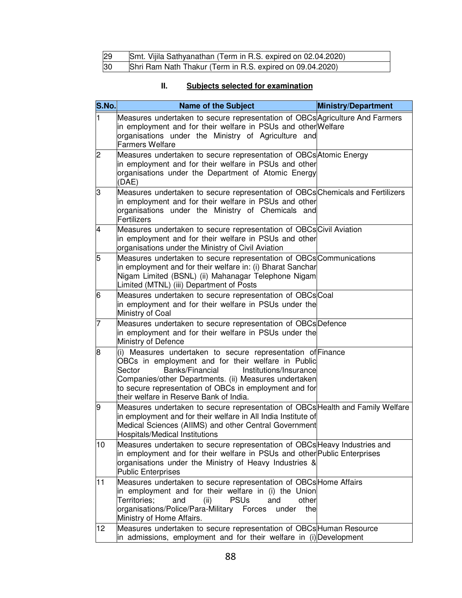| 29 | Smt. Vijila Sathyanathan (Term in R.S. expired on 02.04.2020) |
|----|---------------------------------------------------------------|
| 30 | Shri Ram Nath Thakur (Term in R.S. expired on 09.04.2020)     |

# **II. Subjects selected for examination**

| S.No.                    | <b>Name of the Subject</b>                                                                                                                                                                                                                                                                                                             | <b>Ministry/Department</b> |  |
|--------------------------|----------------------------------------------------------------------------------------------------------------------------------------------------------------------------------------------------------------------------------------------------------------------------------------------------------------------------------------|----------------------------|--|
| $\mathbf{1}$             | Measures undertaken to secure representation of OBCs Agriculture And Farmers<br>in employment and for their welfare in PSUs and other Welfare<br>organisations under the Ministry of Agriculture and<br><b>Farmers Welfare</b>                                                                                                         |                            |  |
| $\overline{c}$           | Measures undertaken to secure representation of OBCs Atomic Energy<br>in employment and for their welfare in PSUs and other<br>organisations under the Department of Atomic Energy<br>(DAE)                                                                                                                                            |                            |  |
| lЗ                       | Measures undertaken to secure representation of OBCs Chemicals and Fertilizers<br>in employment and for their welfare in PSUs and other<br>organisations under the Ministry of Chemicals and<br>Fertilizers                                                                                                                            |                            |  |
| $\overline{\mathcal{A}}$ | Measures undertaken to secure representation of OBCs Civil Aviation<br>in employment and for their welfare in PSUs and other<br>organisations under the Ministry of Civil Aviation                                                                                                                                                     |                            |  |
| 5                        | Measures undertaken to secure representation of OBCs Communications<br>in employment and for their welfare in: (i) Bharat Sanchar<br>Nigam Limited (BSNL) (ii) Mahanagar Telephone Nigam<br>Limited (MTNL) (iii) Department of Posts                                                                                                   |                            |  |
| 6                        | Measures undertaken to secure representation of OBCsCoal<br>in employment and for their welfare in PSUs under the<br>Ministry of Coal                                                                                                                                                                                                  |                            |  |
| $\overline{7}$           | Measures undertaken to secure representation of OBCs Defence<br>in employment and for their welfare in PSUs under the<br>Ministry of Defence                                                                                                                                                                                           |                            |  |
| 8                        | (i) Measures undertaken to secure representation of Finance<br>OBCs in employment and for their welfare in Public<br>Banks/Financial<br>Institutions/Insurance<br>Sector<br>Companies/other Departments. (ii) Measures undertaken<br>to secure representation of OBCs in employment and for<br>their welfare in Reserve Bank of India. |                            |  |
| 9                        | Measures undertaken to secure representation of OBCs Health and Family Welfare<br>in employment and for their welfare in All India Institute of<br>Medical Sciences (AIIMS) and other Central Government<br>Hospitals/Medical Institutions                                                                                             |                            |  |
| 10                       | Measures undertaken to secure representation of OBCs Heavy Industries and<br>in employment and for their welfare in PSUs and other Public Enterprises<br>organisations under the Ministry of Heavy Industries &<br><b>Public Enterprises</b>                                                                                           |                            |  |
| 11                       | Measures undertaken to secure representation of OBCs Home Affairs<br>in employment and for their welfare in (i) the Union<br>Territories;<br><b>PSUs</b><br>and<br>(ii)<br>and<br>other<br>organisations/Police/Para-Military Forces<br>the<br>under<br>Ministry of Home Affairs.                                                      |                            |  |
| 12                       | Measures undertaken to secure representation of OBCs Human Resource<br>in admissions, employment and for their welfare in (i) Development                                                                                                                                                                                              |                            |  |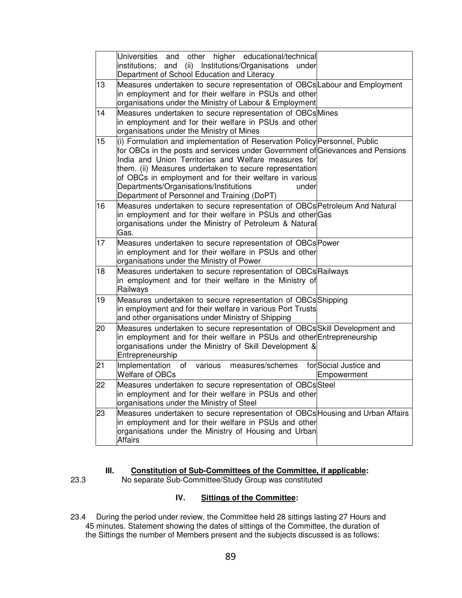| <b>Universities</b><br>other<br>and<br>institutions;<br>Department of School Education and Literacy                                                    |                                                                                                                                                                                                                                                                                                                                                                                                                                                                                                                                                                                                                                                                                                                                                                                                                                                                                                                                                                                                                                                                                                                                                                                                                                                                                                                                                                                                                                                                                                                                                                                                                                                                                                                                                                |
|--------------------------------------------------------------------------------------------------------------------------------------------------------|----------------------------------------------------------------------------------------------------------------------------------------------------------------------------------------------------------------------------------------------------------------------------------------------------------------------------------------------------------------------------------------------------------------------------------------------------------------------------------------------------------------------------------------------------------------------------------------------------------------------------------------------------------------------------------------------------------------------------------------------------------------------------------------------------------------------------------------------------------------------------------------------------------------------------------------------------------------------------------------------------------------------------------------------------------------------------------------------------------------------------------------------------------------------------------------------------------------------------------------------------------------------------------------------------------------------------------------------------------------------------------------------------------------------------------------------------------------------------------------------------------------------------------------------------------------------------------------------------------------------------------------------------------------------------------------------------------------------------------------------------------------|
|                                                                                                                                                        |                                                                                                                                                                                                                                                                                                                                                                                                                                                                                                                                                                                                                                                                                                                                                                                                                                                                                                                                                                                                                                                                                                                                                                                                                                                                                                                                                                                                                                                                                                                                                                                                                                                                                                                                                                |
| organisations under the Ministry of Mines                                                                                                              |                                                                                                                                                                                                                                                                                                                                                                                                                                                                                                                                                                                                                                                                                                                                                                                                                                                                                                                                                                                                                                                                                                                                                                                                                                                                                                                                                                                                                                                                                                                                                                                                                                                                                                                                                                |
| India and Union Territories and Welfare measures for<br>Departments/Organisations/Institutions<br>under<br>Department of Personnel and Training (DoPT) |                                                                                                                                                                                                                                                                                                                                                                                                                                                                                                                                                                                                                                                                                                                                                                                                                                                                                                                                                                                                                                                                                                                                                                                                                                                                                                                                                                                                                                                                                                                                                                                                                                                                                                                                                                |
| Gas.                                                                                                                                                   |                                                                                                                                                                                                                                                                                                                                                                                                                                                                                                                                                                                                                                                                                                                                                                                                                                                                                                                                                                                                                                                                                                                                                                                                                                                                                                                                                                                                                                                                                                                                                                                                                                                                                                                                                                |
| organisations under the Ministry of Power                                                                                                              |                                                                                                                                                                                                                                                                                                                                                                                                                                                                                                                                                                                                                                                                                                                                                                                                                                                                                                                                                                                                                                                                                                                                                                                                                                                                                                                                                                                                                                                                                                                                                                                                                                                                                                                                                                |
| Railways                                                                                                                                               |                                                                                                                                                                                                                                                                                                                                                                                                                                                                                                                                                                                                                                                                                                                                                                                                                                                                                                                                                                                                                                                                                                                                                                                                                                                                                                                                                                                                                                                                                                                                                                                                                                                                                                                                                                |
| and other organisations under Ministry of Shipping                                                                                                     |                                                                                                                                                                                                                                                                                                                                                                                                                                                                                                                                                                                                                                                                                                                                                                                                                                                                                                                                                                                                                                                                                                                                                                                                                                                                                                                                                                                                                                                                                                                                                                                                                                                                                                                                                                |
| organisations under the Ministry of Skill Development &<br>Entrepreneurship                                                                            |                                                                                                                                                                                                                                                                                                                                                                                                                                                                                                                                                                                                                                                                                                                                                                                                                                                                                                                                                                                                                                                                                                                                                                                                                                                                                                                                                                                                                                                                                                                                                                                                                                                                                                                                                                |
| Implementation of<br>various<br>measures/schemes<br><b>Welfare of OBCs</b>                                                                             | for Social Justice and<br>Empowerment                                                                                                                                                                                                                                                                                                                                                                                                                                                                                                                                                                                                                                                                                                                                                                                                                                                                                                                                                                                                                                                                                                                                                                                                                                                                                                                                                                                                                                                                                                                                                                                                                                                                                                                          |
| organisations under the Ministry of Steel                                                                                                              |                                                                                                                                                                                                                                                                                                                                                                                                                                                                                                                                                                                                                                                                                                                                                                                                                                                                                                                                                                                                                                                                                                                                                                                                                                                                                                                                                                                                                                                                                                                                                                                                                                                                                                                                                                |
| <b>Affairs</b>                                                                                                                                         |                                                                                                                                                                                                                                                                                                                                                                                                                                                                                                                                                                                                                                                                                                                                                                                                                                                                                                                                                                                                                                                                                                                                                                                                                                                                                                                                                                                                                                                                                                                                                                                                                                                                                                                                                                |
|                                                                                                                                                        | higher educational/technical<br>and (ii) Institutions/Organisations under<br>Measures undertaken to secure representation of OBCsLabour and Employment<br>in employment and for their welfare in PSUs and other<br>organisations under the Ministry of Labour & Employment<br>Measures undertaken to secure representation of OBCs Mines<br>in employment and for their welfare in PSUs and other<br>(i) Formulation and implementation of Reservation Policy Personnel, Public<br>for OBCs in the posts and services under Government of Grievances and Pensions<br>them. (ii) Measures undertaken to secure representation<br>of OBCs in employment and for their welfare in various<br>Measures undertaken to secure representation of OBCs Petroleum And Natural<br>in employment and for their welfare in PSUs and otherGas<br>organisations under the Ministry of Petroleum & Natural<br>Measures undertaken to secure representation of OBCs Power<br>in employment and for their welfare in PSUs and other<br>Measures undertaken to secure representation of OBCs Railways<br>in employment and for their welfare in the Ministry of<br>Measures undertaken to secure representation of OBCs Shipping<br>in employment and for their welfare in various Port Trusts<br>Measures undertaken to secure representation of OBCs Skill Development and<br>in employment and for their welfare in PSUs and other Entrepreneurship<br>Measures undertaken to secure representation of OBCsSteel<br>in employment and for their welfare in PSUs and other<br>Measures undertaken to secure representation of OBCs Housing and Urban Affairs<br>in employment and for their welfare in PSUs and other<br>organisations under the Ministry of Housing and Urban |

#### **III. Constitution of Sub-Committees of the Committee, if applicable:**

#### 23.3 No separate Sub-Committee/Study Group was constituted

# **IV. Sittings of the Committee:**

23.4 During the period under review, the Committee held 28 sittings lasting 27 Hours and 45 minutes. Statement showing the dates of sittings of the Committee, the duration of the Sittings the number of Members present and the subjects discussed is as follows: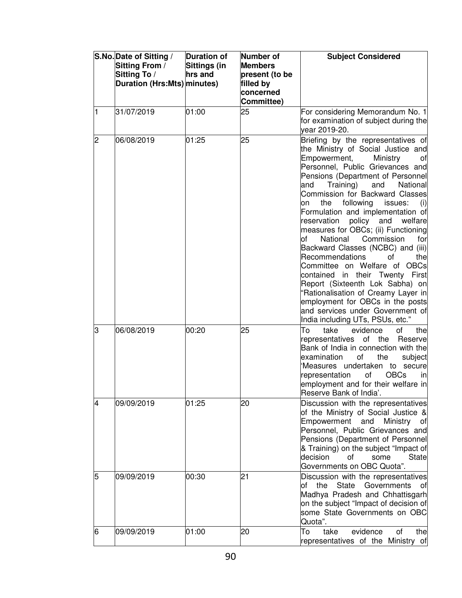|   | S.No. Date of Sitting /<br>Sitting From /<br>Sitting To /<br>Duration (Hrs:Mts) minutes) | <b>Duration of</b><br><b>Sittings (in</b><br>hrs and | Number of<br><b>Members</b><br>present (to be<br>filled by<br>concerned<br>Committee) | <b>Subject Considered</b>                                                                                                                                                                                                                                                                                                                                                                                                                                                                                                                                                                                                                                                                                                                                                                          |
|---|------------------------------------------------------------------------------------------|------------------------------------------------------|---------------------------------------------------------------------------------------|----------------------------------------------------------------------------------------------------------------------------------------------------------------------------------------------------------------------------------------------------------------------------------------------------------------------------------------------------------------------------------------------------------------------------------------------------------------------------------------------------------------------------------------------------------------------------------------------------------------------------------------------------------------------------------------------------------------------------------------------------------------------------------------------------|
| 1 | 31/07/2019                                                                               | 01:00                                                | 25                                                                                    | For considering Memorandum No. 1<br>for examination of subject during the<br>vear 2019-20.                                                                                                                                                                                                                                                                                                                                                                                                                                                                                                                                                                                                                                                                                                         |
| 2 | 06/08/2019                                                                               | 01:25                                                | 25                                                                                    | Briefing by the representatives of<br>the Ministry of Social Justice and<br>Empowerment,<br>Ministry<br>οf<br>Personnel, Public Grievances and<br>Pensions (Department of Personnel<br>Training)<br>and<br>and<br>National<br>Commission for Backward Classes<br>following<br>the<br>issues:<br>on<br>(i)<br>Formulation and implementation of<br>policy and<br>reservation<br>welfare<br>measures for OBCs; (ii) Functioning<br>of<br>National<br>Commission<br>for<br>Backward Classes (NCBC) and (iii)<br>Recommendations<br>οf<br>the<br>Committee on Welfare of OBCs<br>contained in their Twenty First<br>Report (Sixteenth Lok Sabha) on<br>'Rationalisation of Creamy Layer in<br>employment for OBCs in the posts<br>and services under Government of<br>India including UTs, PSUs, etc." |
| 3 | 06/08/2019                                                                               | 00:20                                                | 25                                                                                    | To<br>of<br>take<br>evidence<br>the<br>representatives of the<br>Reserve<br>Bank of India in connection with the<br>of<br>the<br>examination<br>subject<br>Measures undertaken to secure<br>of<br><b>OBCs</b><br>representation<br>in<br>employment and for their welfare in<br>Reserve Bank of India'.                                                                                                                                                                                                                                                                                                                                                                                                                                                                                            |
| 4 | 09/09/2019                                                                               | 01:25                                                | 20                                                                                    | Discussion with the representatives<br>of the Ministry of Social Justice &<br>Empowerment<br>and<br>Ministry<br>of<br>Personnel, Public Grievances and<br>Pensions (Department of Personnel<br>& Training) on the subject "Impact of<br>decision<br>of<br>some<br>State<br>Governments on OBC Quota".                                                                                                                                                                                                                                                                                                                                                                                                                                                                                              |
| 5 | 09/09/2019                                                                               | 00:30                                                | 21                                                                                    | Discussion with the representatives<br><b>State</b><br>Governments<br>the<br>ot<br>Οt<br>Madhya Pradesh and Chhattisgarh<br>on the subject "Impact of decision of<br>some State Governments on OBC<br>Quota".                                                                                                                                                                                                                                                                                                                                                                                                                                                                                                                                                                                      |
| 6 | 09/09/2019                                                                               | 01:00                                                | 20                                                                                    | take<br>evidence<br>the<br>To<br>οf<br>representatives of the Ministry of                                                                                                                                                                                                                                                                                                                                                                                                                                                                                                                                                                                                                                                                                                                          |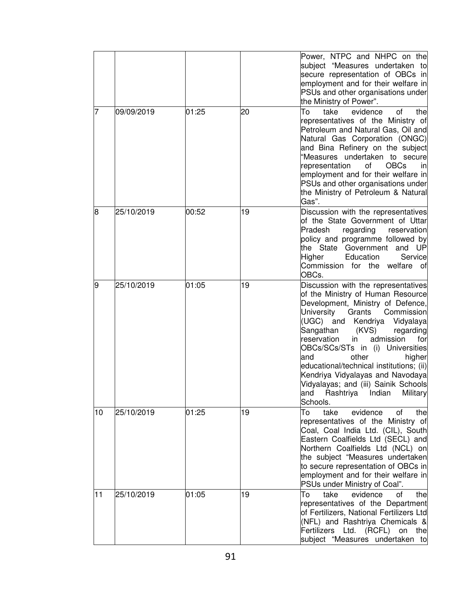|    |            |       |    | Power, NTPC and NHPC on the<br>subject "Measures undertaken to<br>secure representation of OBCs in<br>employment and for their welfare in<br>PSUs and other organisations under<br>the Ministry of Power".                                                                                                                                                                                                                                                                                                         |
|----|------------|-------|----|--------------------------------------------------------------------------------------------------------------------------------------------------------------------------------------------------------------------------------------------------------------------------------------------------------------------------------------------------------------------------------------------------------------------------------------------------------------------------------------------------------------------|
| 7  | 09/09/2019 | 01:25 | 20 | To<br>take<br>evidence<br>οf<br>the<br>representatives of the Ministry of<br>Petroleum and Natural Gas, Oil and<br>Natural Gas Corporation (ONGC)<br>and Bina Refinery on the subject<br>"Measures undertaken to secure<br><b>OBCs</b><br>representation<br>of<br>in<br>employment and for their welfare in<br>PSUs and other organisations under<br>the Ministry of Petroleum & Natural<br>Gas".                                                                                                                  |
| 8  | 25/10/2019 | 00:52 | 19 | Discussion with the representatives<br>of the State Government of Uttar<br>Pradesh<br>regarding<br>reservation<br>policy and programme followed by<br>the State Government and UP<br>Higher<br>Education<br>Service<br>Commission for the welfare of<br>OBCs.                                                                                                                                                                                                                                                      |
| 9  | 25/10/2019 | 01:05 | 19 | Discussion with the representatives<br>of the Ministry of Human Resource<br>Development, Ministry of Defence,<br><b>University</b><br>Grants<br>Commission<br>(UGC) and Kendriya<br>Vidyalaya<br>Sangathan<br>(KVS)<br>regarding<br>reservation<br>admission<br>in<br>for<br>OBCs/SCs/STs in (i) Universities<br>and<br>other<br>higher<br>educational/technical institutions; (ii)<br>Kendriya Vidyalayas and Navodaya<br>Vidyalayas; and (iii) Sainik Schools<br>Rashtriya Indian<br>Military<br>and<br>Schools. |
| 10 | 25/10/2019 | 01:25 | 19 | evidence<br>To<br>take<br>of<br>the<br>representatives of the Ministry of<br>Coal, Coal India Ltd. (CIL), South<br>Eastern Coalfields Ltd (SECL) and<br>Northern Coalfields Ltd (NCL) on<br>the subject "Measures undertaken<br>to secure representation of OBCs in<br>employment and for their welfare in<br>PSUs under Ministry of Coal".                                                                                                                                                                        |
| 11 | 25/10/2019 | 01:05 | 19 | take<br>evidence<br>To<br>the<br>οf<br>representatives of the Department<br>of Fertilizers, National Fertilizers Ltd<br>(NFL) and Rashtriya Chemicals &<br>Fertilizers Ltd. (RCFL) on the<br>subject "Measures undertaken to                                                                                                                                                                                                                                                                                       |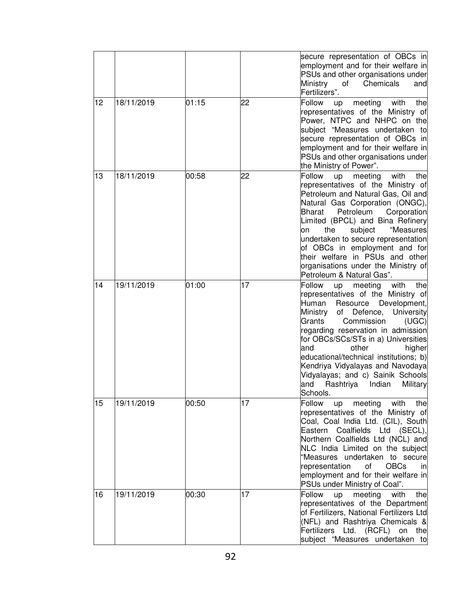|    |            |       |    | secure representation of OBCs in<br>employment and for their welfare in<br>PSUs and other organisations under<br>Ministry<br>Chemicals<br>of<br>and<br>Fertilizers".                                                                                                                                                                                                                                                                                                        |
|----|------------|-------|----|-----------------------------------------------------------------------------------------------------------------------------------------------------------------------------------------------------------------------------------------------------------------------------------------------------------------------------------------------------------------------------------------------------------------------------------------------------------------------------|
| 12 | 18/11/2019 | 01:15 | 22 | Follow<br>meeting<br>with<br>the<br>up<br>representatives of the Ministry of<br>Power, NTPC and NHPC on the<br>subject "Measures undertaken to<br>secure representation of OBCs in<br>employment and for their welfare in<br>PSUs and other organisations under<br>the Ministry of Power".                                                                                                                                                                                  |
| 13 | 18/11/2019 | 00:58 | 22 | Follow<br>with<br>up<br>meeting<br>the<br>representatives of the Ministry of<br>Petroleum and Natural Gas, Oil and<br>Natural Gas Corporation (ONGC),<br>Bharat<br>Petroleum<br>Corporation<br>Limited (BPCL) and Bina Refinery<br>"Measures<br>the<br>subject<br>on<br>undertaken to secure representation<br>of OBCs in employment and for<br>their welfare in PSUs and other<br>organisations under the Ministry of<br>Petroleum & Natural Gas".                         |
| 14 | 19/11/2019 | 01:00 | 17 | Follow<br>with<br>meeting<br>the<br>up<br>representatives of the Ministry of<br>Development,<br>Human<br>Resource<br>Ministry<br>of Defence,<br>University<br>Grants<br>Commission<br>(UGC)<br>regarding reservation in admission<br>for OBCs/SCs/STs in a) Universities<br>and<br>other<br>higher<br>educational/technical institutions; b)<br>Kendriya Vidyalayas and Navodaya<br>Vidyalayas; and c) Sainik Schools<br>and<br>Rashtriya<br>Indian<br>Military<br>Schools. |
| 15 | 19/11/2019 | 00:50 | 17 | Follow<br>meeting<br>with<br>the<br>up<br>representatives of the Ministry of<br>Coal, Coal India Ltd. (CIL), South<br>Eastern Coalfields Ltd (SECL),<br>Northern Coalfields Ltd (NCL) and<br>NLC India Limited on the subject<br>"Measures undertaken to secure<br><b>OBCs</b><br>representation<br>of<br><sub>in</sub><br>employment and for their welfare in<br>PSUs under Ministry of Coal".                                                                             |
| 16 | 19/11/2019 | 00:30 | 17 | Follow<br>meeting<br>with<br>up<br>the<br>representatives of the Department<br>of Fertilizers, National Fertilizers Ltd<br>(NFL) and Rashtriya Chemicals &<br>Fertilizers Ltd. (RCFL) on the<br>subject "Measures undertaken to                                                                                                                                                                                                                                             |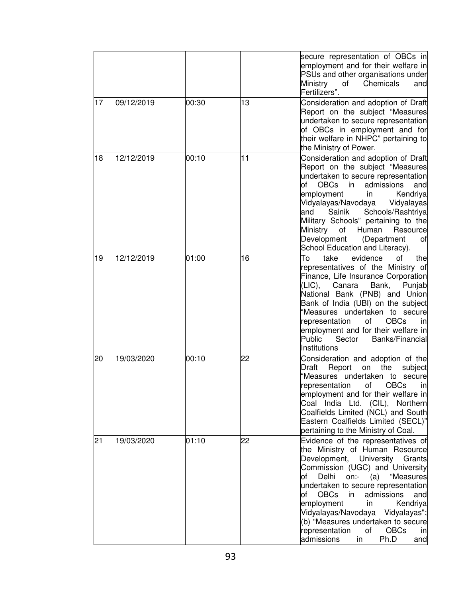|    |            |       |    | secure representation of OBCs in<br>employment and for their welfare in<br>PSUs and other organisations under<br>Ministry<br>of<br>Chemicals<br>and<br>Fertilizers".                                                                                                                                                                                                                                                                                                |
|----|------------|-------|----|---------------------------------------------------------------------------------------------------------------------------------------------------------------------------------------------------------------------------------------------------------------------------------------------------------------------------------------------------------------------------------------------------------------------------------------------------------------------|
| 17 | 09/12/2019 | 00:30 | 13 | Consideration and adoption of Draft<br>Report on the subject "Measures<br>undertaken to secure representation<br>of OBCs in employment and for<br>their welfare in NHPC" pertaining to<br>the Ministry of Power.                                                                                                                                                                                                                                                    |
| 18 | 12/12/2019 | 00:10 | 11 | Consideration and adoption of Draft<br>Report on the subject "Measures<br>undertaken to secure representation<br><b>of</b><br>admissions<br><b>OBCs</b><br>$\mathsf{in}$<br>and<br>Kendriya<br>employment<br>in<br>Vidyalayas/Navodaya<br>Vidyalayas<br>Sainik<br>Schools/Rashtriya<br>land<br>Military Schools" pertaining to the<br>Human<br>Ministry<br>of<br>Resource<br>Development<br>(Department<br>οf<br>School Education and Literacy).                    |
| 19 | 12/12/2019 | 01:00 | 16 | To<br>evidence<br>of<br>take<br>the<br>representatives of the Ministry of<br>Finance, Life Insurance Corporation<br>(LIC),<br>Bank,<br>Canara<br>Punjab<br>National Bank (PNB) and Union<br>Bank of India (UBI) on the subject<br>"Measures undertaken to secure<br><b>OBCs</b><br>representation<br>of<br>in<br>employment and for their welfare in<br>Public<br>Sector<br>Banks/Financial<br>Institutions                                                         |
| 20 | 19/03/2020 | 00:10 | 22 | Consideration and adoption of the<br>the<br>Draft<br>Report<br>subject<br>on<br>"Measures undertaken to secure<br><b>OBCs</b><br>οf<br>representation<br>in<br>employment and for their welfare in<br>Coal India Ltd. (CIL), Northern<br>Coalfields Limited (NCL) and South<br>Eastern Coalfields Limited (SECL)"<br>pertaining to the Ministry of Coal.                                                                                                            |
| 21 | 19/03/2020 | 01:10 | 22 | Evidence of the representatives of<br>the Ministry of Human Resource<br>Development, University Grants<br>Commission (UGC) and University<br>Delhi<br>on:-<br>(a) "Measures<br>lof<br>undertaken to secure representation<br>admissions<br><b>OBCs</b><br>in<br>and<br>of<br>employment<br>Kendriya<br>in<br>Vidyalayas/Navodaya Vidyalayas";<br>(b) "Measures undertaken to secure<br>of<br><b>OBCs</b><br>representation<br>in<br>in<br>Ph.D<br>admissions<br>and |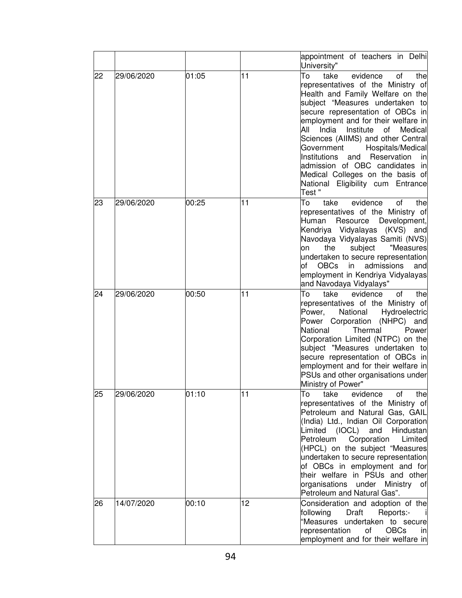|    |            |       |    | appointment of teachers in Delhi<br>University"                                                                                                                                                                                                                                                                                                                                                                                                                                                           |
|----|------------|-------|----|-----------------------------------------------------------------------------------------------------------------------------------------------------------------------------------------------------------------------------------------------------------------------------------------------------------------------------------------------------------------------------------------------------------------------------------------------------------------------------------------------------------|
| 22 | 29/06/2020 | 01:05 | 11 | To<br>evidence<br>take<br>οf<br>the<br>representatives of the Ministry of<br>Health and Family Welfare on the<br>subject "Measures undertaken to<br>secure representation of OBCs in<br>employment and for their welfare in<br>All<br>India Institute of<br>Medical<br>Sciences (AIIMS) and other Central<br>Hospitals/Medical<br>Government<br>Institutions<br>and Reservation<br>in<br>admission of OBC candidates in<br>Medical Colleges on the basis of<br>National Eligibility cum Entrance<br>Test" |
| 23 | 29/06/2020 | 00:25 | 11 | To<br>take<br>evidence<br>of<br>the<br>representatives of the Ministry of<br>Resource Development,<br>Human<br>Kendriya Vidyalayas (KVS) and<br>Navodaya Vidyalayas Samiti (NVS)<br>"Measures<br>subject<br>the<br>on<br>undertaken to secure representation<br><b>OBCs</b><br>in<br>of<br>admissions<br>and<br>employment in Kendriya Vidyalayas<br>and Navodaya Vidyalays"                                                                                                                              |
| 24 | 29/06/2020 | 00:50 | 11 | To<br>take<br>evidence<br>of<br>the<br>representatives of the Ministry of<br>Power,<br>National<br>Hydroelectric<br>Power Corporation (NHPC)<br>and<br>National<br>Thermal<br>Power<br>Corporation Limited (NTPC) on the<br>subject "Measures undertaken to<br>secure representation of OBCs in<br>employment and for their welfare in<br>PSUs and other organisations under<br>Ministry of Power"                                                                                                        |
| 25 | 29/06/2020 | 01:10 | 11 | take<br>evidence<br>of<br>the<br>To<br>representatives of the Ministry of<br>Petroleum and Natural Gas, GAIL<br>(India) Ltd., Indian Oil Corporation<br>Limited (IOCL) and<br>Hindustan<br>Petroleum<br>Corporation<br>Limited<br>(HPCL) on the subject "Measures<br>undertaken to secure representation<br>of OBCs in employment and for<br>their welfare in PSUs and other<br>organisations under Ministry of<br>Petroleum and Natural Gas".                                                            |
| 26 | 14/07/2020 | 00:10 | 12 | Consideration and adoption of the<br>Draft<br>Reports:-<br>following<br>"Measures undertaken to secure<br><b>OBCs</b><br>representation<br>of<br>inl<br>employment and for their welfare in                                                                                                                                                                                                                                                                                                               |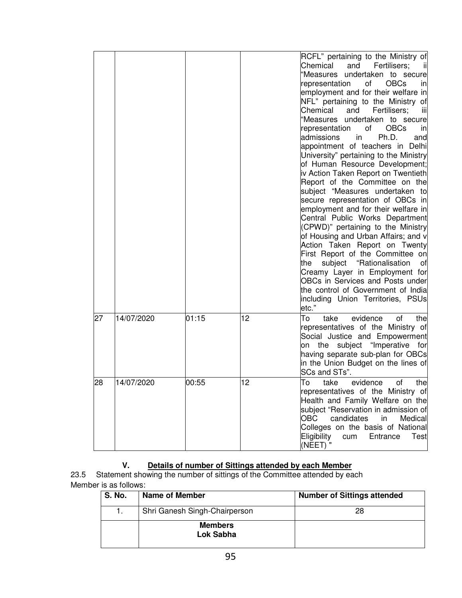|    |            |       |    | RCFL" pertaining to the Ministry of<br>Chemical<br>and<br>Fertilisers:<br>"Measures<br>undertaken to secure<br>οf<br><b>OBCs</b><br>representation<br>in<br>employment and for their welfare in<br>NFL" pertaining to the Ministry of<br>Chemical<br>and<br>Fertilisers;<br>iij<br>"Measures<br>undertaken to secure<br>of<br><b>OBCs</b><br>representation<br>in<br>admissions<br>Ph.D.<br>in<br>and<br>appointment of teachers in Delhi<br>University" pertaining to the Ministry<br>of Human Resource Development;<br>iv Action Taken Report on Twentieth<br>Report of the Committee on the<br>subject "Measures undertaken to<br>secure representation of OBCs in<br>employment and for their welfare in<br>Central Public Works Department<br>(CPWD)" pertaining to the Ministry<br>of Housing and Urban Affairs; and v<br>Action Taken Report on Twenty<br>First Report of the Committee on<br>subject "Rationalisation<br>the<br>οt<br>Creamy Layer in Employment for<br>OBCs in Services and Posts under<br>the control of Government of India<br>including Union Territories, PSUs<br>etc." |
|----|------------|-------|----|------------------------------------------------------------------------------------------------------------------------------------------------------------------------------------------------------------------------------------------------------------------------------------------------------------------------------------------------------------------------------------------------------------------------------------------------------------------------------------------------------------------------------------------------------------------------------------------------------------------------------------------------------------------------------------------------------------------------------------------------------------------------------------------------------------------------------------------------------------------------------------------------------------------------------------------------------------------------------------------------------------------------------------------------------------------------------------------------------|
| 27 | 14/07/2020 | 01:15 | 12 | To<br>take<br>evidence<br>the<br>οf<br>representatives of the Ministry of<br>Social Justice and Empowerment<br>subject "Imperative<br>the<br>for<br>on<br>having separate sub-plan for OBCs<br>in the Union Budget on the lines of<br>SCs and STs".                                                                                                                                                                                                                                                                                                                                                                                                                                                                                                                                                                                                                                                                                                                                                                                                                                                  |
| 28 | 14/07/2020 | 00:55 | 12 | To<br>evidence<br>take<br>of<br>the<br>representatives of the Ministry of<br>Health and Family Welfare on the<br>subject "Reservation in admission of<br><b>OBC</b><br>candidates<br>in<br>Medical<br>Colleges on the basis of National<br>Eligibility<br>Entrance<br>cum<br>Test<br>(NEET) "                                                                                                                                                                                                                                                                                                                                                                                                                                                                                                                                                                                                                                                                                                                                                                                                        |

## **V. Details of number of Sittings attended by each Member**

23.5 Statement showing the number of sittings of the Committee attended by each Member is as follows:

| <b>S. No.</b> | Name of Member                | <b>Number of Sittings attended</b> |
|---------------|-------------------------------|------------------------------------|
|               | Shri Ganesh Singh-Chairperson | 28                                 |
|               | <b>Members</b><br>Lok Sabha   |                                    |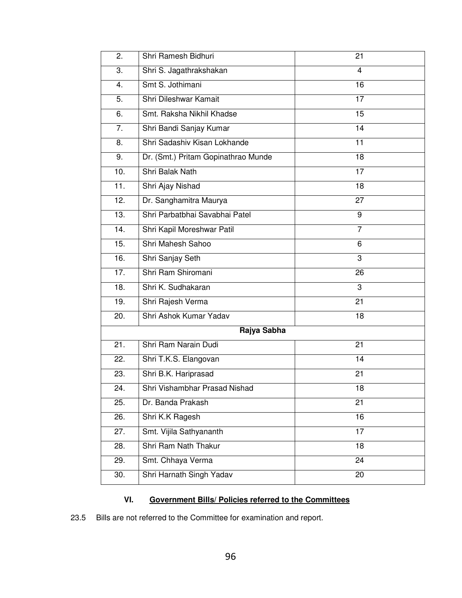| 2.          | Shri Ramesh Bidhuri                 | 21             |  |  |
|-------------|-------------------------------------|----------------|--|--|
| 3.          | Shri S. Jagathrakshakan             | $\overline{4}$ |  |  |
| 4.          | Smt S. Jothimani                    | 16             |  |  |
| 5.          | Shri Dileshwar Kamait               | 17             |  |  |
| 6.          | Smt. Raksha Nikhil Khadse           | 15             |  |  |
| 7.          | Shri Bandi Sanjay Kumar             | 14             |  |  |
| 8.          | Shri Sadashiv Kisan Lokhande        | 11             |  |  |
| 9.          | Dr. (Smt.) Pritam Gopinathrao Munde | 18             |  |  |
| 10.         | Shri Balak Nath                     | 17             |  |  |
| 11.         | Shri Ajay Nishad                    | 18             |  |  |
| 12.         | Dr. Sanghamitra Maurya              | 27             |  |  |
| 13.         | Shri Parbatbhai Savabhai Patel      | 9              |  |  |
| 14.         | Shri Kapil Moreshwar Patil          | $\overline{7}$ |  |  |
| 15.         | Shri Mahesh Sahoo                   | 6              |  |  |
| 16.         | Shri Sanjay Seth                    | 3              |  |  |
| 17.         | Shri Ram Shiromani                  | 26             |  |  |
| 18.         | Shri K. Sudhakaran                  | 3              |  |  |
| 19.         | Shri Rajesh Verma                   | 21             |  |  |
| 20.         | Shri Ashok Kumar Yadav              | 18             |  |  |
| Rajya Sabha |                                     |                |  |  |
| 21.         | Shri Ram Narain Dudi                | 21             |  |  |
| 22.         | Shri T.K.S. Elangovan               | 14             |  |  |
| 23.         | Shri B.K. Hariprasad                | 21             |  |  |
| 24.         | Shri Vishambhar Prasad Nishad       | 18             |  |  |
| 25.         | Dr. Banda Prakash                   | 21             |  |  |
| 26.         | Shri K.K Ragesh                     | 16             |  |  |
| 27.         | Smt. Vijila Sathyananth             | 17             |  |  |
| 28.         | Shri Ram Nath Thakur                | 18             |  |  |
| 29.         | Smt. Chhaya Verma                   | 24             |  |  |
| 30.         | Shri Harnath Singh Yadav            | 20             |  |  |
|             |                                     |                |  |  |

# **VI. Government Bills/ Policies referred to the Committees**

23.5 Bills are not referred to the Committee for examination and report.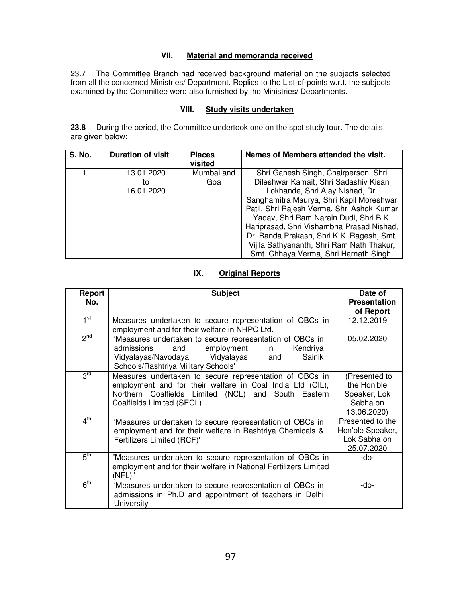# **VII. Material and memoranda received**

23.7 The Committee Branch had received background material on the subjects selected from all the concerned Ministries/ Department. Replies to the List-of-points w.r.t. the subjects examined by the Committee were also furnished by the Ministries/ Departments.

## **VIII. Study visits undertaken**

**23.8** During the period, the Committee undertook one on the spot study tour. The details are given below:

| <b>S. No.</b> | <b>Duration of visit</b>       | <b>Places</b><br>visited | Names of Members attended the visit.                                                                                                                                                                                                                                                                                                           |
|---------------|--------------------------------|--------------------------|------------------------------------------------------------------------------------------------------------------------------------------------------------------------------------------------------------------------------------------------------------------------------------------------------------------------------------------------|
|               | 13.01.2020<br>to<br>16.01.2020 | Mumbai and<br>Goa        | Shri Ganesh Singh, Chairperson, Shri<br>Dileshwar Kamait, Shri Sadashiv Kisan<br>Lokhande, Shri Ajay Nishad, Dr.<br>Sanghamitra Maurya, Shri Kapil Moreshwar<br>Patil, Shri Rajesh Verma, Shri Ashok Kumar<br>Yadav, Shri Ram Narain Dudi, Shri B.K.<br>Hariprasad, Shri Vishambha Prasad Nishad,<br>Dr. Banda Prakash, Shri K.K. Ragesh, Smt. |
|               |                                |                          | Vijila Sathyananth, Shri Ram Nath Thakur,<br>Smt. Chhaya Verma, Shri Harnath Singh.                                                                                                                                                                                                                                                            |

# **IX. Original Reports**

| Report<br>No.   | <b>Subject</b>                                                                                                                                                                                           | Date of<br><b>Presentation</b><br>of Report                             |
|-----------------|----------------------------------------------------------------------------------------------------------------------------------------------------------------------------------------------------------|-------------------------------------------------------------------------|
| 1 <sup>st</sup> | Measures undertaken to secure representation of OBCs in<br>employment and for their welfare in NHPC Ltd.                                                                                                 | 12.12.2019                                                              |
| 2 <sup>nd</sup> | 'Measures undertaken to secure representation of OBCs in<br>employment<br>admissions<br>and<br>in<br>Kendriya<br>Vidyalayas/Navodaya Vidyalayas<br>Sainik<br>and<br>Schools/Rashtriya Military Schools'  | 05.02.2020                                                              |
| 3 <sup>rd</sup> | Measures undertaken to secure representation of OBCs in<br>employment and for their welfare in Coal India Ltd (CIL),<br>Northern Coalfields Limited (NCL) and South Eastern<br>Coalfields Limited (SECL) | (Presented to<br>the Hon'ble<br>Speaker, Lok<br>Sabha on<br>13.06.2020) |
| 4 <sup>th</sup> | 'Measures undertaken to secure representation of OBCs in<br>employment and for their welfare in Rashtriya Chemicals &<br>Fertilizers Limited (RCF)'                                                      | Presented to the<br>Hon'ble Speaker,<br>Lok Sabha on<br>25.07.2020      |
| $5^{\text{th}}$ | "Measures undertaken to secure representation of OBCs in<br>employment and for their welfare in National Fertilizers Limited<br>(NFL)"                                                                   | -do-                                                                    |
| 6 <sup>th</sup> | 'Measures undertaken to secure representation of OBCs in<br>admissions in Ph.D and appointment of teachers in Delhi<br>University'                                                                       | -do-                                                                    |